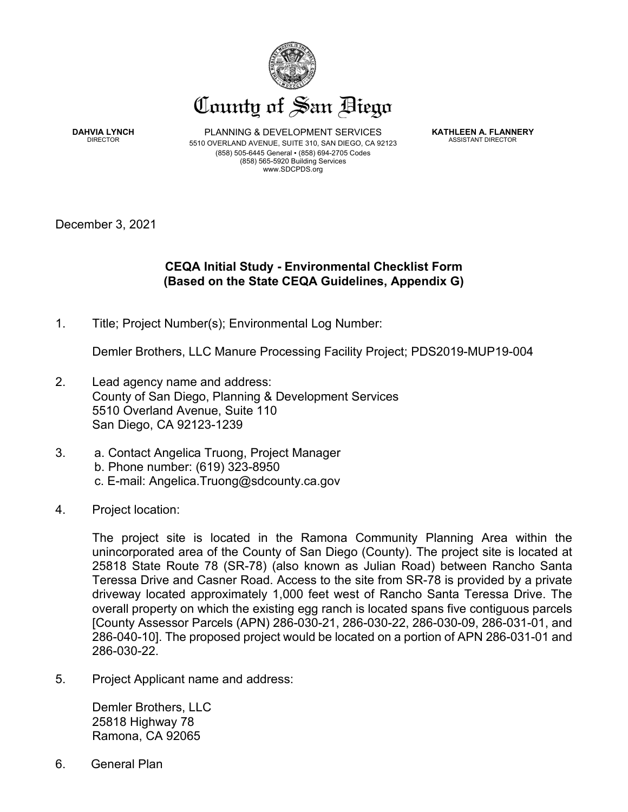

**DAHVIA LYNCH** DIRECTOR

PLANNING & DEVELOPMENT SERVICES 5510 OVERLAND AVENUE, SUITE 310, SAN DIEGO, CA 92123 (858) 505-6445 General ▪ (858) 694-2705 Codes (858) 565-5920 Building Services www.SDCPDS.org

**KATHLEEN A. FLANNERY** ASSISTANT DIRECTOR

December 3, 2021

# **CEQA Initial Study - Environmental Checklist Form (Based on the State CEQA Guidelines, Appendix G)**

1. Title; Project Number(s); Environmental Log Number:

Demler Brothers, LLC Manure Processing Facility Project; PDS2019-MUP19-004

- 2. Lead agency name and address: County of San Diego, Planning & Development Services 5510 Overland Avenue, Suite 110 San Diego, CA 92123-1239
- 3. a. Contact Angelica Truong, Project Manager b. Phone number: (619) 323-8950 c. E-mail: Angelica.Truong@sdcounty.ca.gov
- 4. Project location:

The project site is located in the Ramona Community Planning Area within the unincorporated area of the County of San Diego (County). The project site is located at 25818 State Route 78 (SR-78) (also known as Julian Road) between Rancho Santa Teressa Drive and Casner Road. Access to the site from SR-78 is provided by a private driveway located approximately 1,000 feet west of Rancho Santa Teressa Drive. The overall property on which the existing egg ranch is located spans five contiguous parcels [County Assessor Parcels (APN) 286-030-21, 286-030-22, 286-030-09, 286-031-01, and 286-040-10]. The proposed project would be located on a portion of APN 286-031-01 and 286-030-22.

5. Project Applicant name and address:

Demler Brothers, LLC 25818 Highway 78 Ramona, CA 92065

6. General Plan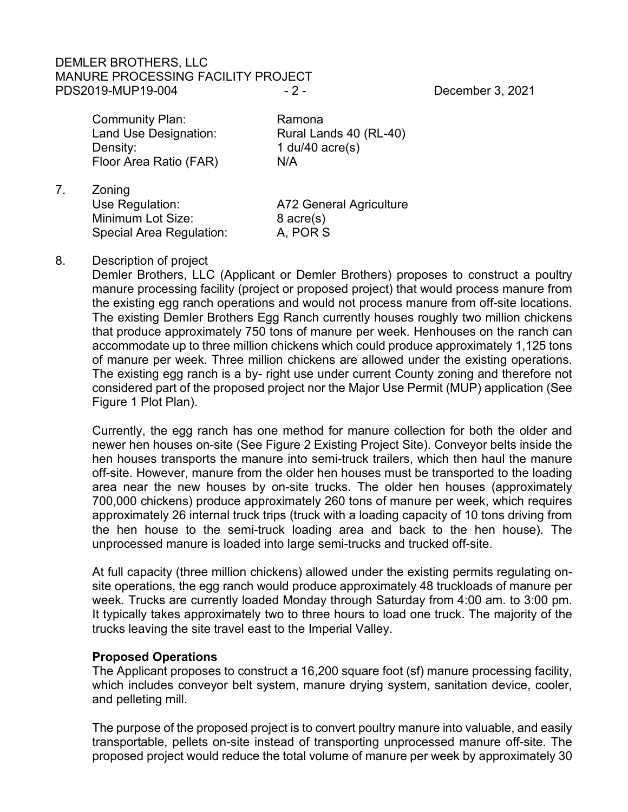# DEMLER BROTHERS, LLC MANURE PROCESSING FACILITY PROJECT PDS2019-MUP19-004 - 2 - 2 - December 3, 2021

Community Plan: Ramona Density: 1 du/40 acre(s) Floor Area Ratio (FAR) N/A

Land Use Designation: Rural Lands 40 (RL-40)

7. Zoning Use Regulation: Mathematic A72 General Agriculture Minimum Lot Size: 8 acre(s)<br>Special Area Regulation: A, POR S Special Area Regulation:

8. Description of project

Demler Brothers, LLC (Applicant or Demler Brothers) proposes to construct a poultry manure processing facility (project or proposed project) that would process manure from the existing egg ranch operations and would not process manure from off-site locations. The existing Demler Brothers Egg Ranch currently houses roughly two million chickens that produce approximately 750 tons of manure per week. Henhouses on the ranch can accommodate up to three million chickens which could produce approximately 1,125 tons of manure per week. Three million chickens are allowed under the existing operations. The existing egg ranch is a by- right use under current County zoning and therefore not considered part of the proposed project nor the Major Use Permit (MUP) application (See Figure 1 Plot Plan).

Currently, the egg ranch has one method for manure collection for both the older and newer hen houses on-site (See Figure 2 Existing Project Site). Conveyor belts inside the hen houses transports the manure into semi-truck trailers, which then haul the manure off-site. However, manure from the older hen houses must be transported to the loading area near the new houses by on-site trucks. The older hen houses (approximately 700,000 chickens) produce approximately 260 tons of manure per week, which requires approximately 26 internal truck trips (truck with a loading capacity of 10 tons driving from the hen house to the semi-truck loading area and back to the hen house). The unprocessed manure is loaded into large semi-trucks and trucked off-site.

At full capacity (three million chickens) allowed under the existing permits regulating onsite operations, the egg ranch would produce approximately 48 truckloads of manure per week. Trucks are currently loaded Monday through Saturday from 4:00 am. to 3:00 pm. It typically takes approximately two to three hours to load one truck. The majority of the trucks leaving the site travel east to the Imperial Valley.

# **Proposed Operations**

The Applicant proposes to construct a 16,200 square foot (sf) manure processing facility, which includes conveyor belt system, manure drying system, sanitation device, cooler, and pelleting mill.

The purpose of the proposed project is to convert poultry manure into valuable, and easily transportable, pellets on-site instead of transporting unprocessed manure off-site. The proposed project would reduce the total volume of manure per week by approximately 30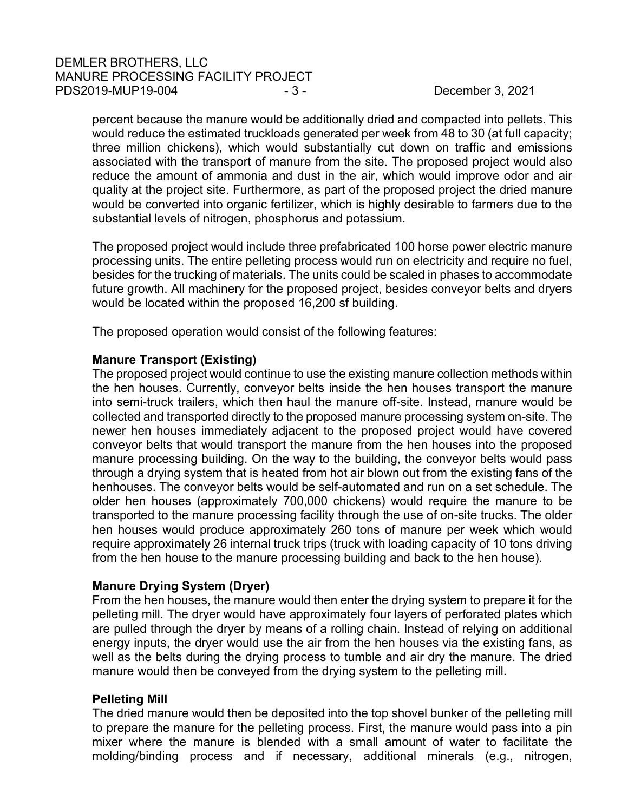percent because the manure would be additionally dried and compacted into pellets. This would reduce the estimated truckloads generated per week from 48 to 30 (at full capacity; three million chickens), which would substantially cut down on traffic and emissions associated with the transport of manure from the site. The proposed project would also reduce the amount of ammonia and dust in the air, which would improve odor and air quality at the project site. Furthermore, as part of the proposed project the dried manure would be converted into organic fertilizer, which is highly desirable to farmers due to the substantial levels of nitrogen, phosphorus and potassium.

The proposed project would include three prefabricated 100 horse power electric manure processing units. The entire pelleting process would run on electricity and require no fuel, besides for the trucking of materials. The units could be scaled in phases to accommodate future growth. All machinery for the proposed project, besides conveyor belts and dryers would be located within the proposed 16,200 sf building.

The proposed operation would consist of the following features:

# **Manure Transport (Existing)**

The proposed project would continue to use the existing manure collection methods within the hen houses. Currently, conveyor belts inside the hen houses transport the manure into semi-truck trailers, which then haul the manure off-site. Instead, manure would be collected and transported directly to the proposed manure processing system on-site. The newer hen houses immediately adjacent to the proposed project would have covered conveyor belts that would transport the manure from the hen houses into the proposed manure processing building. On the way to the building, the conveyor belts would pass through a drying system that is heated from hot air blown out from the existing fans of the henhouses. The conveyor belts would be self-automated and run on a set schedule. The older hen houses (approximately 700,000 chickens) would require the manure to be transported to the manure processing facility through the use of on-site trucks. The older hen houses would produce approximately 260 tons of manure per week which would require approximately 26 internal truck trips (truck with loading capacity of 10 tons driving from the hen house to the manure processing building and back to the hen house).

# **Manure Drying System (Dryer)**

From the hen houses, the manure would then enter the drying system to prepare it for the pelleting mill. The dryer would have approximately four layers of perforated plates which are pulled through the dryer by means of a rolling chain. Instead of relying on additional energy inputs, the dryer would use the air from the hen houses via the existing fans, as well as the belts during the drying process to tumble and air dry the manure. The dried manure would then be conveyed from the drying system to the pelleting mill.

#### **Pelleting Mill**

The dried manure would then be deposited into the top shovel bunker of the pelleting mill to prepare the manure for the pelleting process. First, the manure would pass into a pin mixer where the manure is blended with a small amount of water to facilitate the molding/binding process and if necessary, additional minerals (e.g., nitrogen,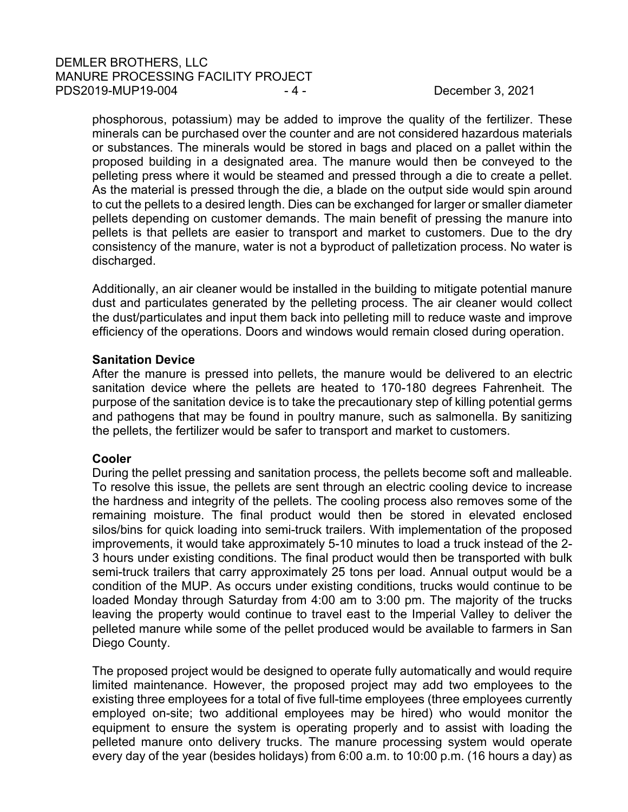phosphorous, potassium) may be added to improve the quality of the fertilizer. These minerals can be purchased over the counter and are not considered hazardous materials or substances. The minerals would be stored in bags and placed on a pallet within the proposed building in a designated area. The manure would then be conveyed to the pelleting press where it would be steamed and pressed through a die to create a pellet. As the material is pressed through the die, a blade on the output side would spin around to cut the pellets to a desired length. Dies can be exchanged for larger or smaller diameter pellets depending on customer demands. The main benefit of pressing the manure into pellets is that pellets are easier to transport and market to customers. Due to the dry consistency of the manure, water is not a byproduct of palletization process. No water is discharged.

Additionally, an air cleaner would be installed in the building to mitigate potential manure dust and particulates generated by the pelleting process. The air cleaner would collect the dust/particulates and input them back into pelleting mill to reduce waste and improve efficiency of the operations. Doors and windows would remain closed during operation.

# **Sanitation Device**

After the manure is pressed into pellets, the manure would be delivered to an electric sanitation device where the pellets are heated to 170-180 degrees Fahrenheit. The purpose of the sanitation device is to take the precautionary step of killing potential germs and pathogens that may be found in poultry manure, such as salmonella. By sanitizing the pellets, the fertilizer would be safer to transport and market to customers.

# **Cooler**

During the pellet pressing and sanitation process, the pellets become soft and malleable. To resolve this issue, the pellets are sent through an electric cooling device to increase the hardness and integrity of the pellets. The cooling process also removes some of the remaining moisture. The final product would then be stored in elevated enclosed silos/bins for quick loading into semi-truck trailers. With implementation of the proposed improvements, it would take approximately 5-10 minutes to load a truck instead of the 2- 3 hours under existing conditions. The final product would then be transported with bulk semi-truck trailers that carry approximately 25 tons per load. Annual output would be a condition of the MUP. As occurs under existing conditions, trucks would continue to be loaded Monday through Saturday from 4:00 am to 3:00 pm. The majority of the trucks leaving the property would continue to travel east to the Imperial Valley to deliver the pelleted manure while some of the pellet produced would be available to farmers in San Diego County.

The proposed project would be designed to operate fully automatically and would require limited maintenance. However, the proposed project may add two employees to the existing three employees for a total of five full-time employees (three employees currently employed on-site; two additional employees may be hired) who would monitor the equipment to ensure the system is operating properly and to assist with loading the pelleted manure onto delivery trucks. The manure processing system would operate every day of the year (besides holidays) from 6:00 a.m. to 10:00 p.m. (16 hours a day) as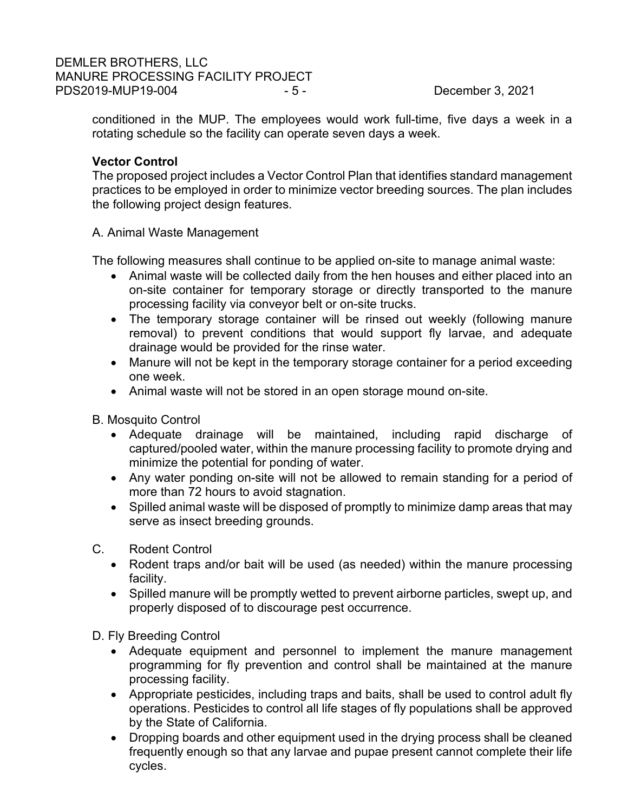# DEMLER BROTHERS, LLC MANURE PROCESSING FACILITY PROJECT PDS2019-MUP19-004 - 5 - - 5 - December 3, 2021

conditioned in the MUP. The employees would work full-time, five days a week in a rotating schedule so the facility can operate seven days a week.

# **Vector Control**

The proposed project includes a Vector Control Plan that identifies standard management practices to be employed in order to minimize vector breeding sources. The plan includes the following project design features.

A. Animal Waste Management

The following measures shall continue to be applied on-site to manage animal waste:

- Animal waste will be collected daily from the hen houses and either placed into an on-site container for temporary storage or directly transported to the manure processing facility via conveyor belt or on-site trucks.
- The temporary storage container will be rinsed out weekly (following manure removal) to prevent conditions that would support fly larvae, and adequate drainage would be provided for the rinse water.
- Manure will not be kept in the temporary storage container for a period exceeding one week.
- Animal waste will not be stored in an open storage mound on-site.

B. Mosquito Control

- Adequate drainage will be maintained, including rapid discharge of captured/pooled water, within the manure processing facility to promote drying and minimize the potential for ponding of water.
- Any water ponding on-site will not be allowed to remain standing for a period of more than 72 hours to avoid stagnation.
- Spilled animal waste will be disposed of promptly to minimize damp areas that may serve as insect breeding grounds.
- C. Rodent Control
	- Rodent traps and/or bait will be used (as needed) within the manure processing facility.
	- Spilled manure will be promptly wetted to prevent airborne particles, swept up, and properly disposed of to discourage pest occurrence.

D. Fly Breeding Control

- Adequate equipment and personnel to implement the manure management programming for fly prevention and control shall be maintained at the manure processing facility.
- Appropriate pesticides, including traps and baits, shall be used to control adult fly operations. Pesticides to control all life stages of fly populations shall be approved by the State of California.
- Dropping boards and other equipment used in the drying process shall be cleaned frequently enough so that any larvae and pupae present cannot complete their life cycles.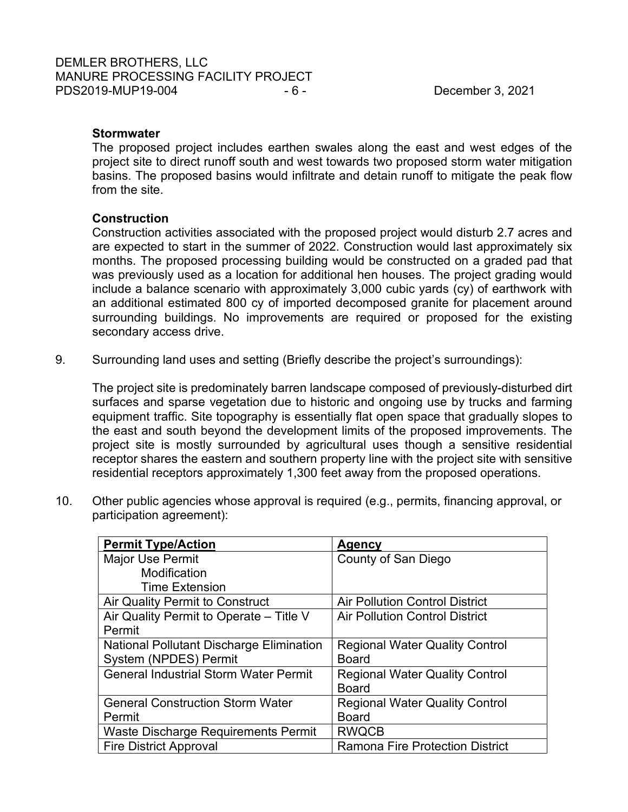# **Stormwater**

The proposed project includes earthen swales along the east and west edges of the project site to direct runoff south and west towards two proposed storm water mitigation basins. The proposed basins would infiltrate and detain runoff to mitigate the peak flow from the site.

# **Construction**

Construction activities associated with the proposed project would disturb 2.7 acres and are expected to start in the summer of 2022. Construction would last approximately six months. The proposed processing building would be constructed on a graded pad that was previously used as a location for additional hen houses. The project grading would include a balance scenario with approximately 3,000 cubic yards (cy) of earthwork with an additional estimated 800 cy of imported decomposed granite for placement around surrounding buildings. No improvements are required or proposed for the existing secondary access drive.

9. Surrounding land uses and setting (Briefly describe the project's surroundings):

The project site is predominately barren landscape composed of previously-disturbed dirt surfaces and sparse vegetation due to historic and ongoing use by trucks and farming equipment traffic. Site topography is essentially flat open space that gradually slopes to the east and south beyond the development limits of the proposed improvements. The project site is mostly surrounded by agricultural uses though a sensitive residential receptor shares the eastern and southern property line with the project site with sensitive residential receptors approximately 1,300 feet away from the proposed operations.

10. Other public agencies whose approval is required (e.g., permits, financing approval, or participation agreement):

| <b>Permit Type/Action</b>                       | Agency                                 |
|-------------------------------------------------|----------------------------------------|
| <b>Major Use Permit</b>                         | County of San Diego                    |
| Modification                                    |                                        |
| <b>Time Extension</b>                           |                                        |
| Air Quality Permit to Construct                 | <b>Air Pollution Control District</b>  |
| Air Quality Permit to Operate - Title V         | <b>Air Pollution Control District</b>  |
| Permit                                          |                                        |
| <b>National Pollutant Discharge Elimination</b> | <b>Regional Water Quality Control</b>  |
| System (NPDES) Permit                           | <b>Board</b>                           |
| <b>General Industrial Storm Water Permit</b>    | <b>Regional Water Quality Control</b>  |
|                                                 | <b>Board</b>                           |
| <b>General Construction Storm Water</b>         | <b>Regional Water Quality Control</b>  |
| Permit                                          | <b>Board</b>                           |
| Waste Discharge Requirements Permit             | <b>RWQCB</b>                           |
| <b>Fire District Approval</b>                   | <b>Ramona Fire Protection District</b> |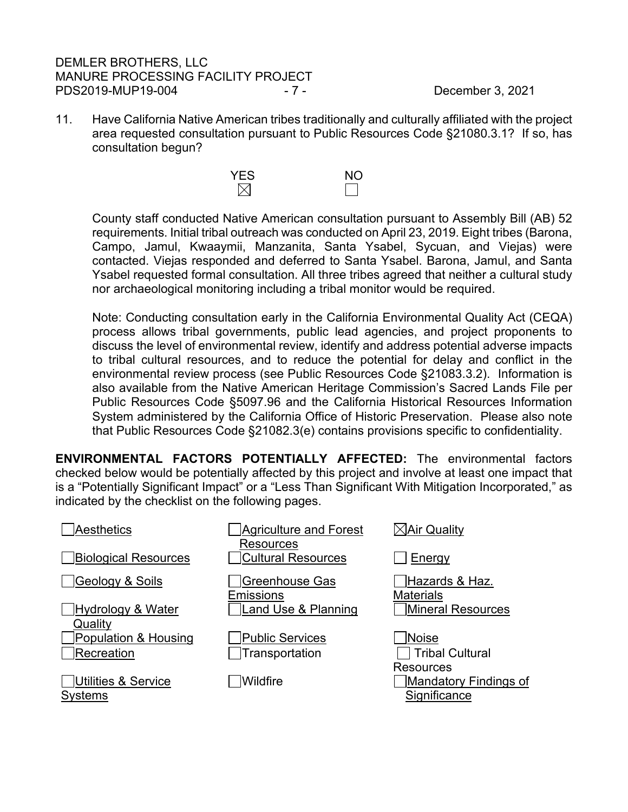# DEMLER BROTHERS, LLC MANURE PROCESSING FACILITY PROJECT PDS2019-MUP19-004 - 7 - December 3, 2021

11. Have California Native American tribes traditionally and culturally affiliated with the project area requested consultation pursuant to Public Resources Code §21080.3.1? If so, has consultation begun?



County staff conducted Native American consultation pursuant to Assembly Bill (AB) 52 requirements. Initial tribal outreach was conducted on April 23, 2019. Eight tribes (Barona, Campo, Jamul, Kwaaymii, Manzanita, Santa Ysabel, Sycuan, and Viejas) were contacted. Viejas responded and deferred to Santa Ysabel. Barona, Jamul, and Santa Ysabel requested formal consultation. All three tribes agreed that neither a cultural study nor archaeological monitoring including a tribal monitor would be required.

Note: Conducting consultation early in the California Environmental Quality Act (CEQA) process allows tribal governments, public lead agencies, and project proponents to discuss the level of environmental review, identify and address potential adverse impacts to tribal cultural resources, and to reduce the potential for delay and conflict in the environmental review process (see Public Resources Code §21083.3.2). Information is also available from the Native American Heritage Commission's Sacred Lands File per Public Resources Code §5097.96 and the California Historical Resources Information System administered by the California Office of Historic Preservation. Please also note that Public Resources Code §21082.3(e) contains provisions specific to confidentiality.

**ENVIRONMENTAL FACTORS POTENTIALLY AFFECTED:** The environmental factors checked below would be potentially affected by this project and involve at least one impact that is a "Potentially Significant Impact" or a "Less Than Significant With Mitigation Incorporated," as indicated by the checklist on the following pages.

| <b>Aesthetics</b>                                | Agriculture and Forest<br>Resources | $\boxtimes$ Air Quality                                   |
|--------------------------------------------------|-------------------------------------|-----------------------------------------------------------|
| <b>Biological Resources</b>                      | <b>Cultural Resources</b>           | Energy                                                    |
| Geology & Soils                                  | Greenhouse Gas<br><b>Emissions</b>  | Hazards & Haz.<br><b>Materials</b>                        |
| Hydrology & Water<br>Quality                     | Land Use & Planning                 | Mineral Resources                                         |
| <b>Population &amp; Housing</b>                  | <b>Public Services</b>              | Noise                                                     |
| Recreation                                       | Transportation                      | <b>Tribal Cultural</b>                                    |
| <b>Utilities &amp; Service</b><br><b>Systems</b> | Wildfire                            | <b>Resources</b><br>Mandatory Findings of<br>Significance |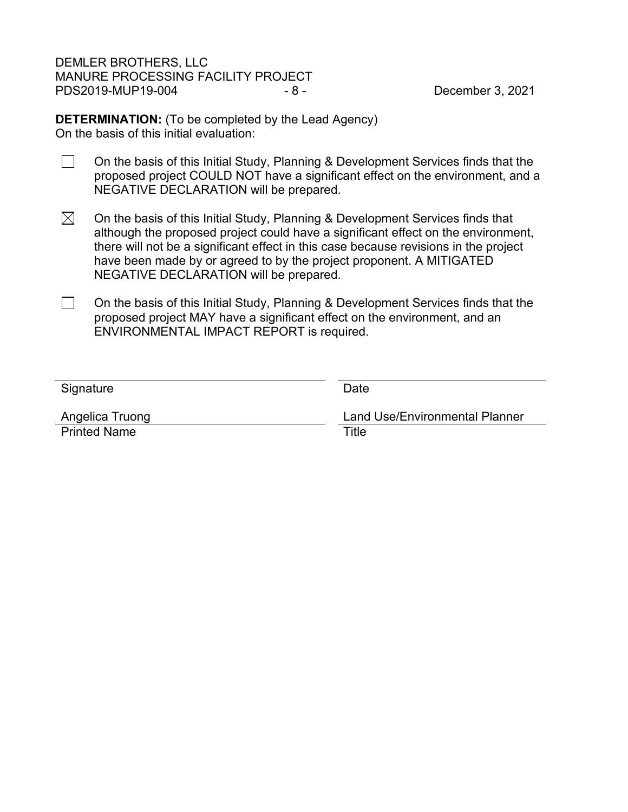DEMLER BROTHERS, LLC MANURE PROCESSING FACILITY PROJECT PDS2019-MUP19-004 - 8 - 8 - December 3, 2021

**DETERMINATION:** (To be completed by the Lead Agency) On the basis of this initial evaluation:

- $\Box$ On the basis of this Initial Study, Planning & Development Services finds that the proposed project COULD NOT have a significant effect on the environment, and a NEGATIVE DECLARATION will be prepared.
- $\boxtimes$ On the basis of this Initial Study, Planning & Development Services finds that although the proposed project could have a significant effect on the environment, there will not be a significant effect in this case because revisions in the project have been made by or agreed to by the project proponent. A MITIGATED NEGATIVE DECLARATION will be prepared.
- $\Box$ On the basis of this Initial Study, Planning & Development Services finds that the proposed project MAY have a significant effect on the environment, and an ENVIRONMENTAL IMPACT REPORT is required.

| Signature           | Date                                  |
|---------------------|---------------------------------------|
|                     |                                       |
| Angelica Truong     | <b>Land Use/Environmental Planner</b> |
| <b>Printed Name</b> | Title                                 |
|                     |                                       |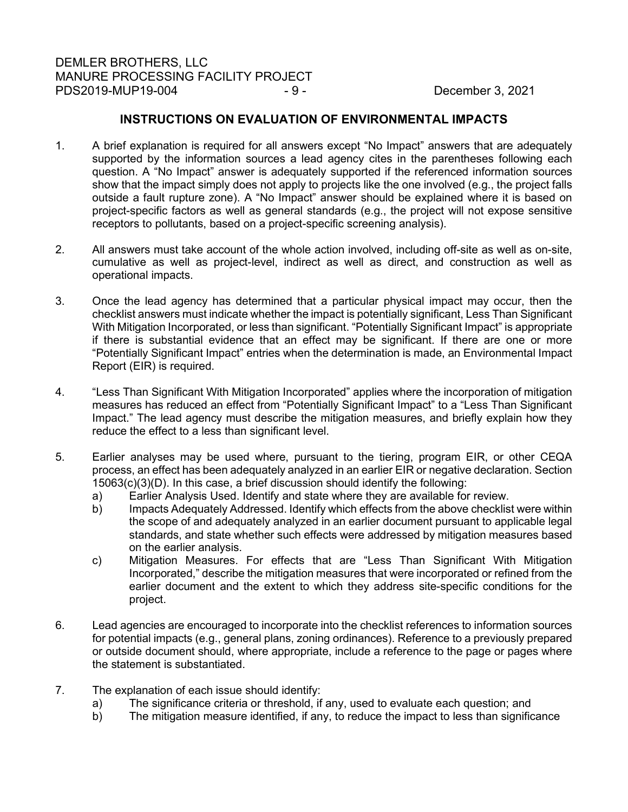### **INSTRUCTIONS ON EVALUATION OF ENVIRONMENTAL IMPACTS**

- 1. A brief explanation is required for all answers except "No Impact" answers that are adequately supported by the information sources a lead agency cites in the parentheses following each question. A "No Impact" answer is adequately supported if the referenced information sources show that the impact simply does not apply to projects like the one involved (e.g., the project falls outside a fault rupture zone). A "No Impact" answer should be explained where it is based on project-specific factors as well as general standards (e.g., the project will not expose sensitive receptors to pollutants, based on a project-specific screening analysis).
- 2. All answers must take account of the whole action involved, including off-site as well as on-site, cumulative as well as project-level, indirect as well as direct, and construction as well as operational impacts.
- 3. Once the lead agency has determined that a particular physical impact may occur, then the checklist answers must indicate whether the impact is potentially significant, Less Than Significant With Mitigation Incorporated, or less than significant. "Potentially Significant Impact" is appropriate if there is substantial evidence that an effect may be significant. If there are one or more "Potentially Significant Impact" entries when the determination is made, an Environmental Impact Report (EIR) is required.
- 4. "Less Than Significant With Mitigation Incorporated" applies where the incorporation of mitigation measures has reduced an effect from "Potentially Significant Impact" to a "Less Than Significant Impact." The lead agency must describe the mitigation measures, and briefly explain how they reduce the effect to a less than significant level.
- 5. Earlier analyses may be used where, pursuant to the tiering, program EIR, or other CEQA process, an effect has been adequately analyzed in an earlier EIR or negative declaration. Section 15063(c)(3)(D). In this case, a brief discussion should identify the following:
	- a) Earlier Analysis Used. Identify and state where they are available for review.
	- b) Impacts Adequately Addressed. Identify which effects from the above checklist were within the scope of and adequately analyzed in an earlier document pursuant to applicable legal standards, and state whether such effects were addressed by mitigation measures based on the earlier analysis.
	- c) Mitigation Measures. For effects that are "Less Than Significant With Mitigation Incorporated," describe the mitigation measures that were incorporated or refined from the earlier document and the extent to which they address site-specific conditions for the project.
- 6. Lead agencies are encouraged to incorporate into the checklist references to information sources for potential impacts (e.g., general plans, zoning ordinances). Reference to a previously prepared or outside document should, where appropriate, include a reference to the page or pages where the statement is substantiated.
- 7. The explanation of each issue should identify:
	- a) The significance criteria or threshold, if any, used to evaluate each question; and<br>b) The mitigation measure identified, if any, to reduce the impact to less than signific
	- The mitigation measure identified, if any, to reduce the impact to less than significance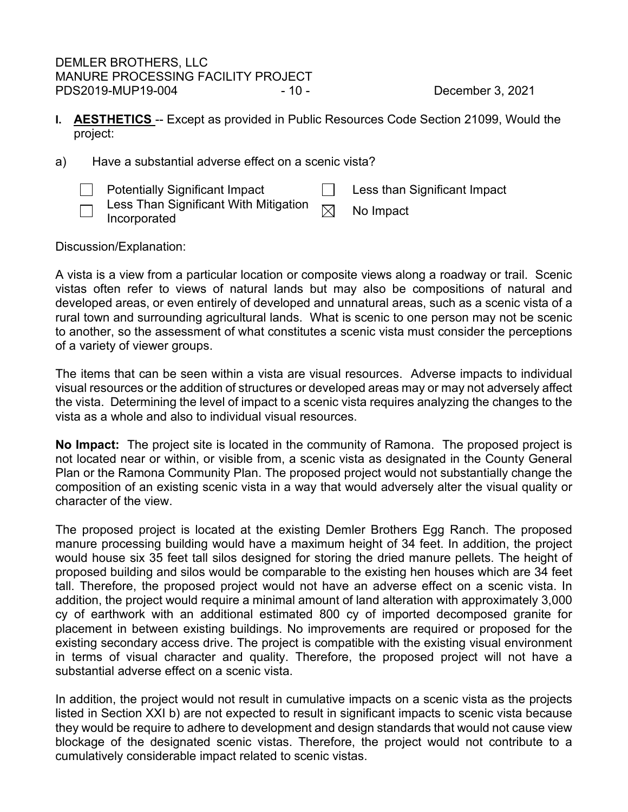DEMLER BROTHERS, LLC MANURE PROCESSING FACILITY PROJECT PDS2019-MUP19-004 - 10 - 10 - December 3, 2021

- <span id="page-9-0"></span>**I. AESTHETICS** -- Except as provided in Public Resources Code Section 21099, Would the project:
- a) Have a substantial adverse effect on a scenic vista?

Potentially Significant Impact **Less than Significant Impact** Less Than Significant With Mitigation  $\Box$  Less I nan Significant with Mitigation  $\boxtimes$  No Impact Incorporated

Discussion/Explanation:

A vista is a view from a particular location or composite views along a roadway or trail. Scenic vistas often refer to views of natural lands but may also be compositions of natural and developed areas, or even entirely of developed and unnatural areas, such as a scenic vista of a rural town and surrounding agricultural lands. What is scenic to one person may not be scenic to another, so the assessment of what constitutes a scenic vista must consider the perceptions of a variety of viewer groups.

The items that can be seen within a vista are visual resources. Adverse impacts to individual visual resources or the addition of structures or developed areas may or may not adversely affect the vista. Determining the level of impact to a scenic vista requires analyzing the changes to the vista as a whole and also to individual visual resources.

**No Impact:** The project site is located in the community of Ramona. The proposed project is not located near or within, or visible from, a scenic vista as designated in the County General Plan or the Ramona Community Plan. The proposed project would not substantially change the composition of an existing scenic vista in a way that would adversely alter the visual quality or character of the view.

The proposed project is located at the existing Demler Brothers Egg Ranch. The proposed manure processing building would have a maximum height of 34 feet. In addition, the project would house six 35 feet tall silos designed for storing the dried manure pellets. The height of proposed building and silos would be comparable to the existing hen houses which are 34 feet tall. Therefore, the proposed project would not have an adverse effect on a scenic vista. In addition, the project would require a minimal amount of land alteration with approximately 3,000 cy of earthwork with an additional estimated 800 cy of imported decomposed granite for placement in between existing buildings. No improvements are required or proposed for the existing secondary access drive. The project is compatible with the existing visual environment in terms of visual character and quality. Therefore, the proposed project will not have a substantial adverse effect on a scenic vista.

In addition, the project would not result in cumulative impacts on a scenic vista as the projects listed in Section XXI b) are not expected to result in significant impacts to scenic vista because they would be require to adhere to development and design standards that would not cause view blockage of the designated scenic vistas. Therefore, the project would not contribute to a cumulatively considerable impact related to scenic vistas.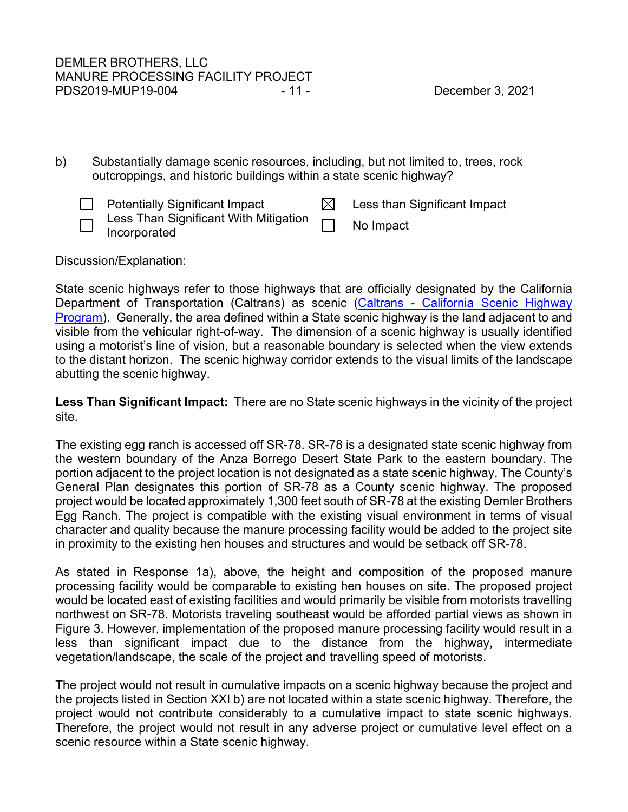b) Substantially damage scenic resources, including, but not limited to, trees, rock outcroppings, and historic buildings within a state scenic highway?

| <b>Potentially Significant Impact</b>                               | Less than Significant Impact |
|---------------------------------------------------------------------|------------------------------|
| $\Box$ Less Than Significant With Mitigation<br>$\Box$ Incorporated | No Impact                    |

Discussion/Explanation:

State scenic highways refer to those highways that are officially designated by the California Department of Transportation (Caltrans) as scenic (Caltrans - California Scenic Highway [Program\)](http://www.dot.ca.gov/hq/LandArch/scenic/scpr.htm). Generally, the area defined within a State scenic highway is the land adjacent to and visible from the vehicular right-of-way. The dimension of a scenic highway is usually identified using a motorist's line of vision, but a reasonable boundary is selected when the view extends to the distant horizon. The scenic highway corridor extends to the visual limits of the landscape abutting the scenic highway.

**Less Than Significant Impact:** There are no State scenic highways in the vicinity of the project site.

The existing egg ranch is accessed off SR-78. SR-78 is a designated state scenic highway from the western boundary of the Anza Borrego Desert State Park to the eastern boundary. The portion adjacent to the project location is not designated as a state scenic highway. The County's General Plan designates this portion of SR-78 as a County scenic highway. The proposed project would be located approximately 1,300 feet south of SR-78 at the existing Demler Brothers Egg Ranch. The project is compatible with the existing visual environment in terms of visual character and quality because the manure processing facility would be added to the project site in proximity to the existing hen houses and structures and would be setback off SR-78.

As stated in Response 1a), above, the height and composition of the proposed manure processing facility would be comparable to existing hen houses on site. The proposed project would be located east of existing facilities and would primarily be visible from motorists travelling northwest on SR-78. Motorists traveling southeast would be afforded partial views as shown in Figure 3. However, implementation of the proposed manure processing facility would result in a less than significant impact due to the distance from the highway, intermediate vegetation/landscape, the scale of the project and travelling speed of motorists.

The project would not result in cumulative impacts on a scenic highway because the project and the projects listed in Section XXI b) are not located within a state scenic highway. Therefore, the project would not contribute considerably to a cumulative impact to state scenic highways. Therefore, the project would not result in any adverse project or cumulative level effect on a scenic resource within a State scenic highway.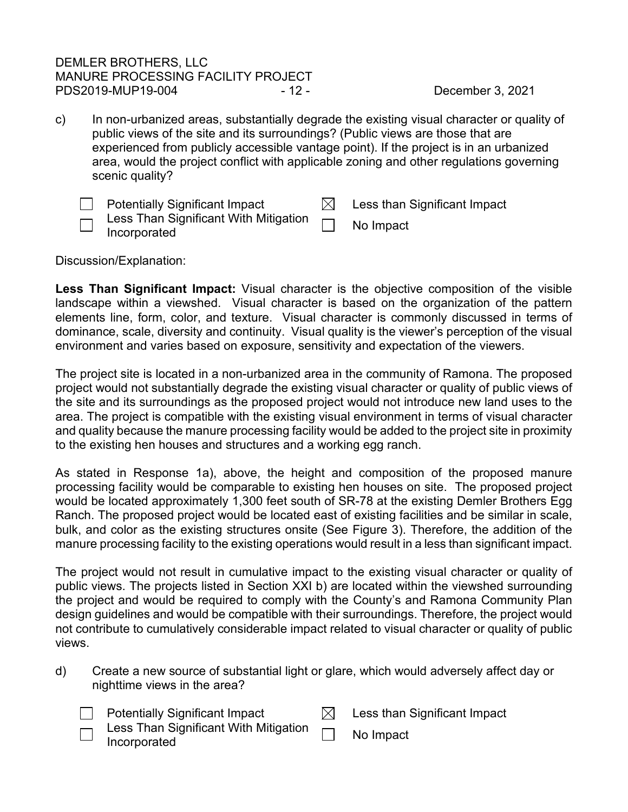# DEMLER BROTHERS, LLC MANURE PROCESSING FACILITY PROJECT PDS2019-MUP19-004 - 12 - 12 - December 3, 2021

c) In non-urbanized areas, substantially degrade the existing visual character or quality of public views of the site and its surroundings? (Public views are those that are experienced from publicly accessible vantage point). If the project is in an urbanized area, would the project conflict with applicable zoning and other regulations governing scenic quality?

| <b>Potentially Significant Impact</b>                                      | Less than Significant Impact |
|----------------------------------------------------------------------------|------------------------------|
| $\Box$ Less Than Significant With Mitigation $\Box$<br>$\Box$ Incorporated | No Impact                    |

Discussion/Explanation:

**Less Than Significant Impact:** Visual character is the objective composition of the visible landscape within a viewshed. Visual character is based on the organization of the pattern elements line, form, color, and texture. Visual character is commonly discussed in terms of dominance, scale, diversity and continuity. Visual quality is the viewer's perception of the visual environment and varies based on exposure, sensitivity and expectation of the viewers.

The project site is located in a non-urbanized area in the community of Ramona. The proposed project would not substantially degrade the existing visual character or quality of public views of the site and its surroundings as the proposed project would not introduce new land uses to the area. The project is compatible with the existing visual environment in terms of visual character and quality because the manure processing facility would be added to the project site in proximity to the existing hen houses and structures and a working egg ranch.

As stated in Response 1a), above, the height and composition of the proposed manure processing facility would be comparable to existing hen houses on site. The proposed project would be located approximately 1,300 feet south of SR-78 at the existing Demler Brothers Egg Ranch. The proposed project would be located east of existing facilities and be similar in scale, bulk, and color as the existing structures onsite (See Figure 3). Therefore, the addition of the manure processing facility to the existing operations would result in a less than significant impact.

The project would not result in cumulative impact to the existing visual character or quality of public views. The projects listed in Section XXI b) are located within the viewshed surrounding the project and would be required to comply with the County's and Ramona Community Plan design guidelines and would be compatible with their surroundings. Therefore, the project would not contribute to cumulatively considerable impact related to visual character or quality of public views.

| d) | Create a new source of substantial light or glare, which would adversely affect day or |
|----|----------------------------------------------------------------------------------------|
|    | nighttime views in the area?                                                           |

 $\boxtimes$  Less than Significant Impact

- Less Than Significant With Mitigation Less Than Significant With Mitigation **No Impact**<br>Incorporated
	-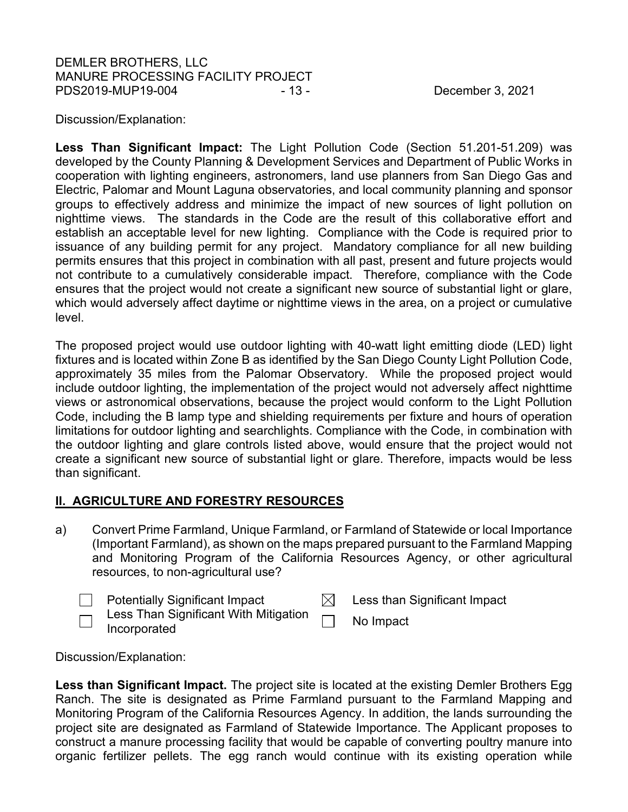# DEMLER BROTHERS, LLC MANURE PROCESSING FACILITY PROJECT PDS2019-MUP19-004 - 13 - 13 - December 3, 2021

Discussion/Explanation:

**Less Than Significant Impact:** The Light Pollution Code (Section 51.201-51.209) was developed by the County Planning & Development Services and Department of Public Works in cooperation with lighting engineers, astronomers, land use planners from San Diego Gas and Electric, Palomar and Mount Laguna observatories, and local community planning and sponsor groups to effectively address and minimize the impact of new sources of light pollution on nighttime views. The standards in the Code are the result of this collaborative effort and establish an acceptable level for new lighting. Compliance with the Code is required prior to issuance of any building permit for any project. Mandatory compliance for all new building permits ensures that this project in combination with all past, present and future projects would not contribute to a cumulatively considerable impact. Therefore, compliance with the Code ensures that the project would not create a significant new source of substantial light or glare, which would adversely affect daytime or nighttime views in the area, on a project or cumulative level.

The proposed project would use outdoor lighting with 40-watt light emitting diode (LED) light fixtures and is located within Zone B as identified by the San Diego County Light Pollution Code, approximately 35 miles from the Palomar Observatory. While the proposed project would include outdoor lighting, the implementation of the project would not adversely affect nighttime views or astronomical observations, because the project would conform to the Light Pollution Code, including the B lamp type and shielding requirements per fixture and hours of operation limitations for outdoor lighting and searchlights. Compliance with the Code, in combination with the outdoor lighting and glare controls listed above, would ensure that the project would not create a significant new source of substantial light or glare. Therefore, impacts would be less than significant.

# <span id="page-12-0"></span>**II. AGRICULTURE AND FORESTRY RESOURCES**

a) Convert Prime Farmland, Unique Farmland, or Farmland of Statewide or local Importance (Important Farmland), as shown on the maps prepared pursuant to the Farmland Mapping and Monitoring Program of the California Resources Agency, or other agricultural resources, to non-agricultural use?

|                               | <b>Potentially Significant Impact</b>                        | Less than Significant Impact |
|-------------------------------|--------------------------------------------------------------|------------------------------|
| $\overline{\phantom{0}}$<br>— | Less Than Significant With Mitigation $\Box$<br>Incorporated | No Impact                    |

Discussion/Explanation:

**Less than Significant Impact.** The project site is located at the existing Demler Brothers Egg Ranch. The site is designated as Prime Farmland pursuant to the Farmland Mapping and Monitoring Program of the California Resources Agency. In addition, the lands surrounding the project site are designated as Farmland of Statewide Importance. The Applicant proposes to construct a manure processing facility that would be capable of converting poultry manure into organic fertilizer pellets. The egg ranch would continue with its existing operation while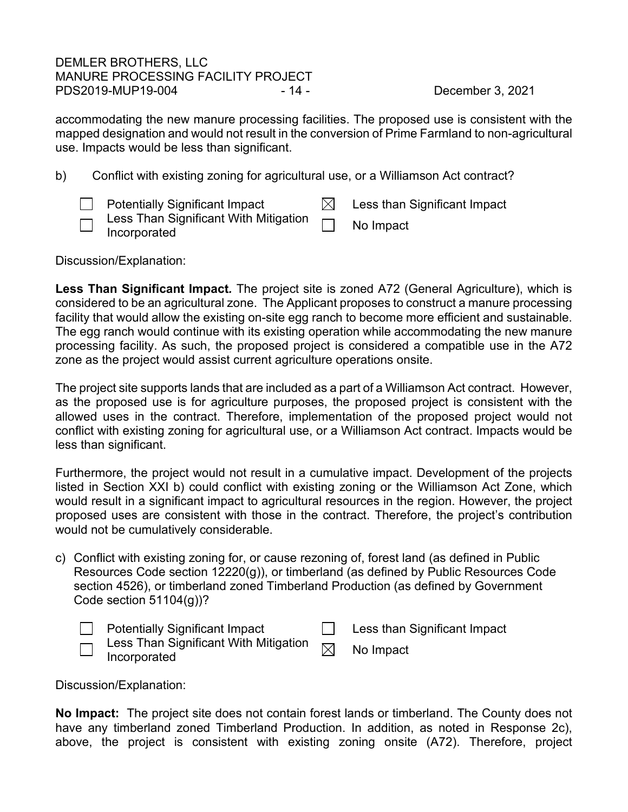## DEMLER BROTHERS, LLC MANURE PROCESSING FACILITY PROJECT PDS2019-MUP19-004 - 14 - 2021 - 14 - December 3, 2021

accommodating the new manure processing facilities. The proposed use is consistent with the mapped designation and would not result in the conversion of Prime Farmland to non-agricultural use. Impacts would be less than significant.

- b) Conflict with existing zoning for agricultural use, or a Williamson Act contract?
	- $\Box$  Potentially Significant Impact  $\boxdot$  Less than Significant Impact Less Than Significant With Mitigation Less Trian Significant With Mitigation **Information** No Impact<br>Incorporated

Discussion/Explanation:

**Less Than Significant Impact***.* The project site is zoned A72 (General Agriculture), which is considered to be an agricultural zone. The Applicant proposes to construct a manure processing facility that would allow the existing on-site egg ranch to become more efficient and sustainable. The egg ranch would continue with its existing operation while accommodating the new manure processing facility. As such, the proposed project is considered a compatible use in the A72 zone as the project would assist current agriculture operations onsite.

The project site supports lands that are included as a part of a Williamson Act contract. However, as the proposed use is for agriculture purposes, the proposed project is consistent with the allowed uses in the contract. Therefore, implementation of the proposed project would not conflict with existing zoning for agricultural use, or a Williamson Act contract. Impacts would be less than significant.

Furthermore, the project would not result in a cumulative impact. Development of the projects listed in Section XXI b) could conflict with existing zoning or the Williamson Act Zone, which would result in a significant impact to agricultural resources in the region. However, the project proposed uses are consistent with those in the contract. Therefore, the project's contribution would not be cumulatively considerable.

c) Conflict with existing zoning for, or cause rezoning of, forest land (as defined in Public Resources Code section 12220(g)), or timberland (as defined by Public Resources Code section 4526), or timberland zoned Timberland Production (as defined by Government Code section 51104(g))?

|                               | <b>Potentially Significant Impact</b>                                                            | Less than Significant Impact |
|-------------------------------|--------------------------------------------------------------------------------------------------|------------------------------|
| $\overline{\phantom{0}}$<br>— | Less Than Significant With Mitigation $\hskip 10pt \fbox{1}\hskip 10pt \fbox{1}$<br>Incorporated | No Impact                    |

Discussion/Explanation:

**No Impact:** The project site does not contain forest lands or timberland. The County does not have any timberland zoned Timberland Production. In addition, as noted in Response 2c), above, the project is consistent with existing zoning onsite (A72). Therefore, project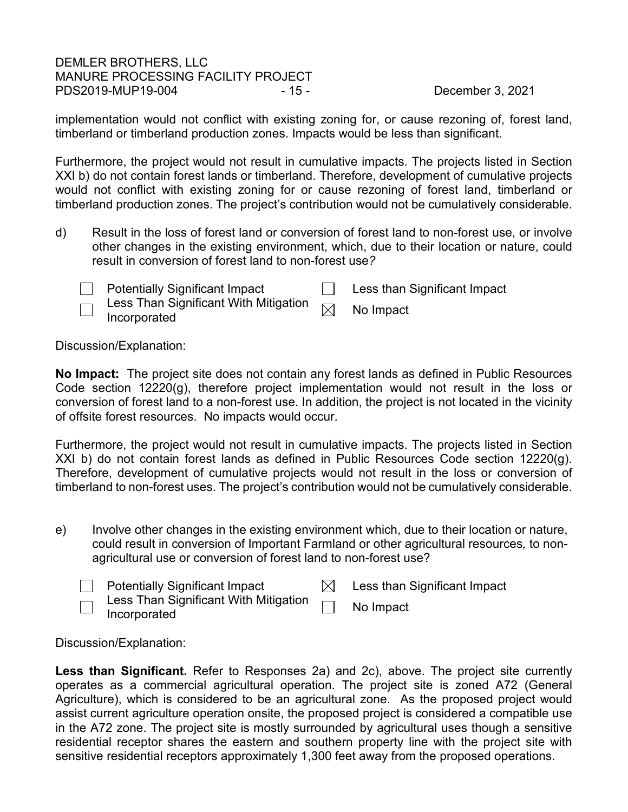# DEMLER BROTHERS, LLC MANURE PROCESSING FACILITY PROJECT PDS2019-MUP19-004 - 15 - 15 - December 3, 2021

implementation would not conflict with existing zoning for, or cause rezoning of, forest land, timberland or timberland production zones. Impacts would be less than significant.

Furthermore, the project would not result in cumulative impacts. The projects listed in Section XXI b) do not contain forest lands or timberland. Therefore, development of cumulative projects would not conflict with existing zoning for or cause rezoning of forest land, timberland or timberland production zones. The project's contribution would not be cumulatively considerable.

d) Result in the loss of forest land or conversion of forest land to non-forest use, or involve other changes in the existing environment, which, due to their location or nature, could result in conversion of forest land to non-forest use*?*

Potentially Significant Impact  $\Box$  Less than Significant Impact

Less Than Significant With Mitigation

Less Than Significant With Mitigation  $\boxtimes$  No Impact<br>Incorporated

Discussion/Explanation:

**No Impact:** The project site does not contain any forest lands as defined in Public Resources Code section 12220(g), therefore project implementation would not result in the loss or conversion of forest land to a non-forest use. In addition, the project is not located in the vicinity of offsite forest resources. No impacts would occur.

Furthermore, the project would not result in cumulative impacts. The projects listed in Section XXI b) do not contain forest lands as defined in Public Resources Code section 12220(g). Therefore, development of cumulative projects would not result in the loss or conversion of timberland to non-forest uses. The project's contribution would not be cumulatively considerable.

e) Involve other changes in the existing environment which, due to their location or nature, could result in conversion of Important Farmland or other agricultural resources*,* to nonagricultural use or conversion of forest land to non-forest use?

|                          | <b>Potentially Significant Impact</b>                        | Less than Significant Impact |
|--------------------------|--------------------------------------------------------------|------------------------------|
| $\overline{\phantom{0}}$ | Less Than Significant With Mitigation $\Box$<br>Incorporated | No Impact                    |

Discussion/Explanation:

**Less than Significant.** Refer to Responses 2a) and 2c), above. The project site currently operates as a commercial agricultural operation. The project site is zoned A72 (General Agriculture), which is considered to be an agricultural zone. As the proposed project would assist current agriculture operation onsite, the proposed project is considered a compatible use in the A72 zone. The project site is mostly surrounded by agricultural uses though a sensitive residential receptor shares the eastern and southern property line with the project site with sensitive residential receptors approximately 1,300 feet away from the proposed operations.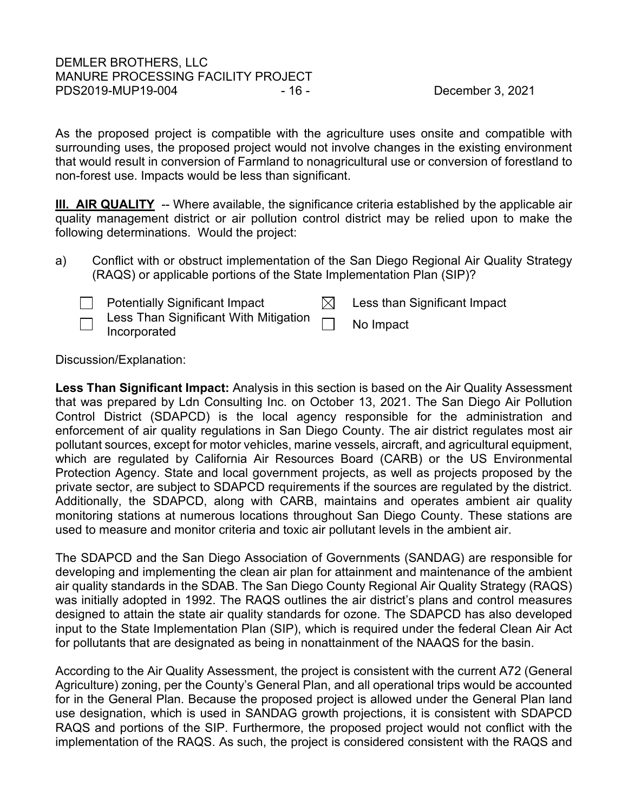As the proposed project is compatible with the agriculture uses onsite and compatible with surrounding uses, the proposed project would not involve changes in the existing environment that would result in conversion of Farmland to nonagricultural use or conversion of forestland to non-forest use. Impacts would be less than significant.

<span id="page-15-0"></span>**III. AIR QUALITY** -- Where available, the significance criteria established by the applicable air quality management district or air pollution control district may be relied upon to make the following determinations. Would the project:

a) Conflict with or obstruct implementation of the San Diego Regional Air Quality Strategy (RAQS) or applicable portions of the State Implementation Plan (SIP)?



 $\Box$  Potentially Significant Impact  $\Box$  Less than Significant Impact Less Than Significant With Mitigation

Less Than Significant With Mitigation **Information** No Impact

Discussion/Explanation:

**Less Than Significant Impact:** Analysis in this section is based on the Air Quality Assessment that was prepared by Ldn Consulting Inc. on October 13, 2021. The San Diego Air Pollution Control District (SDAPCD) is the local agency responsible for the administration and enforcement of air quality regulations in San Diego County. The air district regulates most air pollutant sources, except for motor vehicles, marine vessels, aircraft, and agricultural equipment, which are regulated by California Air Resources Board (CARB) or the US Environmental Protection Agency. State and local government projects, as well as projects proposed by the private sector, are subject to SDAPCD requirements if the sources are regulated by the district. Additionally, the SDAPCD, along with CARB, maintains and operates ambient air quality monitoring stations at numerous locations throughout San Diego County. These stations are used to measure and monitor criteria and toxic air pollutant levels in the ambient air.

The SDAPCD and the San Diego Association of Governments (SANDAG) are responsible for developing and implementing the clean air plan for attainment and maintenance of the ambient air quality standards in the SDAB. The San Diego County Regional Air Quality Strategy (RAQS) was initially adopted in 1992. The RAQS outlines the air district's plans and control measures designed to attain the state air quality standards for ozone. The SDAPCD has also developed input to the State Implementation Plan (SIP), which is required under the federal Clean Air Act for pollutants that are designated as being in nonattainment of the NAAQS for the basin.

According to the Air Quality Assessment, the project is consistent with the current A72 (General Agriculture) zoning, per the County's General Plan, and all operational trips would be accounted for in the General Plan. Because the proposed project is allowed under the General Plan land use designation, which is used in SANDAG growth projections, it is consistent with SDAPCD RAQS and portions of the SIP. Furthermore, the proposed project would not conflict with the implementation of the RAQS. As such, the project is considered consistent with the RAQS and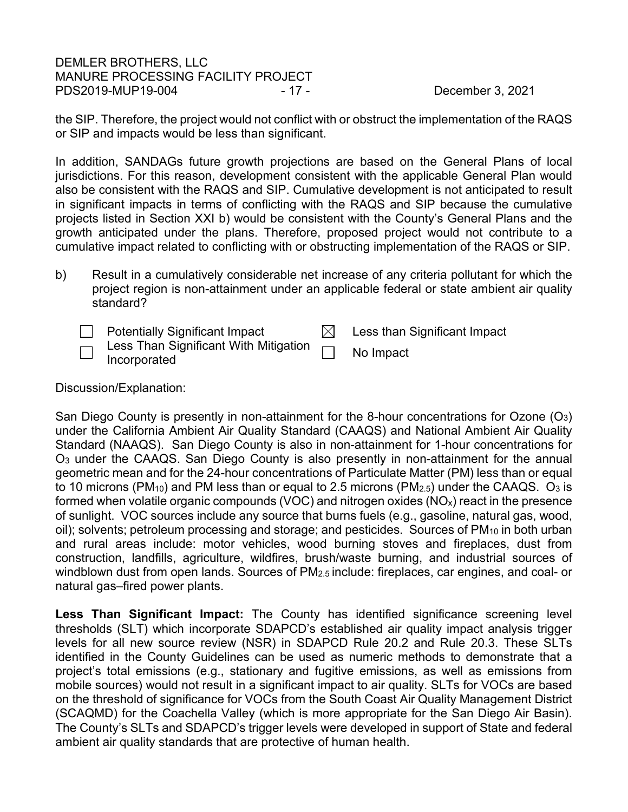## DEMLER BROTHERS, LLC MANURE PROCESSING FACILITY PROJECT PDS2019-MUP19-004 - 17 - 17 - December 3, 2021

the SIP. Therefore, the project would not conflict with or obstruct the implementation of the RAQS or SIP and impacts would be less than significant.

In addition, SANDAGs future growth projections are based on the General Plans of local jurisdictions. For this reason, development consistent with the applicable General Plan would also be consistent with the RAQS and SIP. Cumulative development is not anticipated to result in significant impacts in terms of conflicting with the RAQS and SIP because the cumulative projects listed in Section XXI b) would be consistent with the County's General Plans and the growth anticipated under the plans. Therefore, proposed project would not contribute to a cumulative impact related to conflicting with or obstructing implementation of the RAQS or SIP.

b) Result in a cumulatively considerable net increase of any criteria pollutant for which the project region is non-attainment under an applicable federal or state ambient air quality standard?

Potentially Significant Impact  $\boxtimes$  Less than Significant Impact Less Than Significant With Mitigation Less Than Significant With Mitigation **Informated** No Impact

Discussion/Explanation:

San Diego County is presently in non-attainment for the 8-hour concentrations for Ozone (O3) under the California Ambient Air Quality Standard (CAAQS) and National Ambient Air Quality Standard (NAAQS). San Diego County is also in non-attainment for 1-hour concentrations for O3 under the CAAQS. San Diego County is also presently in non-attainment for the annual geometric mean and for the 24-hour concentrations of Particulate Matter (PM) less than or equal to 10 microns (PM<sub>10</sub>) and PM less than or equal to 2.5 microns (PM<sub>2.5</sub>) under the CAAQS. O<sub>3</sub> is formed when volatile organic compounds (VOC) and nitrogen oxides ( $NO<sub>x</sub>$ ) react in the presence of sunlight. VOC sources include any source that burns fuels (e.g., gasoline, natural gas, wood, oil); solvents; petroleum processing and storage; and pesticides. Sources of PM<sub>10</sub> in both urban and rural areas include: motor vehicles, wood burning stoves and fireplaces, dust from construction, landfills, agriculture, wildfires, brush/waste burning, and industrial sources of windblown dust from open lands. Sources of PM<sub>2.5</sub> include: fireplaces, car engines, and coal- or natural gas–fired power plants.

**Less Than Significant Impact:** The County has identified significance screening level thresholds (SLT) which incorporate SDAPCD's established air quality impact analysis trigger levels for all new source review (NSR) in SDAPCD Rule 20.2 and Rule 20.3. These SLTs identified in the County Guidelines can be used as numeric methods to demonstrate that a project's total emissions (e.g., stationary and fugitive emissions, as well as emissions from mobile sources) would not result in a significant impact to air quality. SLTs for VOCs are based on the threshold of significance for VOCs from the South Coast Air Quality Management District (SCAQMD) for the Coachella Valley (which is more appropriate for the San Diego Air Basin). The County's SLTs and SDAPCD's trigger levels were developed in support of State and federal ambient air quality standards that are protective of human health.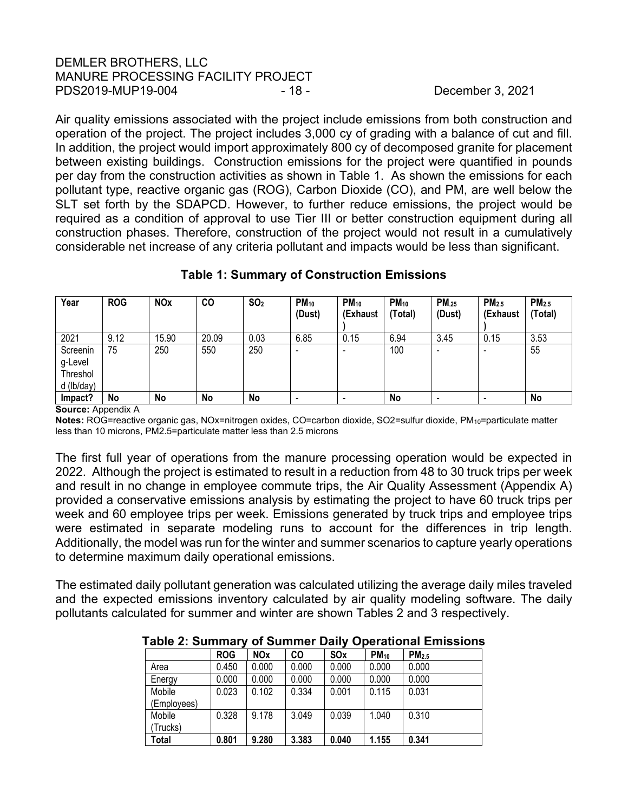# DEMLER BROTHERS, LLC MANURE PROCESSING FACILITY PROJECT PDS2019-MUP19-004 - 18 - 18 - December 3, 2021

Air quality emissions associated with the project include emissions from both construction and operation of the project. The project includes 3,000 cy of grading with a balance of cut and fill. In addition, the project would import approximately 800 cy of decomposed granite for placement between existing buildings. Construction emissions for the project were quantified in pounds per day from the construction activities as shown in Table 1. As shown the emissions for each pollutant type, reactive organic gas (ROG), Carbon Dioxide (CO), and PM, are well below the SLT set forth by the SDAPCD. However, to further reduce emissions, the project would be required as a condition of approval to use Tier III or better construction equipment during all construction phases. Therefore, construction of the project would not result in a cumulatively considerable net increase of any criteria pollutant and impacts would be less than significant.

| Year                                          | <b>ROG</b> | <b>NOx</b> | <b>CO</b> | SO <sub>2</sub> | $PM_{10}$<br>(Dust) | $PM_{10}$<br>(Exhaust    | $PM_{10}$<br>(Total) | <b>PM.25</b><br>(Dust) | PM <sub>2.5</sub><br>(Exhaust | PM <sub>2.5</sub><br>(Total) |
|-----------------------------------------------|------------|------------|-----------|-----------------|---------------------|--------------------------|----------------------|------------------------|-------------------------------|------------------------------|
| 2021                                          | 9.12       | 15.90      | 20.09     | 0.03            | 6.85                | 0.15                     | 6.94                 | 3.45                   | 0.15                          | 3.53                         |
| Screenin<br>g-Level<br>Threshol<br>d (lb/day) | 75         | 250        | 550       | 250             |                     | $\overline{\phantom{a}}$ | 100                  | -                      | -                             | 55                           |
| Impact?                                       | No         | No         | No        | No              |                     |                          | No                   |                        |                               | No                           |

# **Table 1: Summary of Construction Emissions**

#### **Source:** Appendix A

**Notes:** ROG=reactive organic gas, NOx=nitrogen oxides, CO=carbon dioxide, SO2=sulfur dioxide, PM10=particulate matter less than 10 microns, PM2.5=particulate matter less than 2.5 microns

The first full year of operations from the manure processing operation would be expected in 2022. Although the project is estimated to result in a reduction from 48 to 30 truck trips per week and result in no change in employee commute trips, the Air Quality Assessment (Appendix A) provided a conservative emissions analysis by estimating the project to have 60 truck trips per week and 60 employee trips per week. Emissions generated by truck trips and employee trips were estimated in separate modeling runs to account for the differences in trip length. Additionally, the model was run for the winter and summer scenarios to capture yearly operations to determine maximum daily operational emissions.

The estimated daily pollutant generation was calculated utilizing the average daily miles traveled and the expected emissions inventory calculated by air quality modeling software. The daily pollutants calculated for summer and winter are shown Tables 2 and 3 respectively.

|             | .          |            | ---   |            | PULANULIAI EIIIIVUIVIIV |                   |
|-------------|------------|------------|-------|------------|-------------------------|-------------------|
|             | <b>ROG</b> | <b>NOx</b> | CO    | <b>SOx</b> | $PM_{10}$               | PM <sub>2.5</sub> |
| Area        | 0.450      | 0.000      | 0.000 | 0.000      | 0.000                   | 0.000             |
| Energy      | 0.000      | 0.000      | 0.000 | 0.000      | 0.000                   | 0.000             |
| Mobile      | 0.023      | 0.102      | 0.334 | 0.001      | 0.115                   | 0.031             |
| (Employees) |            |            |       |            |                         |                   |
| Mobile      | 0.328      | 9.178      | 3.049 | 0.039      | 1.040                   | 0.310             |
| (Trucks)    |            |            |       |            |                         |                   |
| Total       | 0.801      | 9.280      | 3.383 | 0.040      | 1.155                   | 0.341             |

**Table 2: Summary of Summer Daily Operational Emissions**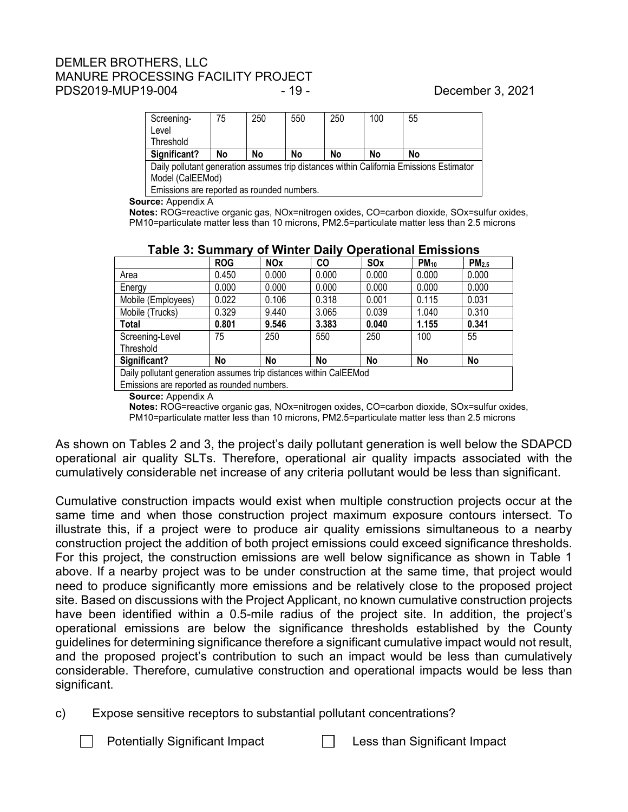# DEMLER BROTHERS, LLC MANURE PROCESSING FACILITY PROJECT PDS2019-MUP19-004 - 19 - 19 - December 3, 2021

| Screening-                                                                                     | 75 | 250 | 550 | 250 | 100 | 55 |
|------------------------------------------------------------------------------------------------|----|-----|-----|-----|-----|----|
| Level                                                                                          |    |     |     |     |     |    |
| Threshold                                                                                      |    |     |     |     |     |    |
| Significant?                                                                                   | No | No  | No  | No  | No  | No |
| $\Box$ Daily pollutant generation assumes trip distances within California Emissions Estimator |    |     |     |     |     |    |

Daily pollutant generation assumes trip distances within California Emissions Estimator Model (CalEEMod)

Emissions are reported as rounded numbers.

**Source:** Appendix A

**Notes:** ROG=reactive organic gas, NOx=nitrogen oxides, CO=carbon dioxide, SOx=sulfur oxides, PM10=particulate matter less than 10 microns, PM2.5=particulate matter less than 2.5 microns

|                                                                   | <b>ROG</b> | <b>NOx</b> | CO    | SOx   | $PM_{10}$ | PM <sub>2.5</sub> |
|-------------------------------------------------------------------|------------|------------|-------|-------|-----------|-------------------|
| Area                                                              | 0.450      | 0.000      | 0.000 | 0.000 | 0.000     | 0.000             |
| Energy                                                            | 0.000      | 0.000      | 0.000 | 0.000 | 0.000     | 0.000             |
| Mobile (Employees)                                                | 0.022      | 0.106      | 0.318 | 0.001 | 0.115     | 0.031             |
| Mobile (Trucks)                                                   | 0.329      | 9.440      | 3.065 | 0.039 | 1.040     | 0.310             |
| Total                                                             | 0.801      | 9.546      | 3.383 | 0.040 | 1.155     | 0.341             |
| Screening-Level                                                   | 75         | 250        | 550   | 250   | 100       | 55                |
| Threshold                                                         |            |            |       |       |           |                   |
| Significant?                                                      | No         | <b>No</b>  | No    | No    | No        | No                |
| Daily pollutant generation assumes trip distances within CalEEMod |            |            |       |       |           |                   |
| Emissions are reported as rounded numbers.                        |            |            |       |       |           |                   |

# **Table 3: Summary of Winter Daily Operational Emissions**

**Source:** Appendix A

**Notes:** ROG=reactive organic gas, NOx=nitrogen oxides, CO=carbon dioxide, SOx=sulfur oxides, PM10=particulate matter less than 10 microns, PM2.5=particulate matter less than 2.5 microns

As shown on Tables 2 and 3, the project's daily pollutant generation is well below the SDAPCD operational air quality SLTs. Therefore, operational air quality impacts associated with the cumulatively considerable net increase of any criteria pollutant would be less than significant.

Cumulative construction impacts would exist when multiple construction projects occur at the same time and when those construction project maximum exposure contours intersect. To illustrate this, if a project were to produce air quality emissions simultaneous to a nearby construction project the addition of both project emissions could exceed significance thresholds. For this project, the construction emissions are well below significance as shown in Table 1 above. If a nearby project was to be under construction at the same time, that project would need to produce significantly more emissions and be relatively close to the proposed project site. Based on discussions with the Project Applicant, no known cumulative construction projects have been identified within a 0.5-mile radius of the project site. In addition, the project's operational emissions are below the significance thresholds established by the County guidelines for determining significance therefore a significant cumulative impact would not result, and the proposed project's contribution to such an impact would be less than cumulatively considerable. Therefore, cumulative construction and operational impacts would be less than significant.

- c) Expose sensitive receptors to substantial pollutant concentrations?
	- Potentially Significant Impact  $\Box$  Less than Significant Impact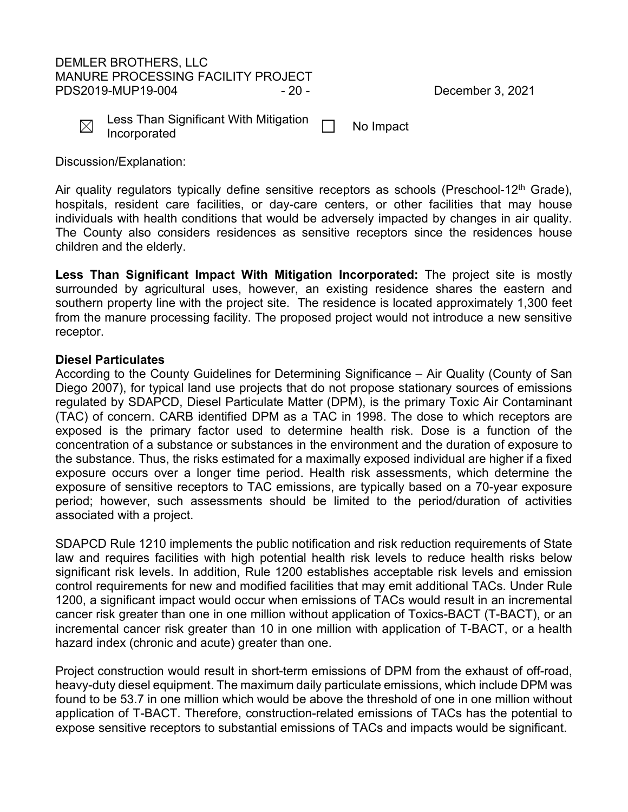## DEMLER BROTHERS, LLC MANURE PROCESSING FACILITY PROJECT PDS2019-MUP19-004 - 20 - 20 - 20 - December 3, 2021



Less Than Significant With Mitigation Less Than Significant With Mitigation [13] No Impact

Discussion/Explanation:

Air quality regulators typically define sensitive receptors as schools (Preschool-12<sup>th</sup> Grade), hospitals, resident care facilities, or day-care centers, or other facilities that may house individuals with health conditions that would be adversely impacted by changes in air quality. The County also considers residences as sensitive receptors since the residences house children and the elderly.

**Less Than Significant Impact With Mitigation Incorporated:** The project site is mostly surrounded by agricultural uses, however, an existing residence shares the eastern and southern property line with the project site. The residence is located approximately 1,300 feet from the manure processing facility. The proposed project would not introduce a new sensitive receptor.

## **Diesel Particulates**

According to the County Guidelines for Determining Significance – Air Quality (County of San Diego 2007), for typical land use projects that do not propose stationary sources of emissions regulated by SDAPCD, Diesel Particulate Matter (DPM), is the primary Toxic Air Contaminant (TAC) of concern. CARB identified DPM as a TAC in 1998. The dose to which receptors are exposed is the primary factor used to determine health risk. Dose is a function of the concentration of a substance or substances in the environment and the duration of exposure to the substance. Thus, the risks estimated for a maximally exposed individual are higher if a fixed exposure occurs over a longer time period. Health risk assessments, which determine the exposure of sensitive receptors to TAC emissions, are typically based on a 70-year exposure period; however, such assessments should be limited to the period/duration of activities associated with a project.

SDAPCD Rule 1210 implements the public notification and risk reduction requirements of State law and requires facilities with high potential health risk levels to reduce health risks below significant risk levels. In addition, Rule 1200 establishes acceptable risk levels and emission control requirements for new and modified facilities that may emit additional TACs. Under Rule 1200, a significant impact would occur when emissions of TACs would result in an incremental cancer risk greater than one in one million without application of Toxics-BACT (T-BACT), or an incremental cancer risk greater than 10 in one million with application of T-BACT, or a health hazard index (chronic and acute) greater than one.

Project construction would result in short-term emissions of DPM from the exhaust of off-road, heavy-duty diesel equipment. The maximum daily particulate emissions, which include DPM was found to be 53.7 in one million which would be above the threshold of one in one million without application of T-BACT. Therefore, construction-related emissions of TACs has the potential to expose sensitive receptors to substantial emissions of TACs and impacts would be significant.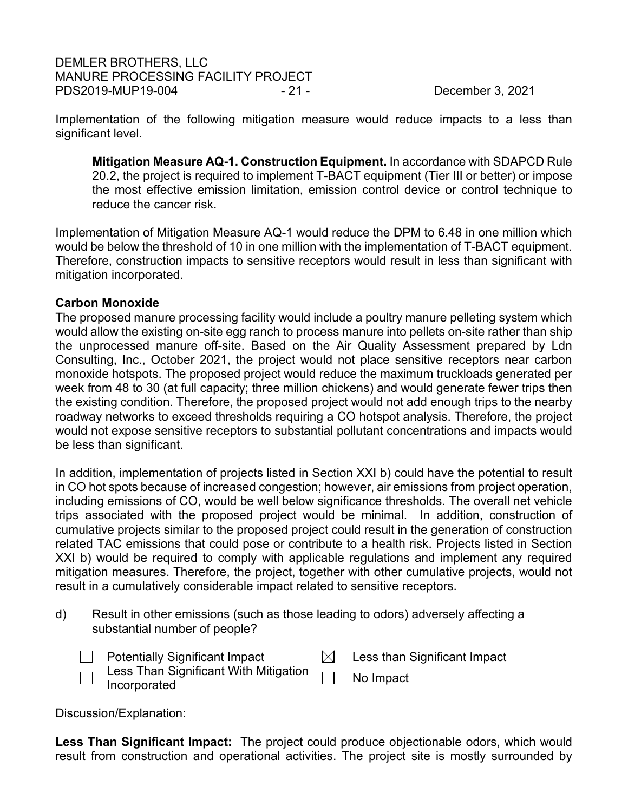DEMLER BROTHERS, LLC MANURE PROCESSING FACILITY PROJECT PDS2019-MUP19-004 - 21 - 21 - December 3, 2021

Implementation of the following mitigation measure would reduce impacts to a less than significant level.

**Mitigation Measure AQ-1. Construction Equipment.** In accordance with SDAPCD Rule 20.2, the project is required to implement T-BACT equipment (Tier III or better) or impose the most effective emission limitation, emission control device or control technique to reduce the cancer risk.

Implementation of Mitigation Measure AQ-1 would reduce the DPM to 6.48 in one million which would be below the threshold of 10 in one million with the implementation of T-BACT equipment. Therefore, construction impacts to sensitive receptors would result in less than significant with mitigation incorporated.

# **Carbon Monoxide**

The proposed manure processing facility would include a poultry manure pelleting system which would allow the existing on-site egg ranch to process manure into pellets on-site rather than ship the unprocessed manure off-site. Based on the Air Quality Assessment prepared by Ldn Consulting, Inc., October 2021, the project would not place sensitive receptors near carbon monoxide hotspots. The proposed project would reduce the maximum truckloads generated per week from 48 to 30 (at full capacity; three million chickens) and would generate fewer trips then the existing condition. Therefore, the proposed project would not add enough trips to the nearby roadway networks to exceed thresholds requiring a CO hotspot analysis. Therefore, the project would not expose sensitive receptors to substantial pollutant concentrations and impacts would be less than significant.

In addition, implementation of projects listed in Section XXI b) could have the potential to result in CO hot spots because of increased congestion; however, air emissions from project operation, including emissions of CO, would be well below significance thresholds. The overall net vehicle trips associated with the proposed project would be minimal. In addition, construction of cumulative projects similar to the proposed project could result in the generation of construction related TAC emissions that could pose or contribute to a health risk. Projects listed in Section XXI b) would be required to comply with applicable regulations and implement any required mitigation measures. Therefore, the project, together with other cumulative projects, would not result in a cumulatively considerable impact related to sensitive receptors.

d) Result in other emissions (such as those leading to odors) adversely affecting a substantial number of people?



Potentially Significant Impact  $\boxtimes$  Less than Significant Impact Less Than Significant With Mitigation

Less Than Significant with Mitigation **Impact**<br>Incorporated

Discussion/Explanation:

**Less Than Significant Impact:** The project could produce objectionable odors, which would result from construction and operational activities. The project site is mostly surrounded by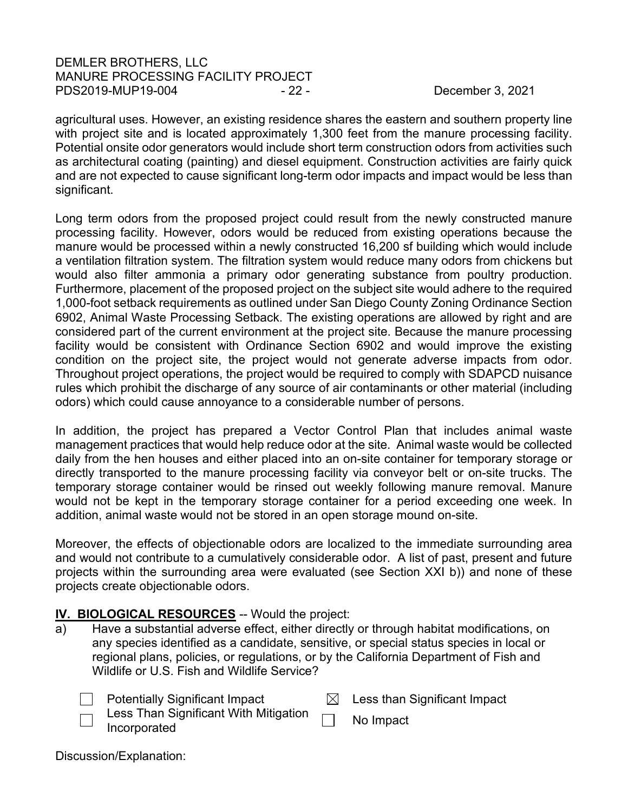# DEMLER BROTHERS, LLC MANURE PROCESSING FACILITY PROJECT PDS2019-MUP19-004 - 22 - 22 - December 3, 2021

agricultural uses. However, an existing residence shares the eastern and southern property line with project site and is located approximately 1,300 feet from the manure processing facility. Potential onsite odor generators would include short term construction odors from activities such as architectural coating (painting) and diesel equipment. Construction activities are fairly quick and are not expected to cause significant long-term odor impacts and impact would be less than significant.

Long term odors from the proposed project could result from the newly constructed manure processing facility. However, odors would be reduced from existing operations because the manure would be processed within a newly constructed 16,200 sf building which would include a ventilation filtration system. The filtration system would reduce many odors from chickens but would also filter ammonia a primary odor generating substance from poultry production. Furthermore, placement of the proposed project on the subject site would adhere to the required 1,000-foot setback requirements as outlined under San Diego County Zoning Ordinance Section 6902, Animal Waste Processing Setback. The existing operations are allowed by right and are considered part of the current environment at the project site. Because the manure processing facility would be consistent with Ordinance Section 6902 and would improve the existing condition on the project site, the project would not generate adverse impacts from odor. Throughout project operations, the project would be required to comply with SDAPCD nuisance rules which prohibit the discharge of any source of air contaminants or other material (including odors) which could cause annoyance to a considerable number of persons.

In addition, the project has prepared a Vector Control Plan that includes animal waste management practices that would help reduce odor at the site. Animal waste would be collected daily from the hen houses and either placed into an on-site container for temporary storage or directly transported to the manure processing facility via conveyor belt or on-site trucks. The temporary storage container would be rinsed out weekly following manure removal. Manure would not be kept in the temporary storage container for a period exceeding one week. In addition, animal waste would not be stored in an open storage mound on-site.

Moreover, the effects of objectionable odors are localized to the immediate surrounding area and would not contribute to a cumulatively considerable odor. A list of past, present and future projects within the surrounding area were evaluated (see Section XXI b)) and none of these projects create objectionable odors.

# <span id="page-21-0"></span>**IV. BIOLOGICAL RESOURCES -- Would the project:**

a) Have a substantial adverse effect, either directly or through habitat modifications, on any species identified as a candidate, sensitive, or special status species in local or regional plans, policies, or regulations, or by the California Department of Fish and Wildlife or U.S. Fish and Wildlife Service?

Potentially Significant Impact  $\boxtimes$  Less than Significant Impact

Less Than Significant With Mitigation Less Than Significant With Mitigation **No Impact**<br>Incorporated

Discussion/Explanation: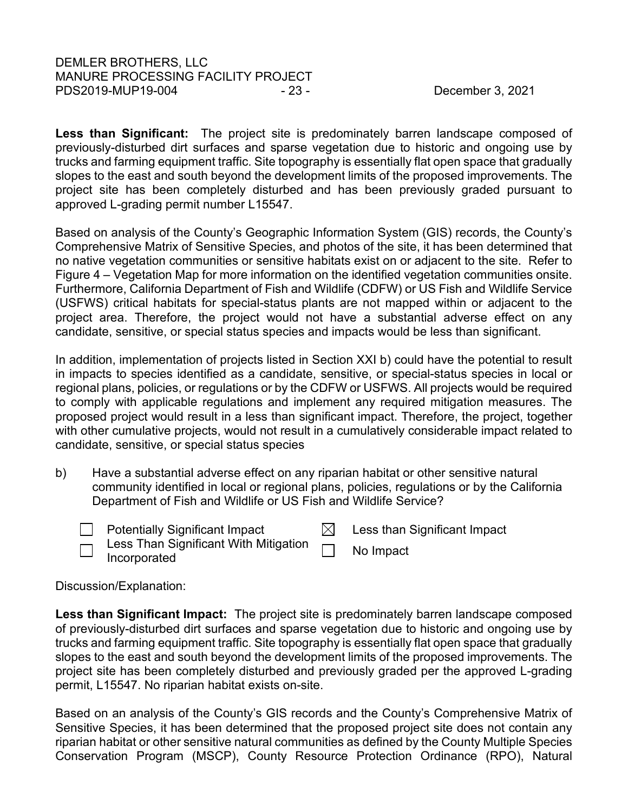**Less than Significant:** The project site is predominately barren landscape composed of previously-disturbed dirt surfaces and sparse vegetation due to historic and ongoing use by trucks and farming equipment traffic. Site topography is essentially flat open space that gradually slopes to the east and south beyond the development limits of the proposed improvements. The project site has been completely disturbed and has been previously graded pursuant to approved L-grading permit number L15547.

Based on analysis of the County's Geographic Information System (GIS) records, the County's Comprehensive Matrix of Sensitive Species, and photos of the site, it has been determined that no native vegetation communities or sensitive habitats exist on or adjacent to the site. Refer to Figure 4 – Vegetation Map for more information on the identified vegetation communities onsite. Furthermore, California Department of Fish and Wildlife (CDFW) or US Fish and Wildlife Service (USFWS) critical habitats for special-status plants are not mapped within or adjacent to the project area. Therefore, the project would not have a substantial adverse effect on any candidate, sensitive, or special status species and impacts would be less than significant.

In addition, implementation of projects listed in Section XXI b) could have the potential to result in impacts to species identified as a candidate, sensitive, or special-status species in local or regional plans, policies, or regulations or by the CDFW or USFWS. All projects would be required to comply with applicable regulations and implement any required mitigation measures. The proposed project would result in a less than significant impact. Therefore, the project, together with other cumulative projects, would not result in a cumulatively considerable impact related to candidate, sensitive, or special status species

b) Have a substantial adverse effect on any riparian habitat or other sensitive natural community identified in local or regional plans, policies, regulations or by the California Department of Fish and Wildlife or US Fish and Wildlife Service?

| <b>Potentially Significant Impact</b> | Less than Significant Impact |
|---------------------------------------|------------------------------|
| Less Than Significant With Mitigation |                              |

Less Than Significant With Mitigation Incorporated No Impact

Discussion/Explanation:

**Less than Significant Impact:** The project site is predominately barren landscape composed of previously-disturbed dirt surfaces and sparse vegetation due to historic and ongoing use by trucks and farming equipment traffic. Site topography is essentially flat open space that gradually slopes to the east and south beyond the development limits of the proposed improvements. The project site has been completely disturbed and previously graded per the approved L-grading permit, L15547. No riparian habitat exists on-site.

Based on an analysis of the County's GIS records and the County's Comprehensive Matrix of Sensitive Species, it has been determined that the proposed project site does not contain any riparian habitat or other sensitive natural communities as defined by the County Multiple Species Conservation Program (MSCP), County Resource Protection Ordinance (RPO), Natural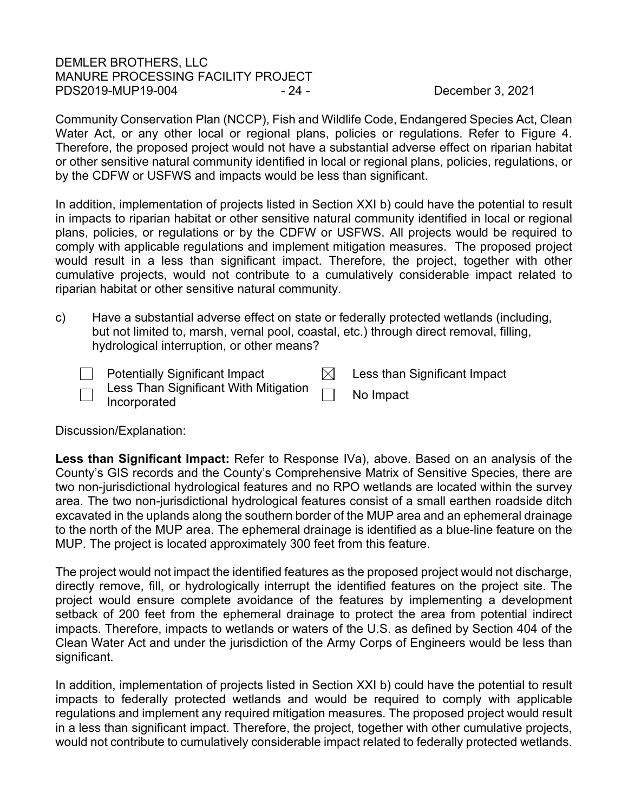# DEMLER BROTHERS, LLC MANURE PROCESSING FACILITY PROJECT PDS2019-MUP19-004 - 24 - 24 - December 3, 2021

Community Conservation Plan (NCCP), Fish and Wildlife Code, Endangered Species Act, Clean Water Act, or any other local or regional plans, policies or regulations. Refer to Figure 4. Therefore, the proposed project would not have a substantial adverse effect on riparian habitat or other sensitive natural community identified in local or regional plans, policies, regulations, or by the CDFW or USFWS and impacts would be less than significant.

In addition, implementation of projects listed in Section XXI b) could have the potential to result in impacts to riparian habitat or other sensitive natural community identified in local or regional plans, policies, or regulations or by the CDFW or USFWS. All projects would be required to comply with applicable regulations and implement mitigation measures. The proposed project would result in a less than significant impact. Therefore, the project, together with other cumulative projects, would not contribute to a cumulatively considerable impact related to riparian habitat or other sensitive natural community.

c) Have a substantial adverse effect on state or federally protected wetlands (including, but not limited to, marsh, vernal pool, coastal, etc.) through direct removal, filling, hydrological interruption, or other means?

|                          | <b>Potentially Significant Impact</b>                 | Less than Significant Impact |
|--------------------------|-------------------------------------------------------|------------------------------|
| $\overline{\phantom{0}}$ | Less Than Significant With Mitigation<br>Incorporated | No Impact                    |

Discussion/Explanation:

**Less than Significant Impact:** Refer to Response IVa), above. Based on an analysis of the County's GIS records and the County's Comprehensive Matrix of Sensitive Species, there are two non-jurisdictional hydrological features and no RPO wetlands are located within the survey area. The two non-jurisdictional hydrological features consist of a small earthen roadside ditch excavated in the uplands along the southern border of the MUP area and an ephemeral drainage to the north of the MUP area. The ephemeral drainage is identified as a blue-line feature on the MUP. The project is located approximately 300 feet from this feature.

The project would not impact the identified features as the proposed project would not discharge, directly remove, fill, or hydrologically interrupt the identified features on the project site. The project would ensure complete avoidance of the features by implementing a development setback of 200 feet from the ephemeral drainage to protect the area from potential indirect impacts. Therefore, impacts to wetlands or waters of the U.S. as defined by Section 404 of the Clean Water Act and under the jurisdiction of the Army Corps of Engineers would be less than significant.

In addition, implementation of projects listed in Section XXI b) could have the potential to result impacts to federally protected wetlands and would be required to comply with applicable regulations and implement any required mitigation measures. The proposed project would result in a less than significant impact. Therefore, the project, together with other cumulative projects, would not contribute to cumulatively considerable impact related to federally protected wetlands.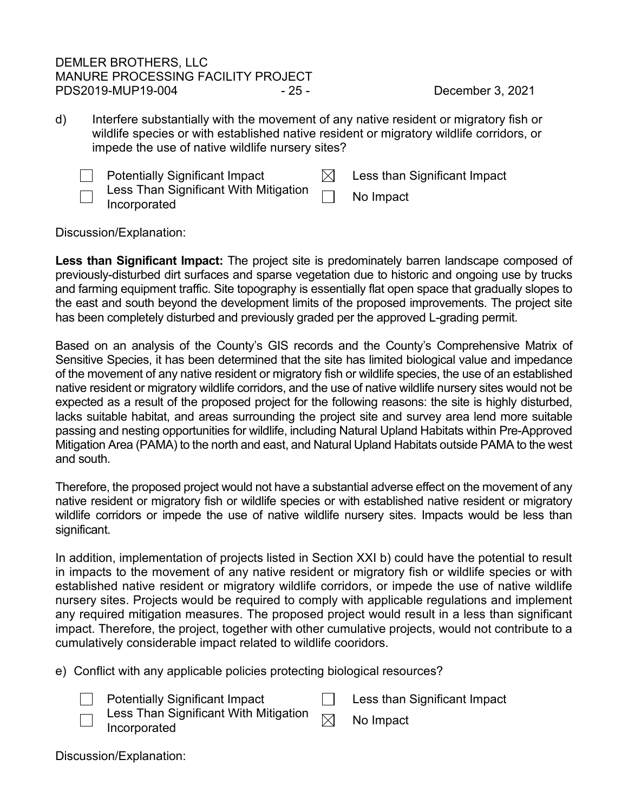# DEMLER BROTHERS, LLC MANURE PROCESSING FACILITY PROJECT PDS2019-MUP19-004 - 25 - 25 - December 3, 2021

d) Interfere substantially with the movement of any native resident or migratory fish or wildlife species or with established native resident or migratory wildlife corridors, or impede the use of native wildlife nursery sites?



Potentially Significant Impact  $\boxtimes$  Less than Significant Impact

Less Than Significant With Mitigation Less Than Significant With Mitigation [13] No Impact

Discussion/Explanation:

**Less than Significant Impact:** The project site is predominately barren landscape composed of previously-disturbed dirt surfaces and sparse vegetation due to historic and ongoing use by trucks and farming equipment traffic. Site topography is essentially flat open space that gradually slopes to the east and south beyond the development limits of the proposed improvements. The project site has been completely disturbed and previously graded per the approved L-grading permit.

Based on an analysis of the County's GIS records and the County's Comprehensive Matrix of Sensitive Species, it has been determined that the site has limited biological value and impedance of the movement of any native resident or migratory fish or wildlife species, the use of an established native resident or migratory wildlife corridors, and the use of native wildlife nursery sites would not be expected as a result of the proposed project for the following reasons: the site is highly disturbed, lacks suitable habitat, and areas surrounding the project site and survey area lend more suitable passing and nesting opportunities for wildlife, including Natural Upland Habitats within Pre-Approved Mitigation Area (PAMA) to the north and east, and Natural Upland Habitats outside PAMA to the west and south.

Therefore, the proposed project would not have a substantial adverse effect on the movement of any native resident or migratory fish or wildlife species or with established native resident or migratory wildlife corridors or impede the use of native wildlife nursery sites. Impacts would be less than significant.

In addition, implementation of projects listed in Section XXI b) could have the potential to result in impacts to the movement of any native resident or migratory fish or wildlife species or with established native resident or migratory wildlife corridors, or impede the use of native wildlife nursery sites. Projects would be required to comply with applicable regulations and implement any required mitigation measures. The proposed project would result in a less than significant impact. Therefore, the project, together with other cumulative projects, would not contribute to a cumulatively considerable impact related to wildlife cooridors.

e) Conflict with any applicable policies protecting biological resources?

Potentially Significant Impact  $\Box$  Less than Significant Impact



Less Than Significant With Mitigation

 $L$ ess Than Significant with Mitigation  $\boxtimes$  No Impact Incorporated

Discussion/Explanation: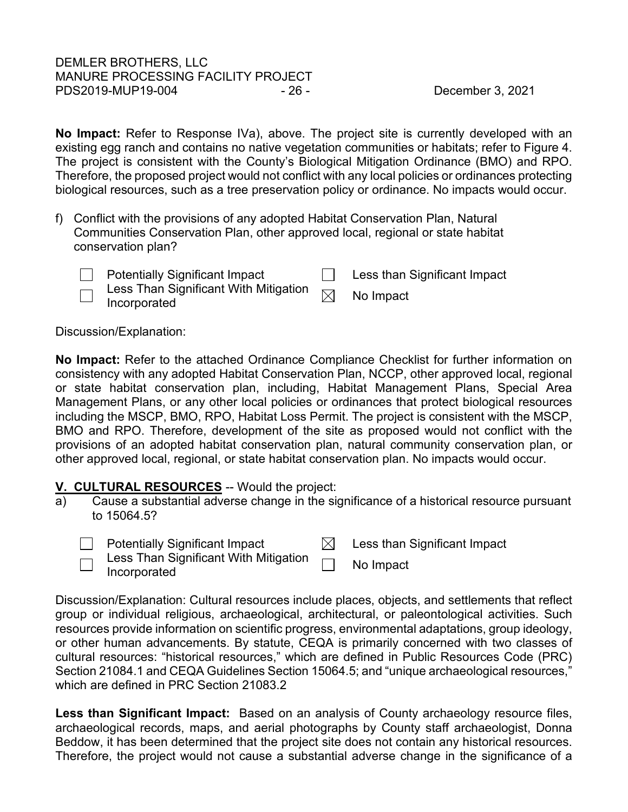**No Impact:** Refer to Response IVa), above. The project site is currently developed with an existing egg ranch and contains no native vegetation communities or habitats; refer to Figure 4. The project is consistent with the County's Biological Mitigation Ordinance (BMO) and RPO. Therefore, the proposed project would not conflict with any local policies or ordinances protecting biological resources, such as a tree preservation policy or ordinance. No impacts would occur.

- f) Conflict with the provisions of any adopted Habitat Conservation Plan, Natural Communities Conservation Plan, other approved local, regional or state habitat conservation plan?
	-

Potentially Significant Impact **Less than Significant Impact** Less Than Significant With Mitigation

 $L$ ess Than Significant with Mitigation  $\boxtimes$  No Impact Incorporated

# Discussion/Explanation:

**No Impact:** Refer to the attached Ordinance Compliance Checklist for further information on consistency with any adopted Habitat Conservation Plan, NCCP, other approved local, regional or state habitat conservation plan, including, Habitat Management Plans, Special Area Management Plans, or any other local policies or ordinances that protect biological resources including the MSCP, BMO, RPO, Habitat Loss Permit. The project is consistent with the MSCP, BMO and RPO. Therefore, development of the site as proposed would not conflict with the provisions of an adopted habitat conservation plan, natural community conservation plan, or other approved local, regional, or state habitat conservation plan. No impacts would occur.

# <span id="page-25-0"></span>**V. CULTURAL RESOURCES** -- Would the project:

- a) Cause a substantial adverse change in the significance of a historical resource pursuant to 15064.5?
	- Potentially Significant Impact  $\boxtimes$  Less than Significant Impact
		-
		- Less Than Significant With Mitigation Incorporated No Impact

Discussion/Explanation: Cultural resources include places, objects, and settlements that reflect group or individual religious, archaeological, architectural, or paleontological activities. Such resources provide information on scientific progress, environmental adaptations, group ideology, or other human advancements. By statute, CEQA is primarily concerned with two classes of cultural resources: "historical resources," which are defined in Public Resources Code (PRC) Section 21084.1 and CEQA Guidelines Section 15064.5; and "unique archaeological resources," which are defined in PRC Section 21083.2

**Less than Significant Impact:** Based on an analysis of County archaeology resource files, archaeological records, maps, and aerial photographs by County staff archaeologist, Donna Beddow, it has been determined that the project site does not contain any historical resources. Therefore, the project would not cause a substantial adverse change in the significance of a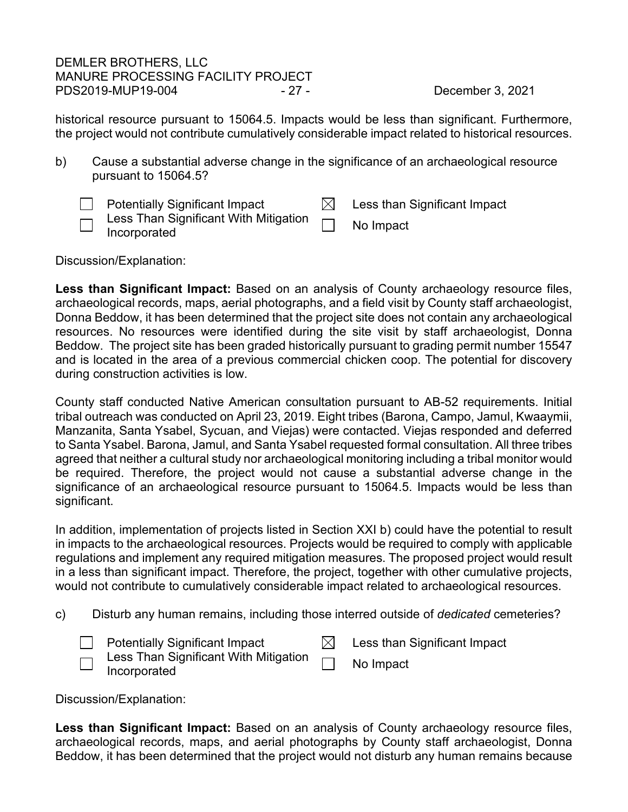# DEMLER BROTHERS, LLC MANURE PROCESSING FACILITY PROJECT PDS2019-MUP19-004 - 27 - 27 - December 3, 2021

historical resource pursuant to 15064.5. Impacts would be less than significant. Furthermore, the project would not contribute cumulatively considerable impact related to historical resources.

b) Cause a substantial adverse change in the significance of an archaeological resource pursuant to 15064.5?

| Potentially Significant Impact                                             | $\boxtimes$ Less than Significant Impact |
|----------------------------------------------------------------------------|------------------------------------------|
| $\Box$ Less Than Significant With Mitigation $\Box$<br>$\Box$ Incorporated | No Impact                                |

Discussion/Explanation:

**Less than Significant Impact:** Based on an analysis of County archaeology resource files, archaeological records, maps, aerial photographs, and a field visit by County staff archaeologist, Donna Beddow, it has been determined that the project site does not contain any archaeological resources. No resources were identified during the site visit by staff archaeologist, Donna Beddow. The project site has been graded historically pursuant to grading permit number 15547 and is located in the area of a previous commercial chicken coop. The potential for discovery during construction activities is low.

County staff conducted Native American consultation pursuant to AB-52 requirements. Initial tribal outreach was conducted on April 23, 2019. Eight tribes (Barona, Campo, Jamul, Kwaaymii, Manzanita, Santa Ysabel, Sycuan, and Viejas) were contacted. Viejas responded and deferred to Santa Ysabel. Barona, Jamul, and Santa Ysabel requested formal consultation. All three tribes agreed that neither a cultural study nor archaeological monitoring including a tribal monitor would be required. Therefore, the project would not cause a substantial adverse change in the significance of an archaeological resource pursuant to 15064.5. Impacts would be less than significant.

In addition, implementation of projects listed in Section XXI b) could have the potential to result in impacts to the archaeological resources. Projects would be required to comply with applicable regulations and implement any required mitigation measures. The proposed project would result in a less than significant impact. Therefore, the project, together with other cumulative projects, would not contribute to cumulatively considerable impact related to archaeological resources.

c) Disturb any human remains, including those interred outside of *dedicated* cemeteries?



Discussion/Explanation:

**Less than Significant Impact:** Based on an analysis of County archaeology resource files, archaeological records, maps, and aerial photographs by County staff archaeologist, Donna Beddow, it has been determined that the project would not disturb any human remains because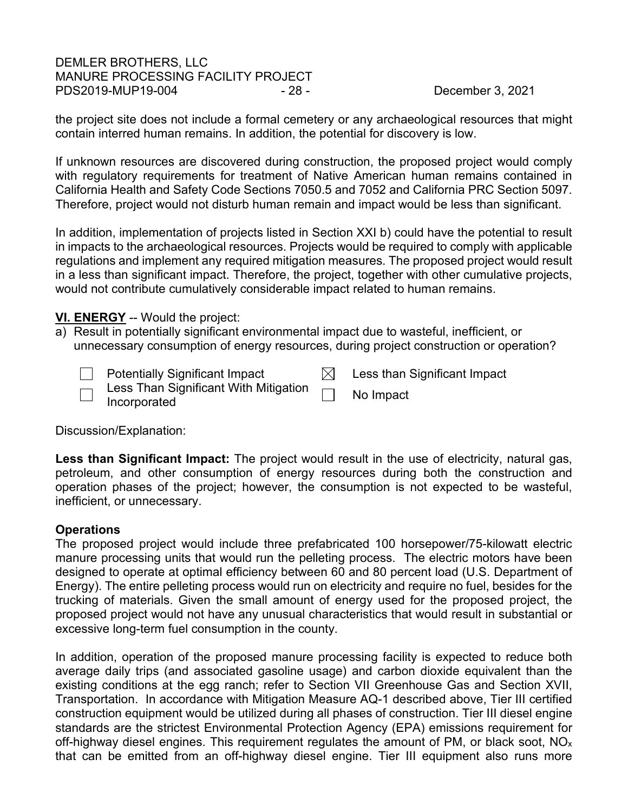# DEMLER BROTHERS, LLC MANURE PROCESSING FACILITY PROJECT PDS2019-MUP19-004 - 28 - 28 - 28 - December 3, 2021

the project site does not include a formal cemetery or any archaeological resources that might contain interred human remains. In addition, the potential for discovery is low.

If unknown resources are discovered during construction, the proposed project would comply with regulatory requirements for treatment of Native American human remains contained in California Health and Safety Code Sections 7050.5 and 7052 and California PRC Section 5097. Therefore, project would not disturb human remain and impact would be less than significant.

In addition, implementation of projects listed in Section XXI b) could have the potential to result in impacts to the archaeological resources. Projects would be required to comply with applicable regulations and implement any required mitigation measures. The proposed project would result in a less than significant impact. Therefore, the project, together with other cumulative projects, would not contribute cumulatively considerable impact related to human remains.

# <span id="page-27-0"></span>**VI. ENERGY** -- Would the project:

a) Result in potentially significant environmental impact due to wasteful, inefficient, or unnecessary consumption of energy resources, during project construction or operation?



Discussion/Explanation:

**Less than Significant Impact:** The project would result in the use of electricity, natural gas, petroleum, and other consumption of energy resources during both the construction and operation phases of the project; however, the consumption is not expected to be wasteful, inefficient, or unnecessary.

# **Operations**

The proposed project would include three prefabricated 100 horsepower/75-kilowatt electric manure processing units that would run the pelleting process. The electric motors have been designed to operate at optimal efficiency between 60 and 80 percent load (U.S. Department of Energy). The entire pelleting process would run on electricity and require no fuel, besides for the trucking of materials. Given the small amount of energy used for the proposed project, the proposed project would not have any unusual characteristics that would result in substantial or excessive long-term fuel consumption in the county.

In addition, operation of the proposed manure processing facility is expected to reduce both average daily trips (and associated gasoline usage) and carbon dioxide equivalent than the existing conditions at the egg ranch; refer to Section VII Greenhouse Gas and Section XVII, Transportation. In accordance with Mitigation Measure AQ-1 described above, Tier III certified construction equipment would be utilized during all phases of construction. Tier III diesel engine standards are the strictest Environmental Protection Agency (EPA) emissions requirement for off-highway diesel engines. This requirement regulates the amount of PM, or black soot,  $NO<sub>x</sub>$ that can be emitted from an off-highway diesel engine. Tier III equipment also runs more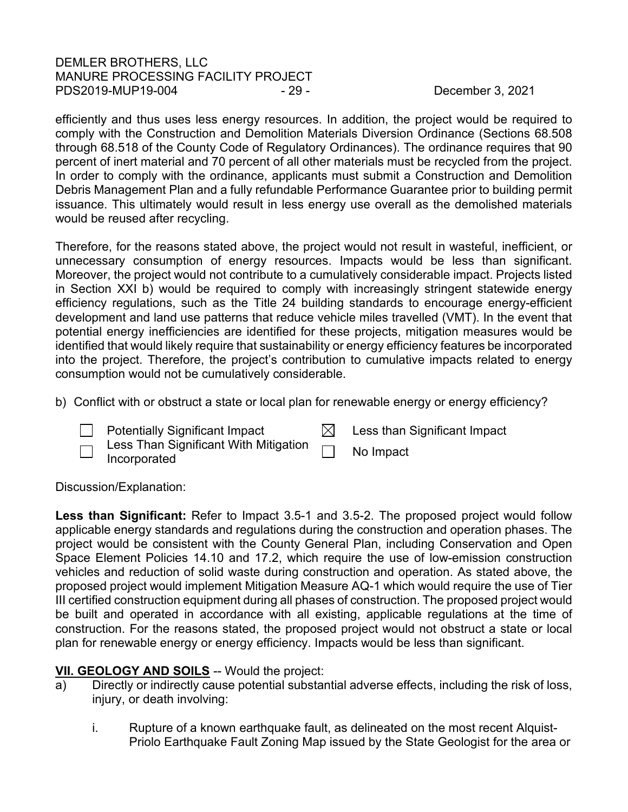# DEMLER BROTHERS, LLC MANURE PROCESSING FACILITY PROJECT PDS2019-MUP19-004 - 29 - 29 - December 3, 2021

efficiently and thus uses less energy resources. In addition, the project would be required to comply with the Construction and Demolition Materials Diversion Ordinance (Sections 68.508 through 68.518 of the County Code of Regulatory Ordinances). The ordinance requires that 90 percent of inert material and 70 percent of all other materials must be recycled from the project. In order to comply with the ordinance, applicants must submit a Construction and Demolition Debris Management Plan and a fully refundable Performance Guarantee prior to building permit issuance. This ultimately would result in less energy use overall as the demolished materials would be reused after recycling.

Therefore, for the reasons stated above, the project would not result in wasteful, inefficient, or unnecessary consumption of energy resources. Impacts would be less than significant. Moreover, the project would not contribute to a cumulatively considerable impact. Projects listed in Section XXI b) would be required to comply with increasingly stringent statewide energy efficiency regulations, such as the Title 24 building standards to encourage energy-efficient development and land use patterns that reduce vehicle miles travelled (VMT). In the event that potential energy inefficiencies are identified for these projects, mitigation measures would be identified that would likely require that sustainability or energy efficiency features be incorporated into the project. Therefore, the project's contribution to cumulative impacts related to energy consumption would not be cumulatively considerable.

b) Conflict with or obstruct a state or local plan for renewable energy or energy efficiency?

 Less Than Significant With Mitigation Less Than Significant With Mitigation **No Impact**<br>Incorporated

Potentially Significant Impact  $\boxtimes$  Less than Significant Impact



Discussion/Explanation:

**Less than Significant:** Refer to Impact 3.5-1 and 3.5-2. The proposed project would follow applicable energy standards and regulations during the construction and operation phases. The project would be consistent with the County General Plan, including Conservation and Open Space Element Policies 14.10 and 17.2, which require the use of low-emission construction vehicles and reduction of solid waste during construction and operation. As stated above, the proposed project would implement Mitigation Measure AQ-1 which would require the use of Tier III certified construction equipment during all phases of construction. The proposed project would be built and operated in accordance with all existing, applicable regulations at the time of construction. For the reasons stated, the proposed project would not obstruct a state or local plan for renewable energy or energy efficiency. Impacts would be less than significant.

# **VII. GEOLOGY AND SOILS** -- Would the project:

- a) Directly or indirectly cause potential substantial adverse effects, including the risk of loss, injury, or death involving:
	- i. Rupture of a known earthquake fault, as delineated on the most recent Alquist-Priolo Earthquake Fault Zoning Map issued by the State Geologist for the area or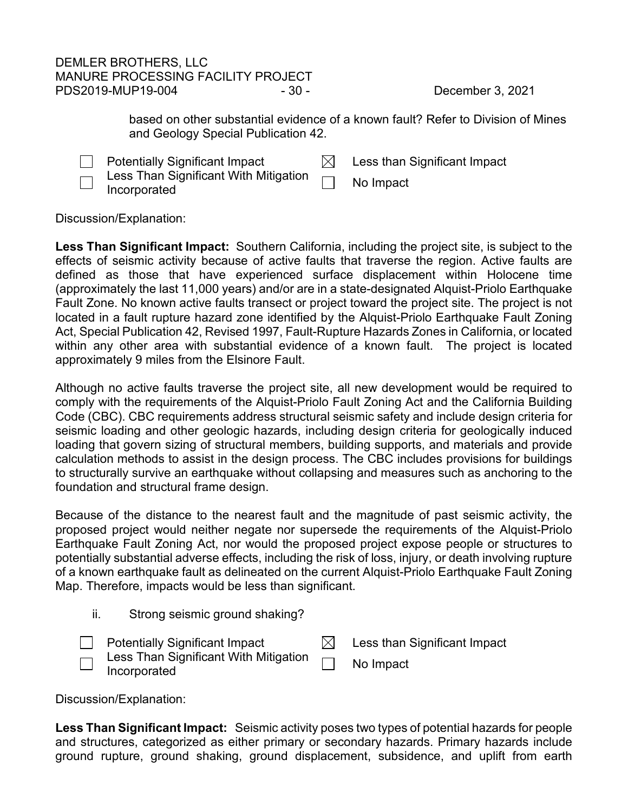# DEMLER BROTHERS, LLC MANURE PROCESSING FACILITY PROJECT PDS2019-MUP19-004 - 30 - 30 - 30 - December 3, 2021

based on other substantial evidence of a known fault? Refer to Division of Mines and Geology Special Publication 42.

Potentially Significant Impact  $\boxtimes$  Less than Significant Impact Less Than Significant With Mitigation Less Trian Significant with Mitigation **Information**<br>Incorporated

Discussion/Explanation:

**Less Than Significant Impact:** Southern California, including the project site, is subject to the effects of seismic activity because of active faults that traverse the region. Active faults are defined as those that have experienced surface displacement within Holocene time (approximately the last 11,000 years) and/or are in a state-designated Alquist-Priolo Earthquake Fault Zone. No known active faults transect or project toward the project site. The project is not located in a fault rupture hazard zone identified by the Alquist-Priolo Earthquake Fault Zoning Act, Special Publication 42, Revised 1997, Fault-Rupture Hazards Zones in California, or located within any other area with substantial evidence of a known fault. The project is located approximately 9 miles from the Elsinore Fault.

Although no active faults traverse the project site, all new development would be required to comply with the requirements of the Alquist-Priolo Fault Zoning Act and the California Building Code (CBC). CBC requirements address structural seismic safety and include design criteria for seismic loading and other geologic hazards, including design criteria for geologically induced loading that govern sizing of structural members, building supports, and materials and provide calculation methods to assist in the design process. The CBC includes provisions for buildings to structurally survive an earthquake without collapsing and measures such as anchoring to the foundation and structural frame design.

Because of the distance to the nearest fault and the magnitude of past seismic activity, the proposed project would neither negate nor supersede the requirements of the Alquist-Priolo Earthquake Fault Zoning Act, nor would the proposed project expose people or structures to potentially substantial adverse effects, including the risk of loss, injury, or death involving rupture of a known earthquake fault as delineated on the current Alquist-Priolo Earthquake Fault Zoning Map. Therefore, impacts would be less than significant.

| Ш. |  |  |  | Strong seismic ground shaking? |
|----|--|--|--|--------------------------------|
|----|--|--|--|--------------------------------|

| <b>Potentially Significant Impact</b>                                       | Less than Significant Impact |
|-----------------------------------------------------------------------------|------------------------------|
| Less Than Significant With Mitigation $\hskip1cm \bigsqcup$<br>Incorporated | No Impact                    |

Discussion/Explanation:

**Less Than Significant Impact:** Seismic activity poses two types of potential hazards for people and structures, categorized as either primary or secondary hazards. Primary hazards include ground rupture, ground shaking, ground displacement, subsidence, and uplift from earth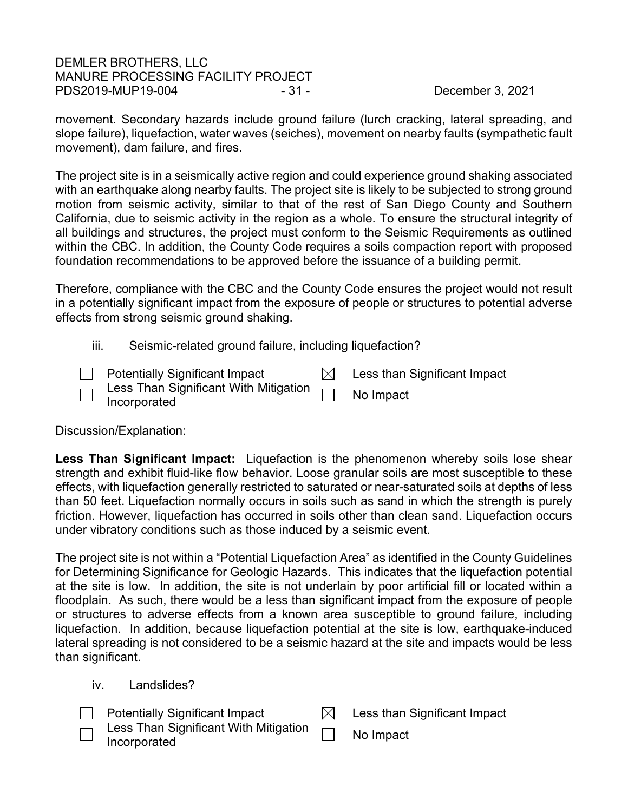# DEMLER BROTHERS, LLC MANURE PROCESSING FACILITY PROJECT PDS2019-MUP19-004 - 31 - 31 - December 3, 2021

movement. Secondary hazards include ground failure (lurch cracking, lateral spreading, and slope failure), liquefaction, water waves (seiches), movement on nearby faults (sympathetic fault movement), dam failure, and fires.

The project site is in a seismically active region and could experience ground shaking associated with an earthquake along nearby faults. The project site is likely to be subjected to strong ground motion from seismic activity, similar to that of the rest of San Diego County and Southern California, due to seismic activity in the region as a whole. To ensure the structural integrity of all buildings and structures, the project must conform to the Seismic Requirements as outlined within the CBC. In addition, the County Code requires a soils compaction report with proposed foundation recommendations to be approved before the issuance of a building permit.

Therefore, compliance with the CBC and the County Code ensures the project would not result in a potentially significant impact from the exposure of people or structures to potential adverse effects from strong seismic ground shaking.

- iii. Seismic-related ground failure, including liquefaction?
- $\Box$  Potentially Significant Impact  $\boxdot$  Less than Significant Impact Less Than Significant With Mitigation Less Than Significant With Mitigation **No Impact**<br>Incorporated

Discussion/Explanation:

**Less Than Significant Impact:** Liquefaction is the phenomenon whereby soils lose shear strength and exhibit fluid-like flow behavior. Loose granular soils are most susceptible to these effects, with liquefaction generally restricted to saturated or near-saturated soils at depths of less than 50 feet. Liquefaction normally occurs in soils such as sand in which the strength is purely friction. However, liquefaction has occurred in soils other than clean sand. Liquefaction occurs under vibratory conditions such as those induced by a seismic event.

The project site is not within a "Potential Liquefaction Area" as identified in the County Guidelines for Determining Significance for Geologic Hazards. This indicates that the liquefaction potential at the site is low. In addition, the site is not underlain by poor artificial fill or located within a floodplain. As such, there would be a less than significant impact from the exposure of people or structures to adverse effects from a known area susceptible to ground failure, including liquefaction. In addition, because liquefaction potential at the site is low, earthquake-induced lateral spreading is not considered to be a seismic hazard at the site and impacts would be less than significant.

iv. Landslides?

| <b>Potentially Significant Impact</b>                                      | Less than Significant Impact |
|----------------------------------------------------------------------------|------------------------------|
| $\Box$ Less Than Significant With Mitigation $\Box$<br>$\Box$ Incorporated | No Impact                    |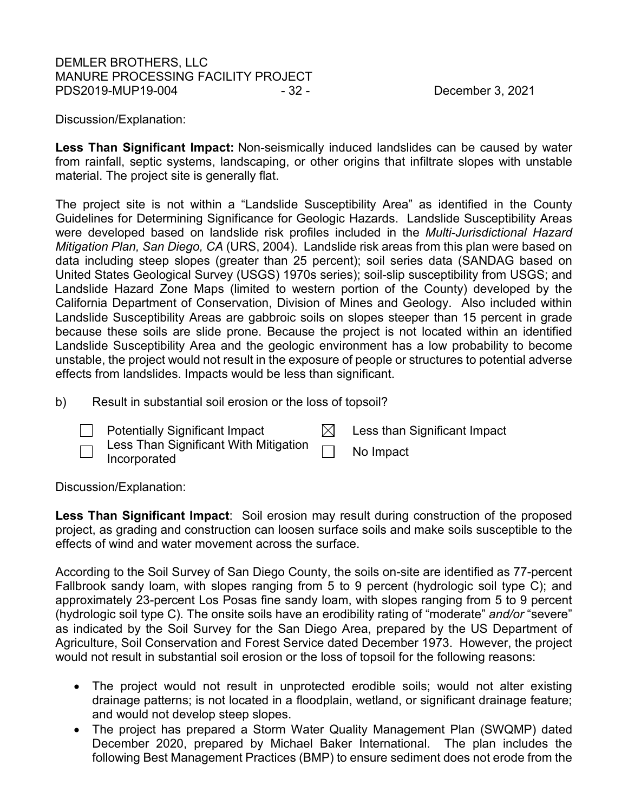# DEMLER BROTHERS, LLC MANURE PROCESSING FACILITY PROJECT PDS2019-MUP19-004 - 32 - 2021 - 32 - December 3, 2021

Discussion/Explanation:

**Less Than Significant Impact:** Non-seismically induced landslides can be caused by water from rainfall, septic systems, landscaping, or other origins that infiltrate slopes with unstable material. The project site is generally flat.

The project site is not within a "Landslide Susceptibility Area" as identified in the County Guidelines for Determining Significance for Geologic Hazards. Landslide Susceptibility Areas were developed based on landslide risk profiles included in the *Multi-Jurisdictional Hazard Mitigation Plan, San Diego, CA* (URS, 2004). Landslide risk areas from this plan were based on data including steep slopes (greater than 25 percent); soil series data (SANDAG based on United States Geological Survey (USGS) 1970s series); soil-slip susceptibility from USGS; and Landslide Hazard Zone Maps (limited to western portion of the County) developed by the California Department of Conservation, Division of Mines and Geology. Also included within Landslide Susceptibility Areas are gabbroic soils on slopes steeper than 15 percent in grade because these soils are slide prone. Because the project is not located within an identified Landslide Susceptibility Area and the geologic environment has a low probability to become unstable, the project would not result in the exposure of people or structures to potential adverse effects from landslides. Impacts would be less than significant.

b) Result in substantial soil erosion or the loss of topsoil?



Less Than Significant With Mitigation Less Than Significant With Mitigation **Data No Impact**<br>Incorporated

Discussion/Explanation:

**Less Than Significant Impact**: Soil erosion may result during construction of the proposed project, as grading and construction can loosen surface soils and make soils susceptible to the effects of wind and water movement across the surface.

According to the Soil Survey of San Diego County, the soils on-site are identified as 77-percent Fallbrook sandy loam, with slopes ranging from 5 to 9 percent (hydrologic soil type C); and approximately 23-percent Los Posas fine sandy loam, with slopes ranging from 5 to 9 percent (hydrologic soil type C). The onsite soils have an erodibility rating of "moderate" *and/or* "severe" as indicated by the Soil Survey for the San Diego Area, prepared by the US Department of Agriculture, Soil Conservation and Forest Service dated December 1973. However, the project would not result in substantial soil erosion or the loss of topsoil for the following reasons:

- The project would not result in unprotected erodible soils; would not alter existing drainage patterns; is not located in a floodplain, wetland, or significant drainage feature; and would not develop steep slopes.
- The project has prepared a Storm Water Quality Management Plan (SWQMP) dated December 2020, prepared by Michael Baker International. The plan includes the following Best Management Practices (BMP) to ensure sediment does not erode from the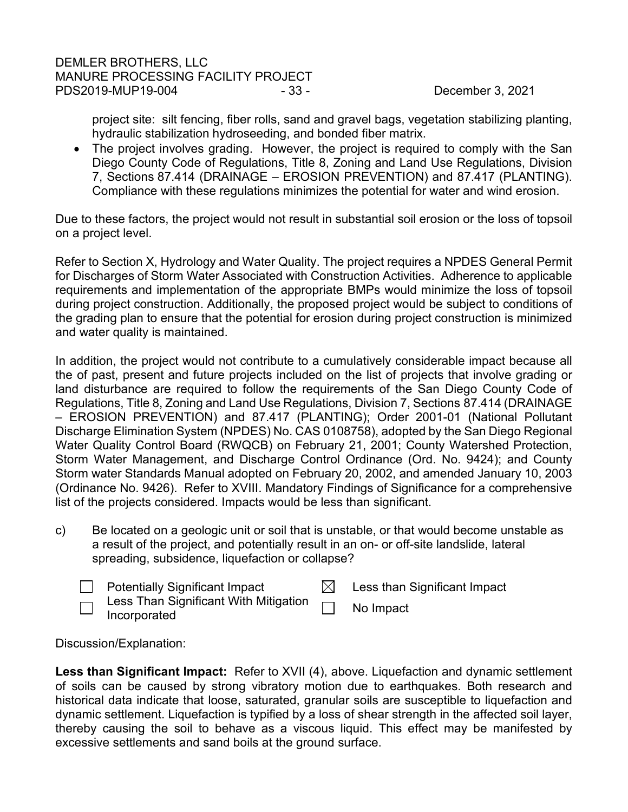project site: silt fencing, fiber rolls, sand and gravel bags, vegetation stabilizing planting, hydraulic stabilization hydroseeding, and bonded fiber matrix.

• The project involves grading. However, the project is required to comply with the San Diego County Code of Regulations, Title 8, Zoning and Land Use Regulations, Division 7, Sections 87.414 (DRAINAGE – EROSION PREVENTION) and 87.417 (PLANTING). Compliance with these regulations minimizes the potential for water and wind erosion.

Due to these factors, the project would not result in substantial soil erosion or the loss of topsoil on a project level.

Refer to Section X, Hydrology and Water Quality. The project requires a NPDES General Permit for Discharges of Storm Water Associated with Construction Activities. Adherence to applicable requirements and implementation of the appropriate BMPs would minimize the loss of topsoil during project construction. Additionally, the proposed project would be subject to conditions of the grading plan to ensure that the potential for erosion during project construction is minimized and water quality is maintained.

In addition, the project would not contribute to a cumulatively considerable impact because all the of past, present and future projects included on the list of projects that involve grading or land disturbance are required to follow the requirements of the San Diego County Code of Regulations, Title 8, Zoning and Land Use Regulations, Division 7, Sections 87.414 (DRAINAGE – EROSION PREVENTION) and 87.417 (PLANTING); Order 2001-01 (National Pollutant Discharge Elimination System (NPDES) No. CAS 0108758), adopted by the San Diego Regional Water Quality Control Board (RWQCB) on February 21, 2001; County Watershed Protection, Storm Water Management, and Discharge Control Ordinance (Ord. No. 9424); and County Storm water Standards Manual adopted on February 20, 2002, and amended January 10, 2003 (Ordinance No. 9426). Refer to XVIII. Mandatory Findings of Significance for a comprehensive list of the projects considered. Impacts would be less than significant.

- c) Be located on a geologic unit or soil that is unstable, or that would become unstable as a result of the project, and potentially result in an on- or off-site landslide, lateral spreading, subsidence, liquefaction or collapse?
	-

Potentially Significant Impact  $\boxtimes$  Less than Significant Impact

Less Than Significant With Mitigation Incorporated No Impact

Discussion/Explanation:

**Less than Significant Impact:** Refer to XVII (4), above. Liquefaction and dynamic settlement of soils can be caused by strong vibratory motion due to earthquakes. Both research and historical data indicate that loose, saturated, granular soils are susceptible to liquefaction and dynamic settlement. Liquefaction is typified by a loss of shear strength in the affected soil layer, thereby causing the soil to behave as a viscous liquid. This effect may be manifested by excessive settlements and sand boils at the ground surface.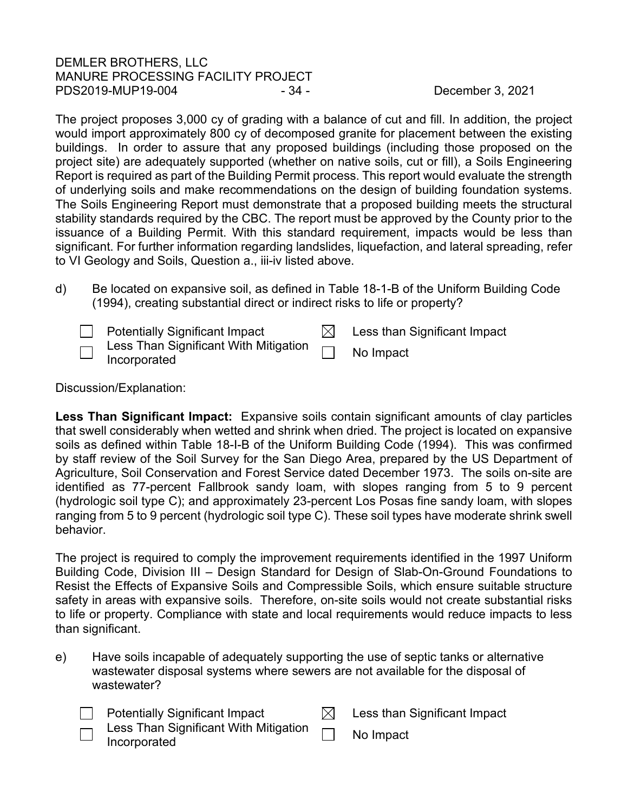# DEMLER BROTHERS, LLC MANURE PROCESSING FACILITY PROJECT PDS2019-MUP19-004 - 34 - 2021 - 34 - December 3, 2021

The project proposes 3,000 cy of grading with a balance of cut and fill. In addition, the project would import approximately 800 cy of decomposed granite for placement between the existing buildings. In order to assure that any proposed buildings (including those proposed on the project site) are adequately supported (whether on native soils, cut or fill), a Soils Engineering Report is required as part of the Building Permit process. This report would evaluate the strength of underlying soils and make recommendations on the design of building foundation systems. The Soils Engineering Report must demonstrate that a proposed building meets the structural stability standards required by the CBC. The report must be approved by the County prior to the issuance of a Building Permit. With this standard requirement, impacts would be less than significant. For further information regarding landslides, liquefaction, and lateral spreading, refer to VI Geology and Soils, Question a., iii-iv listed above.

d) Be located on expansive soil, as defined in Table 18-1-B of the Uniform Building Code (1994), creating substantial direct or indirect risks to life or property?

| <b>Potentially Significant Impact</b>                               | Less than Significant Impact |
|---------------------------------------------------------------------|------------------------------|
| $\Box$ Less Than Significant With Mitigation<br>$\Box$ Incorporated | No Impact                    |

Discussion/Explanation:

**Less Than Significant Impact:** Expansive soils contain significant amounts of clay particles that swell considerably when wetted and shrink when dried. The project is located on expansive soils as defined within Table 18-I-B of the Uniform Building Code (1994). This was confirmed by staff review of the Soil Survey for the San Diego Area, prepared by the US Department of Agriculture, Soil Conservation and Forest Service dated December 1973. The soils on-site are identified as 77-percent Fallbrook sandy loam, with slopes ranging from 5 to 9 percent (hydrologic soil type C); and approximately 23-percent Los Posas fine sandy loam, with slopes ranging from 5 to 9 percent (hydrologic soil type C). These soil types have moderate shrink swell behavior.

The project is required to comply the improvement requirements identified in the 1997 Uniform Building Code, Division III – Design Standard for Design of Slab-On-Ground Foundations to Resist the Effects of Expansive Soils and Compressible Soils, which ensure suitable structure safety in areas with expansive soils. Therefore, on-site soils would not create substantial risks to life or property. Compliance with state and local requirements would reduce impacts to less than significant.

e) Have soils incapable of adequately supporting the use of septic tanks or alternative wastewater disposal systems where sewers are not available for the disposal of wastewater?

| $\Box$ | <b>Potentially Significant Impact</b>                               | Less than Significant Impact |
|--------|---------------------------------------------------------------------|------------------------------|
|        | $\Box$ Less Than Significant With Mitigation $\Box$<br>Incorporated | No Impact                    |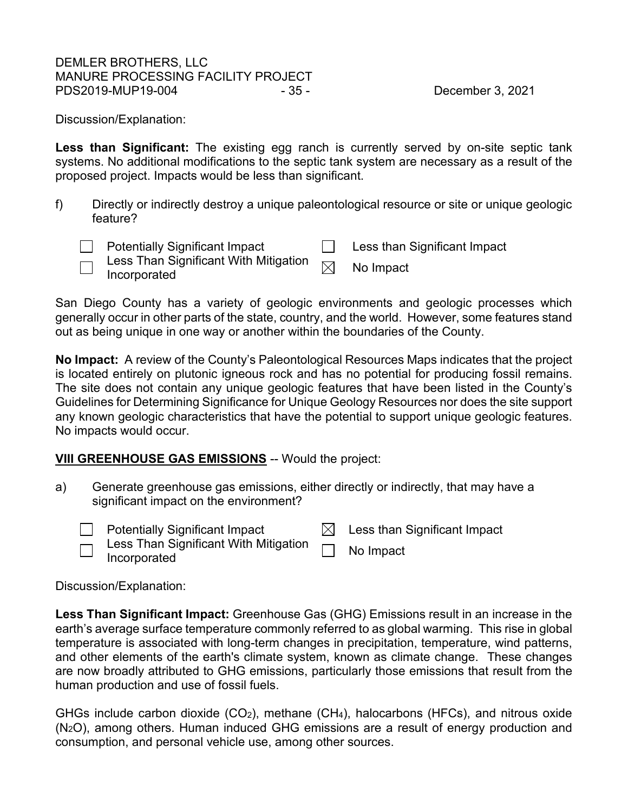# DEMLER BROTHERS, LLC MANURE PROCESSING FACILITY PROJECT PDS2019-MUP19-004 - 35 - 35 - December 3, 2021

Discussion/Explanation:

Less than Significant: The existing egg ranch is currently served by on-site septic tank systems. No additional modifications to the septic tank system are necessary as a result of the proposed project. Impacts would be less than significant.

f) Directly or indirectly destroy a unique paleontological resource or site or unique geologic feature?

**Example 3** Potentially Significant Impact **Less than Significant Impact** 

Less Than Significant With Mitigation  $\text{Less}$  Trian Significant With Mitigation  $\boxtimes$  No Impact Incorporated

San Diego County has a variety of geologic environments and geologic processes which generally occur in other parts of the state, country, and the world. However, some features stand out as being unique in one way or another within the boundaries of the County.

**No Impact:** A review of the County's Paleontological Resources Maps indicates that the project is located entirely on plutonic igneous rock and has no potential for producing fossil remains. The site does not contain any unique geologic features that have been listed in the County's Guidelines for Determining Significance for Unique Geology Resources nor does the site support any known geologic characteristics that have the potential to support unique geologic features. No impacts would occur.

# <span id="page-34-0"></span>**VIII GREENHOUSE GAS EMISSIONS** -- Would the project:

- a) Generate greenhouse gas emissions, either directly or indirectly, that may have a significant impact on the environment?
	-

**Example 1** Potentially Significant Impact  $\boxtimes$  Less than Significant Impact

Less Than Significant With Mitigation Less Than Significant With Mitigation **No Impact**<br>Incorporated

Discussion/Explanation:

**Less Than Significant Impact:** Greenhouse Gas (GHG) Emissions result in an increase in the earth's average surface temperature commonly referred to as global warming. This rise in global temperature is associated with long-term changes in precipitation, temperature, wind patterns, and other elements of the earth's climate system, known as climate change. These changes are now broadly attributed to GHG emissions, particularly those emissions that result from the human production and use of fossil fuels.

GHGs include carbon dioxide  $(CO_2)$ , methane  $(CH_4)$ , halocarbons (HFCs), and nitrous oxide (N2O), among others. Human induced GHG emissions are a result of energy production and consumption, and personal vehicle use, among other sources.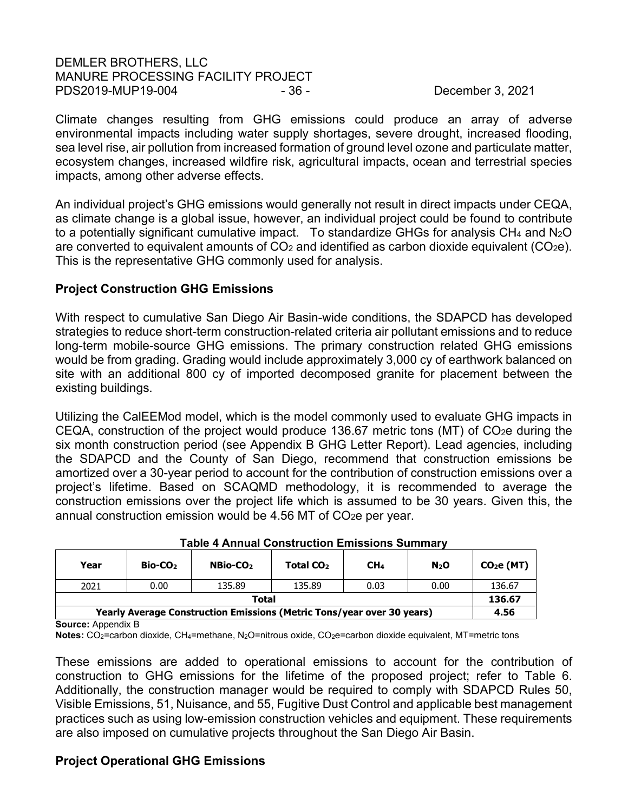# DEMLER BROTHERS, LLC MANURE PROCESSING FACILITY PROJECT PDS2019-MUP19-004 - 36 - 36 - December 3, 2021

Climate changes resulting from GHG emissions could produce an array of adverse environmental impacts including water supply shortages, severe drought, increased flooding, sea level rise, air pollution from increased formation of ground level ozone and particulate matter, ecosystem changes, increased wildfire risk, agricultural impacts, ocean and terrestrial species impacts, among other adverse effects.

An individual project's GHG emissions would generally not result in direct impacts under CEQA, as climate change is a global issue, however, an individual project could be found to contribute to a potentially significant cumulative impact. To standardize GHGs for analysis CH<sub>4</sub> and N<sub>2</sub>O are converted to equivalent amounts of  $CO<sub>2</sub>$  and identified as carbon dioxide equivalent ( $CO<sub>2</sub>e$ ). This is the representative GHG commonly used for analysis.

# **Project Construction GHG Emissions**

With respect to cumulative San Diego Air Basin-wide conditions, the SDAPCD has developed strategies to reduce short-term construction-related criteria air pollutant emissions and to reduce long-term mobile-source GHG emissions. The primary construction related GHG emissions would be from grading. Grading would include approximately 3,000 cy of earthwork balanced on site with an additional 800 cy of imported decomposed granite for placement between the existing buildings.

Utilizing the CalEEMod model, which is the model commonly used to evaluate GHG impacts in CEQA, construction of the project would produce 136.67 metric tons (MT) of  $CO<sub>2</sub>e$  during the six month construction period (see Appendix B GHG Letter Report). Lead agencies, including the SDAPCD and the County of San Diego, recommend that construction emissions be amortized over a 30-year period to account for the contribution of construction emissions over a project's lifetime. Based on SCAQMD methodology, it is recommended to average the construction emissions over the project life which is assumed to be 30 years. Given this, the annual construction emission would be 4.56 MT of CO<sub>2</sub>e per year.

| Year                                                                   | Bio-CO <sub>2</sub> | NBio-CO <sub>2</sub> | Total CO <sub>2</sub> | CH <sub>4</sub> | N <sub>2</sub> O | CO <sub>2</sub> e (MT) |  |
|------------------------------------------------------------------------|---------------------|----------------------|-----------------------|-----------------|------------------|------------------------|--|
| 2021                                                                   | 0.00                | 135.89               | 135.89                | 0.03            | 0.00             | 136.67                 |  |
| Total                                                                  |                     |                      |                       |                 |                  |                        |  |
| Yearly Average Construction Emissions (Metric Tons/year over 30 years) |                     |                      |                       |                 |                  |                        |  |

#### **Table 4 Annual Construction Emissions Summary**

**Source:** Appendix B

**Notes:** CO2=carbon dioxide, CH4=methane, N2O=nitrous oxide, CO2e=carbon dioxide equivalent, MT=metric tons

These emissions are added to operational emissions to account for the contribution of construction to GHG emissions for the lifetime of the proposed project; refer to Table 6. Additionally, the construction manager would be required to comply with SDAPCD Rules 50, Visible Emissions, 51, Nuisance, and 55, Fugitive Dust Control and applicable best management practices such as using low-emission construction vehicles and equipment. These requirements are also imposed on cumulative projects throughout the San Diego Air Basin.

# **Project Operational GHG Emissions**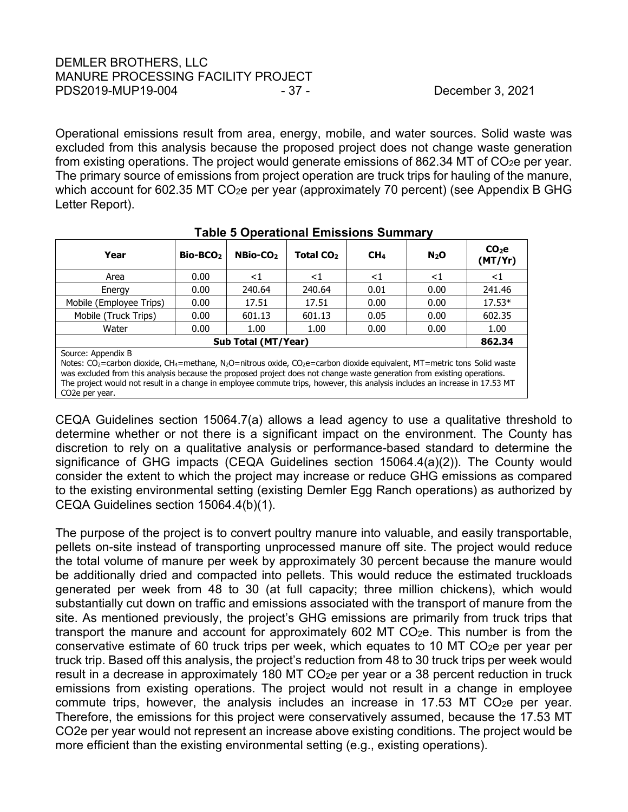Operational emissions result from area, energy, mobile, and water sources. Solid waste was excluded from this analysis because the proposed project does not change waste generation from existing operations. The project would generate emissions of 862.34 MT of CO<sub>2</sub>e per year. The primary source of emissions from project operation are truck trips for hauling of the manure, which account for 602.35 MT  $CO<sub>2</sub>e$  per year (approximately 70 percent) (see Appendix B GHG Letter Report).

| Year                                                                                                                                                                                                                                                                                                                                                                                                                                                                                     | Bio-BCO <sub>2</sub>                 | NBio-CO <sub>2</sub> | Total CO <sub>2</sub> | CH <sub>4</sub> | $N_2$ O | CO <sub>2</sub> e<br>(MT/Yr) |
|------------------------------------------------------------------------------------------------------------------------------------------------------------------------------------------------------------------------------------------------------------------------------------------------------------------------------------------------------------------------------------------------------------------------------------------------------------------------------------------|--------------------------------------|----------------------|-----------------------|-----------------|---------|------------------------------|
| Area                                                                                                                                                                                                                                                                                                                                                                                                                                                                                     | 0.00                                 | ${<}1$               | ${<}1$                | ${<}1$          | ${<}1$  | ${<}1$                       |
| Energy                                                                                                                                                                                                                                                                                                                                                                                                                                                                                   | 0.00                                 | 240.64               | 240.64                | 0.01            | 0.00    | 241.46                       |
| Mobile (Employee Trips)                                                                                                                                                                                                                                                                                                                                                                                                                                                                  | 0.00                                 | 17.51                | 17.51                 | 0.00            | 0.00    | $17.53*$                     |
| Mobile (Truck Trips)                                                                                                                                                                                                                                                                                                                                                                                                                                                                     | 0.00                                 | 601.13               | 601.13                | 0.05            | 0.00    | 602.35                       |
| Water                                                                                                                                                                                                                                                                                                                                                                                                                                                                                    | 0.00                                 | 1.00                 | 1.00                  | 0.00            | 0.00    | 1.00                         |
|                                                                                                                                                                                                                                                                                                                                                                                                                                                                                          | <b>Sub Total (MT/Year)</b><br>862.34 |                      |                       |                 |         |                              |
| Source: Appendix B<br>Notes: CO <sub>2</sub> =carbon dioxide, CH <sub>4</sub> =methane, N <sub>2</sub> O=nitrous oxide, CO <sub>2</sub> e=carbon dioxide equivalent, MT=metric tons Solid waste<br>was excluded from this analysis because the proposed project does not change waste generation from existing operations.<br>The project would not result in a change in employee commute trips, however, this analysis includes an increase in 17.53 MT<br>CO <sub>2</sub> e per year. |                                      |                      |                       |                 |         |                              |

CEQA Guidelines section 15064.7(a) allows a lead agency to use a qualitative threshold to determine whether or not there is a significant impact on the environment. The County has discretion to rely on a qualitative analysis or performance-based standard to determine the significance of GHG impacts (CEQA Guidelines section 15064.4(a)(2)). The County would consider the extent to which the project may increase or reduce GHG emissions as compared to the existing environmental setting (existing Demler Egg Ranch operations) as authorized by CEQA Guidelines section 15064.4(b)(1).

The purpose of the project is to convert poultry manure into valuable, and easily transportable, pellets on-site instead of transporting unprocessed manure off site. The project would reduce the total volume of manure per week by approximately 30 percent because the manure would be additionally dried and compacted into pellets. This would reduce the estimated truckloads generated per week from 48 to 30 (at full capacity; three million chickens), which would substantially cut down on traffic and emissions associated with the transport of manure from the site. As mentioned previously, the project's GHG emissions are primarily from truck trips that transport the manure and account for approximately 602 MT  $CO<sub>2</sub>e$ . This number is from the conservative estimate of 60 truck trips per week, which equates to 10 MT CO2e per year per truck trip. Based off this analysis, the project's reduction from 48 to 30 truck trips per week would result in a decrease in approximately 180 MT CO<sub>2</sub>e per year or a 38 percent reduction in truck emissions from existing operations. The project would not result in a change in employee commute trips, however, the analysis includes an increase in 17.53 MT CO<sub>2</sub>e per year. Therefore, the emissions for this project were conservatively assumed, because the 17.53 MT CO2e per year would not represent an increase above existing conditions. The project would be more efficient than the existing environmental setting (e.g., existing operations).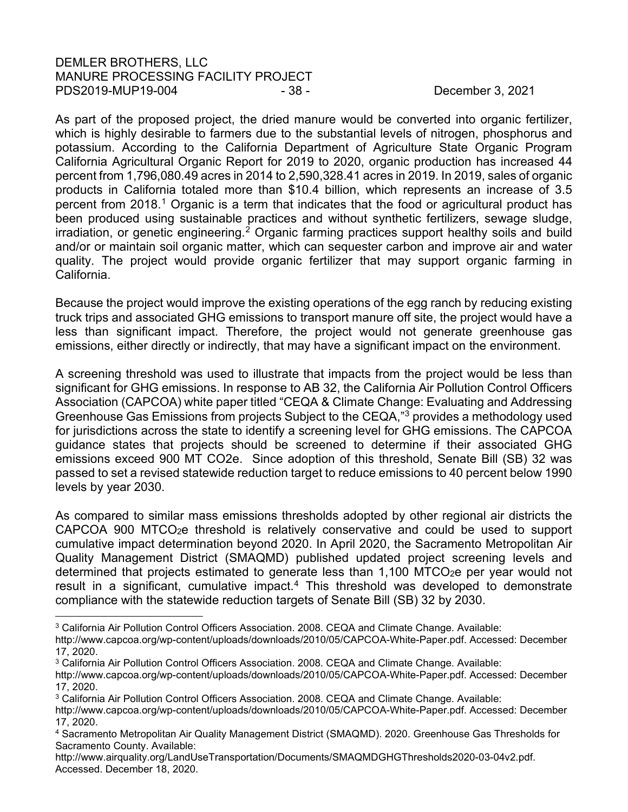# DEMLER BROTHERS, LLC MANURE PROCESSING FACILITY PROJECT PDS2019-MUP19-004 - 38 - 38 - December 3, 2021

As part of the proposed project, the dried manure would be converted into organic fertilizer, which is highly desirable to farmers due to the substantial levels of nitrogen, phosphorus and potassium. According to the California Department of Agriculture State Organic Program California Agricultural Organic Report for 2019 to 2020, organic production has increased 44 percent from 1,796,080.49 acres in 2014 to 2,590,328.41 acres in 2019. In 2019, sales of organic products in California totaled more than \$10.4 billion, which represents an increase of 3.5 percent from 20[1](#page-37-0)8.<sup>1</sup> Organic is a term that indicates that the food or agricultural product has been produced using sustainable practices and without synthetic fertilizers, sewage sludge,  $i$ rradiation, or genetic engineering.<sup>[2](#page-37-1)</sup> Organic farming practices support healthy soils and build and/or or maintain soil organic matter, which can sequester carbon and improve air and water quality. The project would provide organic fertilizer that may support organic farming in California.

Because the project would improve the existing operations of the egg ranch by reducing existing truck trips and associated GHG emissions to transport manure off site, the project would have a less than significant impact. Therefore, the project would not generate greenhouse gas emissions, either directly or indirectly, that may have a significant impact on the environment.

A screening threshold was used to illustrate that impacts from the project would be less than significant for GHG emissions. In response to AB 32, the California Air Pollution Control Officers Association (CAPCOA) white paper titled "CEQA & Climate Change: Evaluating and Addressing Greenhouse Gas Emissions from projects Subject to the CEQA,"[3](#page-37-2) provides a methodology used for jurisdictions across the state to identify a screening level for GHG emissions. The CAPCOA guidance states that projects should be screened to determine if their associated GHG emissions exceed 900 MT CO2e. Since adoption of this threshold, Senate Bill (SB) 32 was passed to set a revised statewide reduction target to reduce emissions to 40 percent below 1990 levels by year 2030.

As compared to similar mass emissions thresholds adopted by other regional air districts the CAPCOA 900 MTCO2e threshold is relatively conservative and could be used to support cumulative impact determination beyond 2020. In April 2020, the Sacramento Metropolitan Air Quality Management District (SMAQMD) published updated project screening levels and determined that projects estimated to generate less than 1,100 MTCO<sub>2</sub>e per year would not result in a significant, cumulative impact.<sup>[4](#page-37-3)</sup> This threshold was developed to demonstrate compliance with the statewide reduction targets of Senate Bill (SB) 32 by 2030.

<sup>3</sup> California Air Pollution Control Officers Association. 2008. CEQA and Climate Change. Available:

http://www.airquality.org/LandUseTransportation/Documents/SMAQMDGHGThresholds2020-03-04v2.pdf. Accessed. December 18, 2020.

http://www.capcoa.org/wp-content/uploads/downloads/2010/05/CAPCOA-White-Paper.pdf. Accessed: December 17, 2020.

<sup>3</sup> California Air Pollution Control Officers Association. 2008. CEQA and Climate Change. Available:

<span id="page-37-1"></span><span id="page-37-0"></span>http://www.capcoa.org/wp-content/uploads/downloads/2010/05/CAPCOA-White-Paper.pdf. Accessed: December 17, 2020.

<span id="page-37-2"></span><sup>3</sup> California Air Pollution Control Officers Association. 2008. CEQA and Climate Change. Available:

http://www.capcoa.org/wp-content/uploads/downloads/2010/05/CAPCOA-White-Paper.pdf. Accessed: December 17, 2020.

<span id="page-37-3"></span><sup>4</sup> Sacramento Metropolitan Air Quality Management District (SMAQMD). 2020. Greenhouse Gas Thresholds for Sacramento County. Available: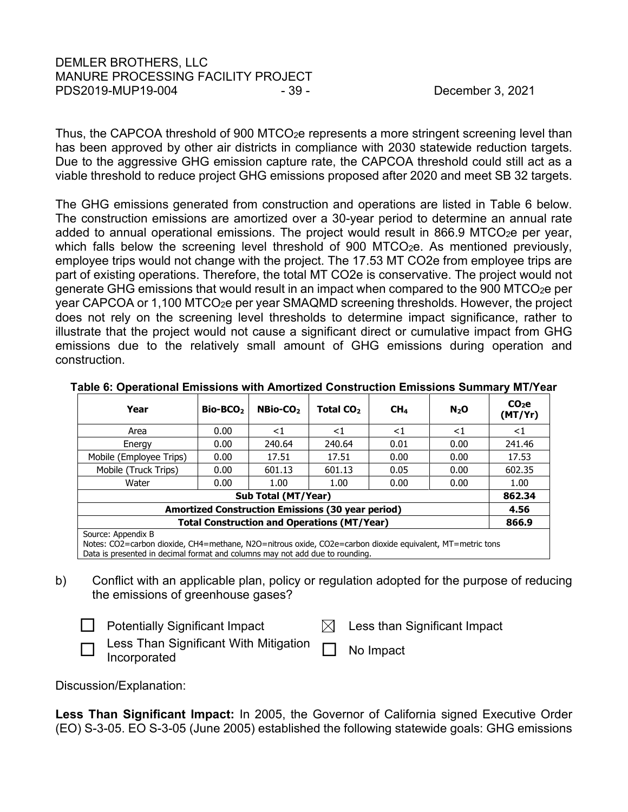# DEMLER BROTHERS, LLC MANURE PROCESSING FACILITY PROJECT PDS2019-MUP19-004 - 39 - 39 - December 3, 2021

Thus, the CAPCOA threshold of 900 MTCO2e represents a more stringent screening level than has been approved by other air districts in compliance with 2030 statewide reduction targets. Due to the aggressive GHG emission capture rate, the CAPCOA threshold could still act as a viable threshold to reduce project GHG emissions proposed after 2020 and meet SB 32 targets.

The GHG emissions generated from construction and operations are listed in Table 6 below. The construction emissions are amortized over a 30-year period to determine an annual rate added to annual operational emissions. The project would result in 866.9 MTCO<sub>2</sub>e per vear, which falls below the screening level threshold of 900 MTCO $<sub>2</sub>e$ . As mentioned previously,</sub> employee trips would not change with the project. The 17.53 MT CO2e from employee trips are part of existing operations. Therefore, the total MT CO2e is conservative. The project would not generate GHG emissions that would result in an impact when compared to the 900 MTCO2e per year CAPCOA or 1,100 MTCO2e per year SMAQMD screening thresholds. However, the project does not rely on the screening level thresholds to determine impact significance, rather to illustrate that the project would not cause a significant direct or cumulative impact from GHG emissions due to the relatively small amount of GHG emissions during operation and construction.

| Year                                                                                                      | Bio-BCO <sub>2</sub> | NBio-CO <sub>2</sub> | Total CO <sub>2</sub> | CH <sub>4</sub> | $N_2$ O | CO <sub>2</sub> e<br>(MT/Yr) |
|-----------------------------------------------------------------------------------------------------------|----------------------|----------------------|-----------------------|-----------------|---------|------------------------------|
| Area                                                                                                      | 0.00                 | ${<}1$               | <1                    | ${<}1$          | ${<}1$  | ${<}1$                       |
| Energy                                                                                                    | 0.00                 | 240.64               | 240.64                | 0.01            | 0.00    | 241.46                       |
| Mobile (Employee Trips)                                                                                   | 0.00                 | 17.51                | 17.51                 | 0.00            | 0.00    | 17.53                        |
| Mobile (Truck Trips)                                                                                      | 0.00                 | 601.13               | 601.13                | 0.05            | 0.00    | 602.35                       |
| Water                                                                                                     | 0.00                 | 1.00                 | 1.00                  | 0.00            | 0.00    | 1.00                         |
| Sub Total (MT/Year)                                                                                       |                      |                      |                       |                 |         | 862.34                       |
| <b>Amortized Construction Emissions (30 year period)</b>                                                  |                      |                      |                       |                 | 4.56    |                              |
| <b>Total Construction and Operations (MT/Year)</b>                                                        |                      |                      |                       |                 | 866.9   |                              |
| Source: Appendix B                                                                                        |                      |                      |                       |                 |         |                              |
| Notes: CO2=carbon dioxide, CH4=methane, N2O=nitrous oxide, CO2e=carbon dioxide equivalent, MT=metric tons |                      |                      |                       |                 |         |                              |

### **Table 6: Operational Emissions with Amortized Construction Emissions Summary MT/Year**

Notes: CO2=carbon dioxide, CH4=methane, N2O=nitrous oxide, CO2e=carbon dioxide equivalent, MT=metric tons Data is presented in decimal format and columns may not add due to rounding.

b) Conflict with an applicable plan, policy or regulation adopted for the purpose of reducing the emissions of greenhouse gases?

 $\Box$  Potentially Significant Impact  $\Box$  Less than Significant Impact



□ Less Than Significant With Mitigation □ No Impact<br>□ Incorporated

Discussion/Explanation:

**Less Than Significant Impact:** In 2005, the Governor of California signed Executive Order (EO) S-3-05. EO S-3-05 (June 2005) established the following statewide goals: GHG emissions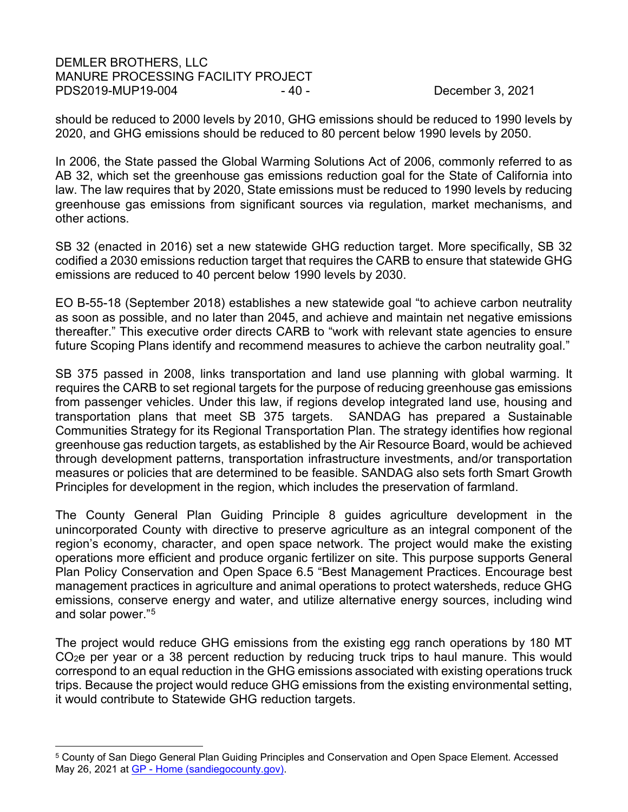## DEMLER BROTHERS, LLC MANURE PROCESSING FACILITY PROJECT PDS2019-MUP19-004 - 40 - 40 - 900 - 40 - December 3, 2021

should be reduced to 2000 levels by 2010, GHG emissions should be reduced to 1990 levels by 2020, and GHG emissions should be reduced to 80 percent below 1990 levels by 2050.

In 2006, the State passed the Global Warming Solutions Act of 2006, commonly referred to as AB 32, which set the greenhouse gas emissions reduction goal for the State of California into law. The law requires that by 2020, State emissions must be reduced to 1990 levels by reducing greenhouse gas emissions from significant sources via regulation, market mechanisms, and other actions.

SB 32 (enacted in 2016) set a new statewide GHG reduction target. More specifically, SB 32 codified a 2030 emissions reduction target that requires the CARB to ensure that statewide GHG emissions are reduced to 40 percent below 1990 levels by 2030.

EO B-55-18 (September 2018) establishes a new statewide goal "to achieve carbon neutrality as soon as possible, and no later than 2045, and achieve and maintain net negative emissions thereafter." This executive order directs CARB to "work with relevant state agencies to ensure future Scoping Plans identify and recommend measures to achieve the carbon neutrality goal."

SB 375 passed in 2008, links transportation and land use planning with global warming. It requires the CARB to set regional targets for the purpose of reducing greenhouse gas emissions from passenger vehicles. Under this law, if regions develop integrated land use, housing and transportation plans that meet SB 375 targets. SANDAG has prepared a Sustainable Communities Strategy for its Regional Transportation Plan. The strategy identifies how regional greenhouse gas reduction targets, as established by the Air Resource Board, would be achieved through development patterns, transportation infrastructure investments, and/or transportation measures or policies that are determined to be feasible. SANDAG also sets forth Smart Growth Principles for development in the region, which includes the preservation of farmland.

The County General Plan Guiding Principle 8 guides agriculture development in the unincorporated County with directive to preserve agriculture as an integral component of the region's economy, character, and open space network. The project would make the existing operations more efficient and produce organic fertilizer on site. This purpose supports General Plan Policy Conservation and Open Space 6.5 "Best Management Practices. Encourage best management practices in agriculture and animal operations to protect watersheds, reduce GHG emissions, conserve energy and water, and utilize alternative energy sources, including wind and solar power."[5](#page-39-0)

The project would reduce GHG emissions from the existing egg ranch operations by 180 MT CO2e per year or a 38 percent reduction by reducing truck trips to haul manure. This would correspond to an equal reduction in the GHG emissions associated with existing operations truck trips. Because the project would reduce GHG emissions from the existing environmental setting, it would contribute to Statewide GHG reduction targets.

<span id="page-39-1"></span><span id="page-39-0"></span><sup>5</sup> County of San Diego General Plan Guiding Principles and Conservation and Open Space Element. Accessed May 26, 2021 at GP - [Home \(sandiegocounty.gov\).](https://www.sandiegocounty.gov/content/sdc/pds/GP.html)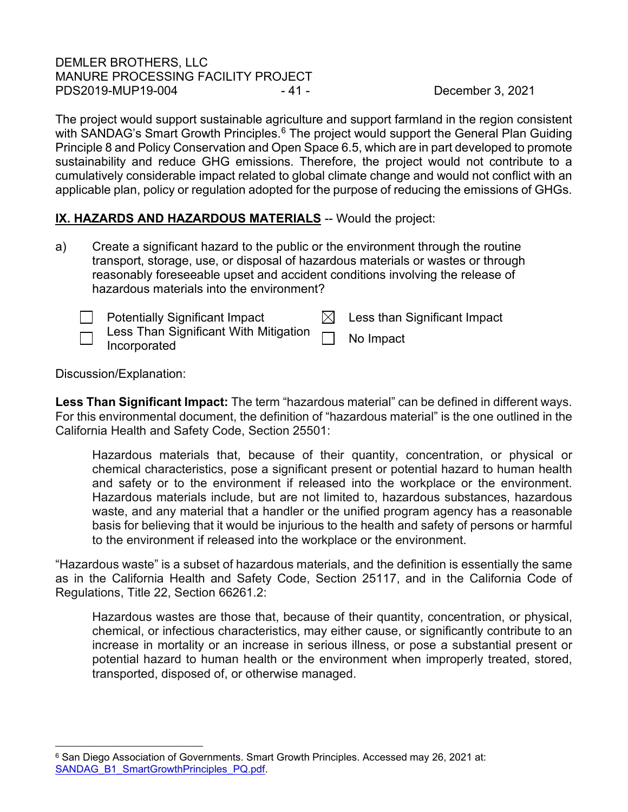# DEMLER BROTHERS, LLC MANURE PROCESSING FACILITY PROJECT PDS2019-MUP19-004 - 41 - 41 - December 3, 2021

The project would support sustainable agriculture and support farmland in the region consistent with SANDAG's Smart Growth Principles.<sup>[6](#page-39-1)</sup> The project would support the General Plan Guiding Principle 8 and Policy Conservation and Open Space 6.5, which are in part developed to promote sustainability and reduce GHG emissions. Therefore, the project would not contribute to a cumulatively considerable impact related to global climate change and would not conflict with an applicable plan, policy or regulation adopted for the purpose of reducing the emissions of GHGs.

# **IX. HAZARDS AND HAZARDOUS MATERIALS** -- Would the project:

a) Create a significant hazard to the public or the environment through the routine transport, storage, use, or disposal of hazardous materials or wastes or through reasonably foreseeable upset and accident conditions involving the release of hazardous materials into the environment?

| <b>Potentially Significant Impact</b>                                  | $\boxtimes$ Less than Significant Impact |
|------------------------------------------------------------------------|------------------------------------------|
| Less Than Significant With Mitigation $\Box$ No Impact<br>Incorporated |                                          |

Discussion/Explanation:

**Less Than Significant Impact:** The term "hazardous material" can be defined in different ways. For this environmental document, the definition of "hazardous material" is the one outlined in the California Health and Safety Code, Section 25501:

Hazardous materials that, because of their quantity, concentration, or physical or chemical characteristics, pose a significant present or potential hazard to human health and safety or to the environment if released into the workplace or the environment. Hazardous materials include, but are not limited to, hazardous substances, hazardous waste, and any material that a handler or the unified program agency has a reasonable basis for believing that it would be injurious to the health and safety of persons or harmful to the environment if released into the workplace or the environment.

"Hazardous waste" is a subset of hazardous materials, and the definition is essentially the same as in the California Health and Safety Code, Section 25117, and in the California Code of Regulations, Title 22, Section 66261.2:

Hazardous wastes are those that, because of their quantity, concentration, or physical, chemical, or infectious characteristics, may either cause, or significantly contribute to an increase in mortality or an increase in serious illness, or pose a substantial present or potential hazard to human health or the environment when improperly treated, stored, transported, disposed of, or otherwise managed.

<sup>&</sup>lt;sup>6</sup> San Diego Association of Governments. Smart Growth Principles. Accessed may 26, 2021 at: [SANDAG\\_B1\\_SmartGrowthPrinciples\\_PQ.pdf.](https://www.sandag.org/uploads/projectid/projectid_344_8851.pdf)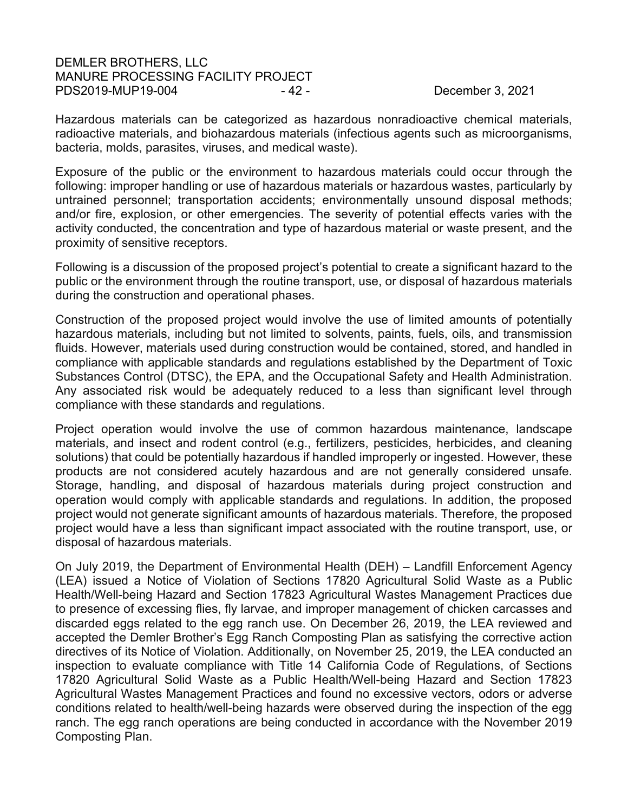## DEMLER BROTHERS, LLC MANURE PROCESSING FACILITY PROJECT PDS2019-MUP19-004 - 42 - 42 - December 3, 2021

Hazardous materials can be categorized as hazardous nonradioactive chemical materials, radioactive materials, and biohazardous materials (infectious agents such as microorganisms, bacteria, molds, parasites, viruses, and medical waste).

Exposure of the public or the environment to hazardous materials could occur through the following: improper handling or use of hazardous materials or hazardous wastes, particularly by untrained personnel; transportation accidents; environmentally unsound disposal methods; and/or fire, explosion, or other emergencies. The severity of potential effects varies with the activity conducted, the concentration and type of hazardous material or waste present, and the proximity of sensitive receptors.

Following is a discussion of the proposed project's potential to create a significant hazard to the public or the environment through the routine transport, use, or disposal of hazardous materials during the construction and operational phases.

Construction of the proposed project would involve the use of limited amounts of potentially hazardous materials, including but not limited to solvents, paints, fuels, oils, and transmission fluids. However, materials used during construction would be contained, stored, and handled in compliance with applicable standards and regulations established by the Department of Toxic Substances Control (DTSC), the EPA, and the Occupational Safety and Health Administration. Any associated risk would be adequately reduced to a less than significant level through compliance with these standards and regulations.

Project operation would involve the use of common hazardous maintenance, landscape materials, and insect and rodent control (e.g., fertilizers, pesticides, herbicides, and cleaning solutions) that could be potentially hazardous if handled improperly or ingested. However, these products are not considered acutely hazardous and are not generally considered unsafe. Storage, handling, and disposal of hazardous materials during project construction and operation would comply with applicable standards and regulations. In addition, the proposed project would not generate significant amounts of hazardous materials. Therefore, the proposed project would have a less than significant impact associated with the routine transport, use, or disposal of hazardous materials.

On July 2019, the Department of Environmental Health (DEH) – Landfill Enforcement Agency (LEA) issued a Notice of Violation of Sections 17820 Agricultural Solid Waste as a Public Health/Well-being Hazard and Section 17823 Agricultural Wastes Management Practices due to presence of excessing flies, fly larvae, and improper management of chicken carcasses and discarded eggs related to the egg ranch use. On December 26, 2019, the LEA reviewed and accepted the Demler Brother's Egg Ranch Composting Plan as satisfying the corrective action directives of its Notice of Violation. Additionally, on November 25, 2019, the LEA conducted an inspection to evaluate compliance with Title 14 California Code of Regulations, of Sections 17820 Agricultural Solid Waste as a Public Health/Well-being Hazard and Section 17823 Agricultural Wastes Management Practices and found no excessive vectors, odors or adverse conditions related to health/well-being hazards were observed during the inspection of the egg ranch. The egg ranch operations are being conducted in accordance with the November 2019 Composting Plan.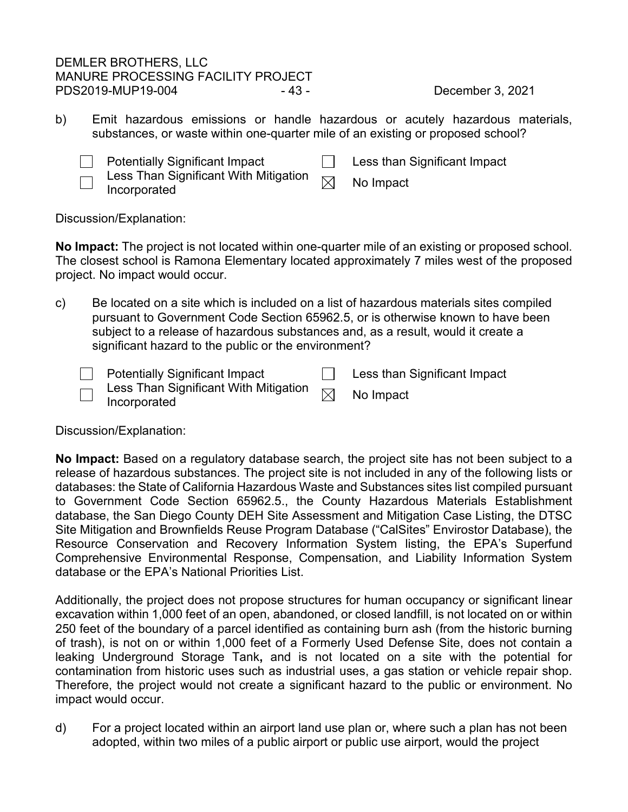# DEMLER BROTHERS, LLC MANURE PROCESSING FACILITY PROJECT PDS2019-MUP19-004 - 43 - 43 - December 3, 2021

b) Emit hazardous emissions or handle hazardous or acutely hazardous materials, substances, or waste within one-quarter mile of an existing or proposed school?



Less Than Significant With Mitigation Less Than Significant with Mitigation  $\boxtimes$  No Impact Incorporated

□ Potentially Significant Impact □ Less than Significant Impact

Discussion/Explanation:

**No Impact:** The project is not located within one-quarter mile of an existing or proposed school. The closest school is Ramona Elementary located approximately 7 miles west of the proposed project. No impact would occur.

c) Be located on a site which is included on a list of hazardous materials sites compiled pursuant to Government Code Section 65962.5, or is otherwise known to have been subject to a release of hazardous substances and, as a result, would it create a significant hazard to the public or the environment?

| <b>Potentially Significant Impact</b>                                                | Less than Significant Impact |
|--------------------------------------------------------------------------------------|------------------------------|
| $\lnot$ Less Than Significant With Mitigation $\lnot$<br>$\blacksquare$ Incorporated | No Impact                    |

Discussion/Explanation:

**No Impact:** Based on a regulatory database search, the project site has not been subject to a release of hazardous substances. The project site is not included in any of the following lists or databases: the State of California Hazardous Waste and Substances sites list compiled pursuant to Government Code Section 65962.5., the County Hazardous Materials Establishment database, the San Diego County DEH Site Assessment and Mitigation Case Listing, the DTSC Site Mitigation and Brownfields Reuse Program Database ("CalSites" Envirostor Database), the Resource Conservation and Recovery Information System listing, the EPA's Superfund Comprehensive Environmental Response, Compensation, and Liability Information System database or the EPA's National Priorities List.

Additionally, the project does not propose structures for human occupancy or significant linear excavation within 1,000 feet of an open, abandoned, or closed landfill, is not located on or within 250 feet of the boundary of a parcel identified as containing burn ash (from the historic burning of trash), is not on or within 1,000 feet of a Formerly Used Defense Site, does not contain a leaking Underground Storage Tank**,** and is not located on a site with the potential for contamination from historic uses such as industrial uses, a gas station or vehicle repair shop. Therefore, the project would not create a significant hazard to the public or environment. No impact would occur.

d) For a project located within an airport land use plan or, where such a plan has not been adopted, within two miles of a public airport or public use airport, would the project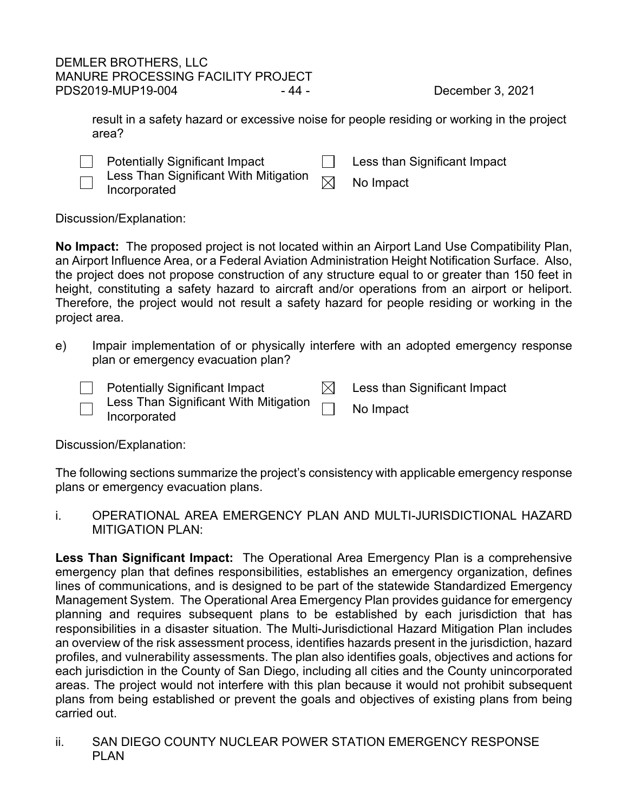result in a safety hazard or excessive noise for people residing or working in the project area?

| <b>Potentially Significant Impact</b> | Less than Significant Impact |
|---------------------------------------|------------------------------|
| .                                     |                              |



Less Than Significant With Mitigation  $\Box$ Eess Trian Significant With Mitigation  $\boxtimes$  No Impact Incorporated

Discussion/Explanation:

**No Impact:** The proposed project is not located within an Airport Land Use Compatibility Plan, an Airport Influence Area, or a Federal Aviation Administration Height Notification Surface. Also, the project does not propose construction of any structure equal to or greater than 150 feet in height, constituting a safety hazard to aircraft and/or operations from an airport or heliport. Therefore, the project would not result a safety hazard for people residing or working in the project area.

e) Impair implementation of or physically interfere with an adopted emergency response plan or emergency evacuation plan?

| <b>Potentially Significant Impact</b>                                                                          | $\boxtimes$ Less than Significant Impact |
|----------------------------------------------------------------------------------------------------------------|------------------------------------------|
| $\overline{\phantom{a}}$ Less Than Significant With Mitigation $\overline{\phantom{a}}$<br>$\Box$ Incorporated | No Impact                                |

Discussion/Explanation:

The following sections summarize the project's consistency with applicable emergency response plans or emergency evacuation plans.

i. OPERATIONAL AREA EMERGENCY PLAN AND MULTI-JURISDICTIONAL HAZARD MITIGATION PLAN:

**Less Than Significant Impact:** The Operational Area Emergency Plan is a comprehensive emergency plan that defines responsibilities, establishes an emergency organization, defines lines of communications, and is designed to be part of the statewide Standardized Emergency Management System. The Operational Area Emergency Plan provides guidance for emergency planning and requires subsequent plans to be established by each jurisdiction that has responsibilities in a disaster situation. The Multi-Jurisdictional Hazard Mitigation Plan includes an overview of the risk assessment process, identifies hazards present in the jurisdiction, hazard profiles, and vulnerability assessments. The plan also identifies goals, objectives and actions for each jurisdiction in the County of San Diego, including all cities and the County unincorporated areas. The project would not interfere with this plan because it would not prohibit subsequent plans from being established or prevent the goals and objectives of existing plans from being carried out.

ii. SAN DIEGO COUNTY NUCLEAR POWER STATION EMERGENCY RESPONSE PLAN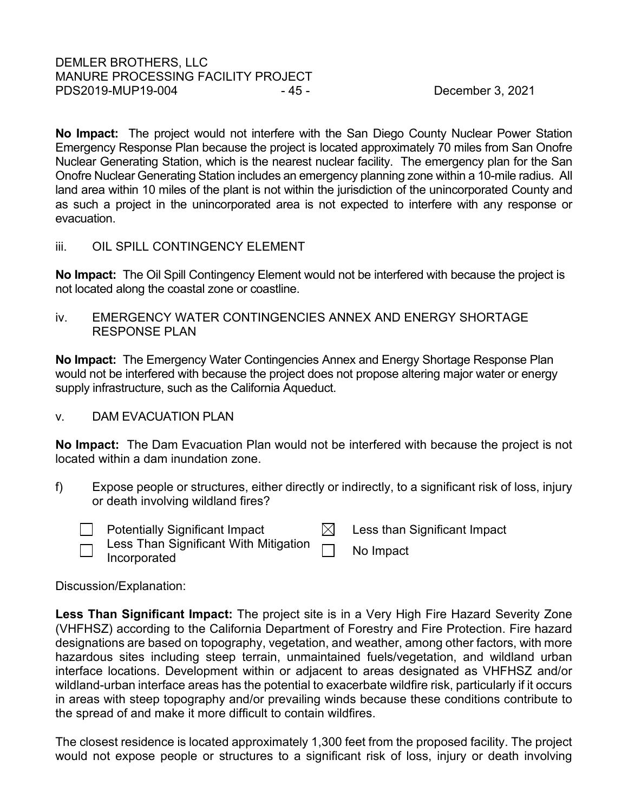**No Impact:** The project would not interfere with the San Diego County Nuclear Power Station Emergency Response Plan because the project is located approximately 70 miles from San Onofre Nuclear Generating Station, which is the nearest nuclear facility. The emergency plan for the San Onofre Nuclear Generating Station includes an emergency planning zone within a 10-mile radius. All land area within 10 miles of the plant is not within the jurisdiction of the unincorporated County and as such a project in the unincorporated area is not expected to interfere with any response or evacuation.

iii. OIL SPILL CONTINGENCY ELEMENT

**No Impact:** The Oil Spill Contingency Element would not be interfered with because the project is not located along the coastal zone or coastline.

iv. EMERGENCY WATER CONTINGENCIES ANNEX AND ENERGY SHORTAGE RESPONSE PLAN

**No Impact:** The Emergency Water Contingencies Annex and Energy Shortage Response Plan would not be interfered with because the project does not propose altering major water or energy supply infrastructure, such as the California Aqueduct.

# v. DAM EVACUATION PLAN

**No Impact:** The Dam Evacuation Plan would not be interfered with because the project is not located within a dam inundation zone.

f) Expose people or structures, either directly or indirectly, to a significant risk of loss, injury or death involving wildland fires?



**Example 1** Potentially Significant Impact  $\boxtimes$  Less than Significant Impact Less Than Significant With Mitigation Less Than Significant With Mitigation **No Impact**<br>Incorporated

Discussion/Explanation:

**Less Than Significant Impact:** The project site is in a Very High Fire Hazard Severity Zone (VHFHSZ) according to the California Department of Forestry and Fire Protection. Fire hazard designations are based on topography, vegetation, and weather, among other factors, with more hazardous sites including steep terrain, unmaintained fuels/vegetation, and wildland urban interface locations. Development within or adjacent to areas designated as VHFHSZ and/or wildland-urban interface areas has the potential to exacerbate wildfire risk, particularly if it occurs in areas with steep topography and/or prevailing winds because these conditions contribute to the spread of and make it more difficult to contain wildfires.

The closest residence is located approximately 1,300 feet from the proposed facility. The project would not expose people or structures to a significant risk of loss, injury or death involving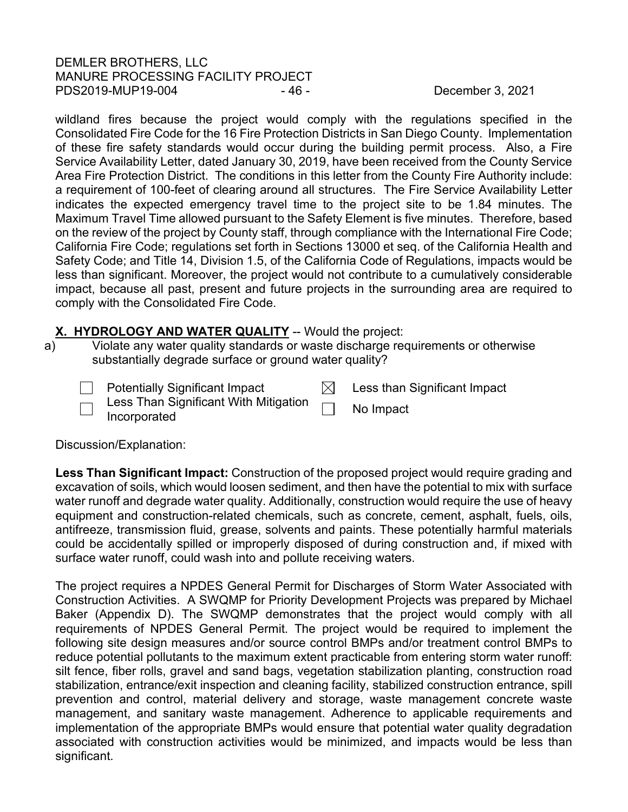# DEMLER BROTHERS, LLC MANURE PROCESSING FACILITY PROJECT PDS2019-MUP19-004 - 46 - 46 - December 3, 2021

wildland fires because the project would comply with the regulations specified in the Consolidated Fire Code for the 16 Fire Protection Districts in San Diego County. Implementation of these fire safety standards would occur during the building permit process. Also, a Fire Service Availability Letter, dated January 30, 2019, have been received from the County Service Area Fire Protection District. The conditions in this letter from the County Fire Authority include: a requirement of 100-feet of clearing around all structures. The Fire Service Availability Letter indicates the expected emergency travel time to the project site to be 1.84 minutes. The Maximum Travel Time allowed pursuant to the Safety Element is five minutes. Therefore, based on the review of the project by County staff, through compliance with the International Fire Code; California Fire Code; regulations set forth in Sections 13000 et seq. of the California Health and Safety Code; and Title 14, Division 1.5, of the California Code of Regulations, impacts would be less than significant. Moreover, the project would not contribute to a cumulatively considerable impact, because all past, present and future projects in the surrounding area are required to comply with the Consolidated Fire Code.

# **X. HYDROLOGY AND WATER QUALITY -- Would the project:**

a) Violate any water quality standards or waste discharge requirements or otherwise substantially degrade surface or ground water quality?



Discussion/Explanation:

**Less Than Significant Impact:** Construction of the proposed project would require grading and excavation of soils, which would loosen sediment, and then have the potential to mix with surface water runoff and degrade water quality. Additionally, construction would require the use of heavy equipment and construction-related chemicals, such as concrete, cement, asphalt, fuels, oils, antifreeze, transmission fluid, grease, solvents and paints. These potentially harmful materials could be accidentally spilled or improperly disposed of during construction and, if mixed with surface water runoff, could wash into and pollute receiving waters.

The project requires a NPDES General Permit for Discharges of Storm Water Associated with Construction Activities. A SWQMP for Priority Development Projects was prepared by Michael Baker (Appendix D). The SWQMP demonstrates that the project would comply with all requirements of NPDES General Permit. The project would be required to implement the following site design measures and/or source control BMPs and/or treatment control BMPs to reduce potential pollutants to the maximum extent practicable from entering storm water runoff: silt fence, fiber rolls, gravel and sand bags, vegetation stabilization planting, construction road stabilization, entrance/exit inspection and cleaning facility, stabilized construction entrance, spill prevention and control, material delivery and storage, waste management concrete waste management, and sanitary waste management. Adherence to applicable requirements and implementation of the appropriate BMPs would ensure that potential water quality degradation associated with construction activities would be minimized, and impacts would be less than significant.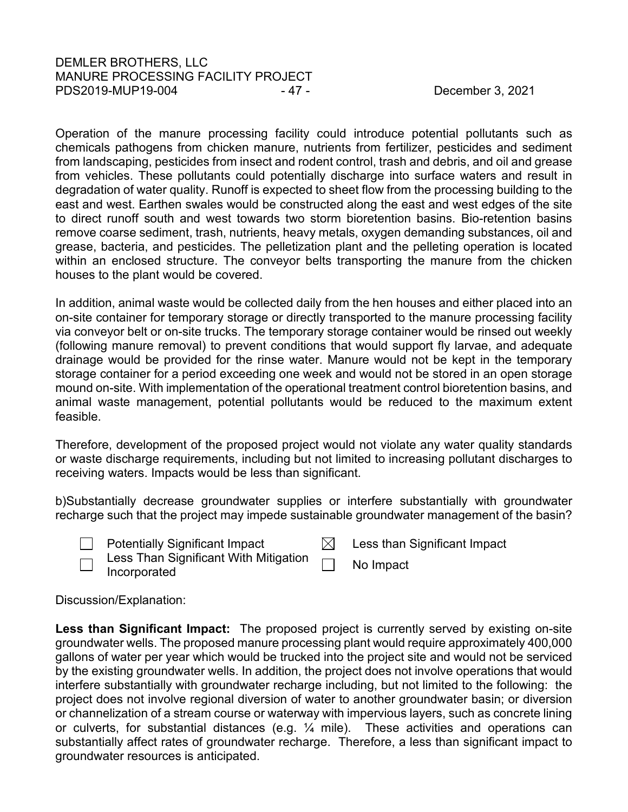# DEMLER BROTHERS, LLC MANURE PROCESSING FACILITY PROJECT PDS2019-MUP19-004 - 47 - 47 - December 3, 2021

Operation of the manure processing facility could introduce potential pollutants such as chemicals pathogens from chicken manure, nutrients from fertilizer, pesticides and sediment from landscaping, pesticides from insect and rodent control, trash and debris, and oil and grease from vehicles. These pollutants could potentially discharge into surface waters and result in degradation of water quality. Runoff is expected to sheet flow from the processing building to the east and west. Earthen swales would be constructed along the east and west edges of the site to direct runoff south and west towards two storm bioretention basins. Bio-retention basins remove coarse sediment, trash, nutrients, heavy metals, oxygen demanding substances, oil and grease, bacteria, and pesticides. The pelletization plant and the pelleting operation is located within an enclosed structure. The conveyor belts transporting the manure from the chicken houses to the plant would be covered.

In addition, animal waste would be collected daily from the hen houses and either placed into an on-site container for temporary storage or directly transported to the manure processing facility via conveyor belt or on-site trucks. The temporary storage container would be rinsed out weekly (following manure removal) to prevent conditions that would support fly larvae, and adequate drainage would be provided for the rinse water. Manure would not be kept in the temporary storage container for a period exceeding one week and would not be stored in an open storage mound on-site. With implementation of the operational treatment control bioretention basins, and animal waste management, potential pollutants would be reduced to the maximum extent feasible.

Therefore, development of the proposed project would not violate any water quality standards or waste discharge requirements, including but not limited to increasing pollutant discharges to receiving waters. Impacts would be less than significant.

b)Substantially decrease groundwater supplies or interfere substantially with groundwater recharge such that the project may impede sustainable groundwater management of the basin?

Potentially Significant Impact  $\boxtimes$  Less than Significant Impact Less Than Significant With Mitigation Incorporated **Incorporated** No Impact

# Discussion/Explanation:

**Less than Significant Impact:** The proposed project is currently served by existing on-site groundwater wells. The proposed manure processing plant would require approximately 400,000 gallons of water per year which would be trucked into the project site and would not be serviced by the existing groundwater wells. In addition, the project does not involve operations that would interfere substantially with groundwater recharge including, but not limited to the following: the project does not involve regional diversion of water to another groundwater basin; or diversion or channelization of a stream course or waterway with impervious layers, such as concrete lining or culverts, for substantial distances (e.g. ¼ mile). These activities and operations can substantially affect rates of groundwater recharge. Therefore, a less than significant impact to groundwater resources is anticipated.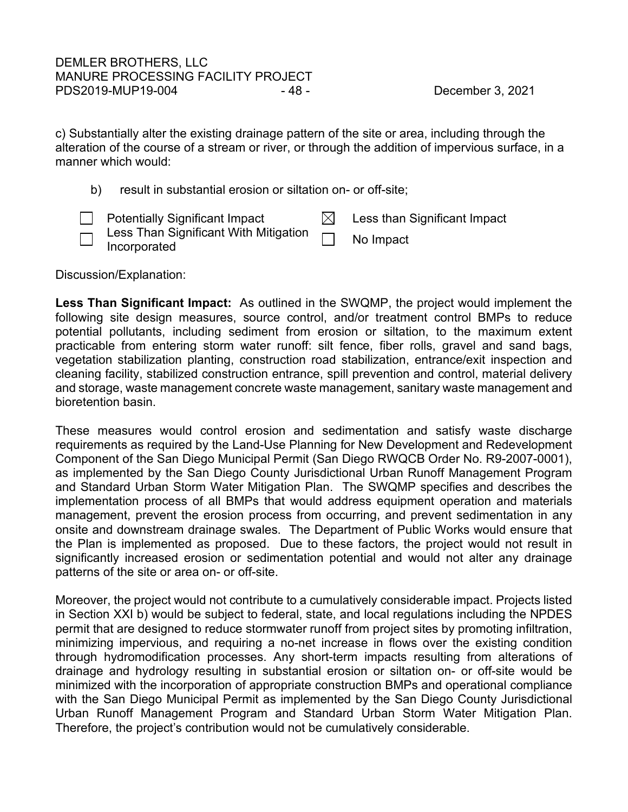c) Substantially alter the existing drainage pattern of the site or area, including through the alteration of the course of a stream or river, or through the addition of impervious surface, in a manner which would:

b) result in substantial erosion or siltation on- or off-site;

| <b>Potentially Significant Impact</b>                                      | Less than Significant Impact |
|----------------------------------------------------------------------------|------------------------------|
| $\Box$ Less Than Significant With Mitigation $\Box$<br>$\Box$ Incorporated | No Impact                    |

Discussion/Explanation:

**Less Than Significant Impact:** As outlined in the SWQMP, the project would implement the following site design measures, source control, and/or treatment control BMPs to reduce potential pollutants, including sediment from erosion or siltation, to the maximum extent practicable from entering storm water runoff: silt fence, fiber rolls, gravel and sand bags, vegetation stabilization planting, construction road stabilization, entrance/exit inspection and cleaning facility, stabilized construction entrance, spill prevention and control, material delivery and storage, waste management concrete waste management, sanitary waste management and bioretention basin.

These measures would control erosion and sedimentation and satisfy waste discharge requirements as required by the Land-Use Planning for New Development and Redevelopment Component of the San Diego Municipal Permit (San Diego RWQCB Order No. R9-2007-0001), as implemented by the San Diego County Jurisdictional Urban Runoff Management Program and Standard Urban Storm Water Mitigation Plan. The SWQMP specifies and describes the implementation process of all BMPs that would address equipment operation and materials management, prevent the erosion process from occurring, and prevent sedimentation in any onsite and downstream drainage swales. The Department of Public Works would ensure that the Plan is implemented as proposed. Due to these factors, the project would not result in significantly increased erosion or sedimentation potential and would not alter any drainage patterns of the site or area on- or off-site.

Moreover, the project would not contribute to a cumulatively considerable impact. Projects listed in Section XXI b) would be subject to federal, state, and local regulations including the NPDES permit that are designed to reduce stormwater runoff from project sites by promoting infiltration, minimizing impervious, and requiring a no-net increase in flows over the existing condition through hydromodification processes. Any short-term impacts resulting from alterations of drainage and hydrology resulting in substantial erosion or siltation on- or off-site would be minimized with the incorporation of appropriate construction BMPs and operational compliance with the San Diego Municipal Permit as implemented by the San Diego County Jurisdictional Urban Runoff Management Program and Standard Urban Storm Water Mitigation Plan. Therefore, the project's contribution would not be cumulatively considerable.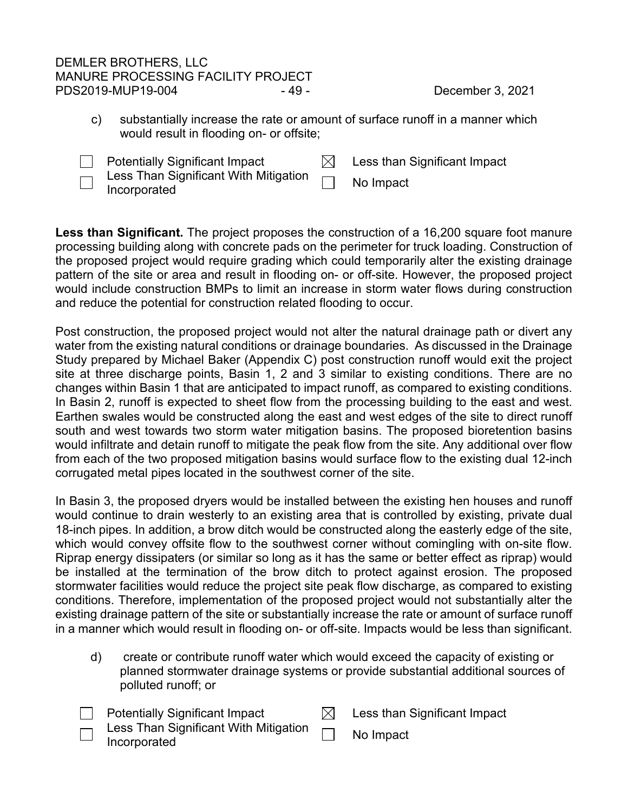# DEMLER BROTHERS, LLC MANURE PROCESSING FACILITY PROJECT PDS2019-MUP19-004 - 49 - 49 - December 3, 2021

c) substantially increase the rate or amount of surface runoff in a manner which would result in flooding on- or offsite;



 $\Box$  Potentially Significant Impact  $\boxdot$  Less than Significant Impact Less Than Significant With Mitigation Less Than Significant With Mitigation **No Impact**<br>Incorporated

Less than Significant. The project proposes the construction of a 16,200 square foot manure processing building along with concrete pads on the perimeter for truck loading. Construction of the proposed project would require grading which could temporarily alter the existing drainage pattern of the site or area and result in flooding on- or off-site. However, the proposed project would include construction BMPs to limit an increase in storm water flows during construction and reduce the potential for construction related flooding to occur.

Post construction, the proposed project would not alter the natural drainage path or divert any water from the existing natural conditions or drainage boundaries. As discussed in the Drainage Study prepared by Michael Baker (Appendix C) post construction runoff would exit the project site at three discharge points, Basin 1, 2 and 3 similar to existing conditions. There are no changes within Basin 1 that are anticipated to impact runoff, as compared to existing conditions. In Basin 2, runoff is expected to sheet flow from the processing building to the east and west. Earthen swales would be constructed along the east and west edges of the site to direct runoff south and west towards two storm water mitigation basins. The proposed bioretention basins would infiltrate and detain runoff to mitigate the peak flow from the site. Any additional over flow from each of the two proposed mitigation basins would surface flow to the existing dual 12-inch corrugated metal pipes located in the southwest corner of the site.

In Basin 3, the proposed dryers would be installed between the existing hen houses and runoff would continue to drain westerly to an existing area that is controlled by existing, private dual 18-inch pipes. In addition, a brow ditch would be constructed along the easterly edge of the site, which would convey offsite flow to the southwest corner without comingling with on-site flow. Riprap energy dissipaters (or similar so long as it has the same or better effect as riprap) would be installed at the termination of the brow ditch to protect against erosion. The proposed stormwater facilities would reduce the project site peak flow discharge, as compared to existing conditions. Therefore, implementation of the proposed project would not substantially alter the existing drainage pattern of the site or substantially increase the rate or amount of surface runoff in a manner which would result in flooding on- or off-site. Impacts would be less than significant.

d) create or contribute runoff water which would exceed the capacity of existing or planned stormwater drainage systems or provide substantial additional sources of polluted runoff; or

| <b>Potentially Significant Impact</b>                                 | Less than Significant Impact |
|-----------------------------------------------------------------------|------------------------------|
| $\lnot$ Less Than Significant With Mitigation $\lnot$<br>Incorporated | No Impact                    |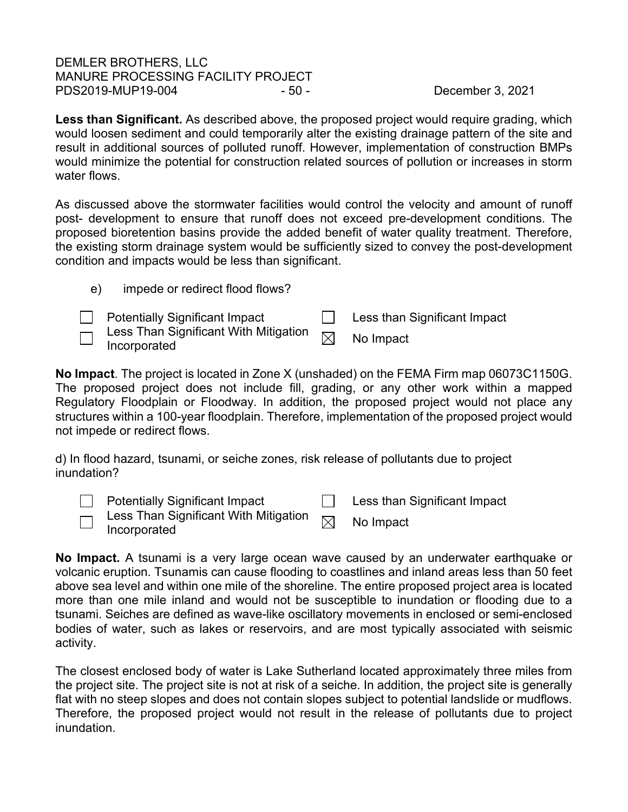DEMLER BROTHERS, LLC MANURE PROCESSING FACILITY PROJECT PDS2019-MUP19-004 - 50 - 50 - December 3, 2021

e) impede or redirect flood flows?

**Less than Significant.** As described above, the proposed project would require grading, which would loosen sediment and could temporarily alter the existing drainage pattern of the site and result in additional sources of polluted runoff. However, implementation of construction BMPs would minimize the potential for construction related sources of pollution or increases in storm water flows.

As discussed above the stormwater facilities would control the velocity and amount of runoff post- development to ensure that runoff does not exceed pre-development conditions. The proposed bioretention basins provide the added benefit of water quality treatment. Therefore, the existing storm drainage system would be sufficiently sized to convey the post-development condition and impacts would be less than significant.

| $\Box$ Potentially Significant Impact                               | Less than Significant Impact |
|---------------------------------------------------------------------|------------------------------|
| $\Box$ Less Than Significant With Mitigation<br>$\Box$ Incorporated | No Impact                    |

**No Impact**. The project is located in Zone X (unshaded) on the FEMA Firm map 06073C1150G. The proposed project does not include fill, grading, or any other work within a mapped Regulatory Floodplain or Floodway. In addition, the proposed project would not place any structures within a 100-year floodplain. Therefore, implementation of the proposed project would not impede or redirect flows.

d) In flood hazard, tsunami, or seiche zones, risk release of pollutants due to project inundation?

| Potentially Significant Impact                                                                                                                       | Less than Significant Impact |
|------------------------------------------------------------------------------------------------------------------------------------------------------|------------------------------|
| $\overline{\hspace{0.2cm}\cap\hspace{0.2cm}}$ Less Than Significant With Mitigation $\hspace{0.2cm}\overline{\hspace{0.2cm}}$<br>$\Box$ Incorporated | No Impact                    |

**No Impact.** A tsunami is a very large ocean wave caused by an underwater earthquake or volcanic eruption. Tsunamis can cause flooding to coastlines and inland areas less than 50 feet above sea level and within one mile of the shoreline. The entire proposed project area is located more than one mile inland and would not be susceptible to inundation or flooding due to a tsunami. Seiches are defined as wave-like oscillatory movements in enclosed or semi-enclosed bodies of water, such as lakes or reservoirs, and are most typically associated with seismic activity.

The closest enclosed body of water is Lake Sutherland located approximately three miles from the project site. The project site is not at risk of a seiche. In addition, the project site is generally flat with no steep slopes and does not contain slopes subject to potential landslide or mudflows. Therefore, the proposed project would not result in the release of pollutants due to project inundation.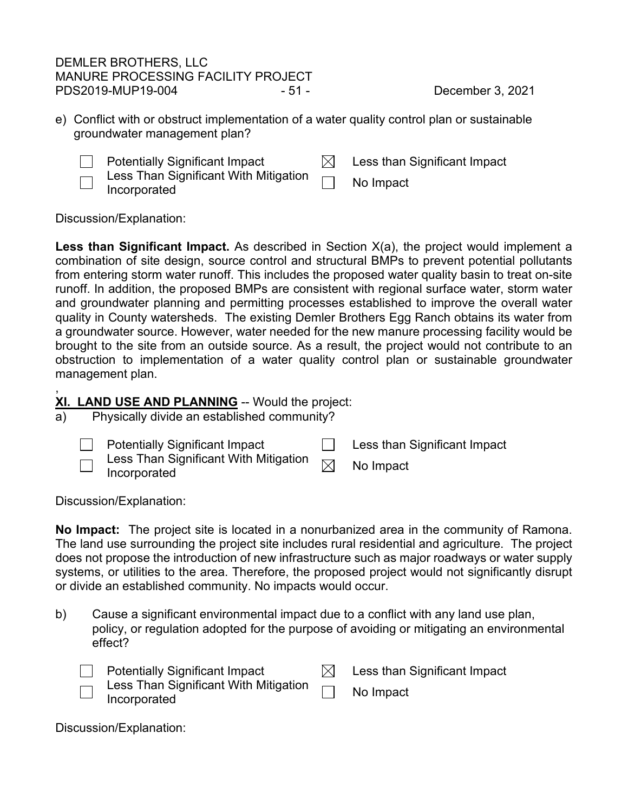# DEMLER BROTHERS, LLC MANURE PROCESSING FACILITY PROJECT PDS2019-MUP19-004 - 51 - 51 - December 3, 2021

e) Conflict with or obstruct implementation of a water quality control plan or sustainable groundwater management plan?



 $\Box$  Potentially Significant Impact  $\Box$  Less than Significant Impact Less Than Significant With Mitigation Less Trian Significant with Mitigation **Information**<br>Incorporated

Discussion/Explanation:

**Less than Significant Impact.** As described in Section X(a), the project would implement a combination of site design, source control and structural BMPs to prevent potential pollutants from entering storm water runoff. This includes the proposed water quality basin to treat on-site runoff. In addition, the proposed BMPs are consistent with regional surface water, storm water and groundwater planning and permitting processes established to improve the overall water quality in County watersheds. The existing Demler Brothers Egg Ranch obtains its water from a groundwater source. However, water needed for the new manure processing facility would be brought to the site from an outside source. As a result, the project would not contribute to an obstruction to implementation of a water quality control plan or sustainable groundwater management plan.

### , **XI. LAND USE AND PLANNING** -- Would the project:

a) Physically divide an established community?



**EXECUTE:** Potentially Significant Impact **Less than Significant Impact** 

Less Than Significant With Mitigation  $\textsf{Less}$  Trian Significant with Mitigation  $\boxtimes$  No Impact Incorporated

Discussion/Explanation:

**No Impact:** The project site is located in a nonurbanized area in the community of Ramona. The land use surrounding the project site includes rural residential and agriculture. The project does not propose the introduction of new infrastructure such as major roadways or water supply systems, or utilities to the area. Therefore, the proposed project would not significantly disrupt or divide an established community. No impacts would occur.

b) Cause a significant environmental impact due to a conflict with any land use plan, policy, or regulation adopted for the purpose of avoiding or mitigating an environmental effect?

| $\Box$ Potentially Significant Impact                                                                | $\boxtimes$ Less than Significant Impact |
|------------------------------------------------------------------------------------------------------|------------------------------------------|
| $\overline{m}$ Less Than Significant With Mitigation $\overline{m}$ No Impact<br>$\Box$ Incorporated |                                          |

Discussion/Explanation: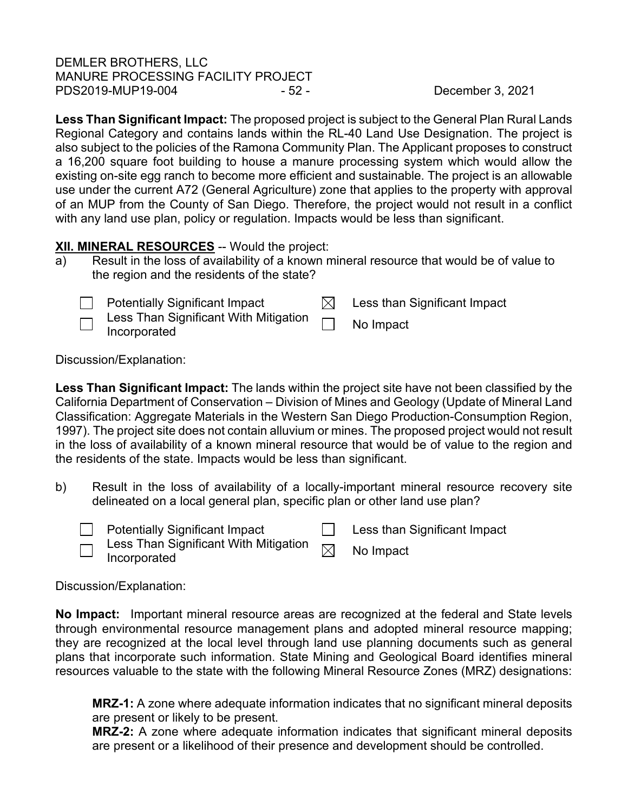# DEMLER BROTHERS, LLC MANURE PROCESSING FACILITY PROJECT PDS2019-MUP19-004 - 52 - December 3, 2021

**Less Than Significant Impact:** The proposed project is subject to the General Plan Rural Lands Regional Category and contains lands within the RL-40 Land Use Designation. The project is also subject to the policies of the Ramona Community Plan. The Applicant proposes to construct a 16,200 square foot building to house a manure processing system which would allow the existing on-site egg ranch to become more efficient and sustainable. The project is an allowable use under the current A72 (General Agriculture) zone that applies to the property with approval of an MUP from the County of San Diego. Therefore, the project would not result in a conflict with any land use plan, policy or regulation. Impacts would be less than significant.

# **XII. MINERAL RESOURCES** -- Would the project:

a) Result in the loss of availability of a known mineral resource that would be of value to the region and the residents of the state?



Discussion/Explanation:

**Less Than Significant Impact:** The lands within the project site have not been classified by the California Department of Conservation – Division of Mines and Geology (Update of Mineral Land Classification: Aggregate Materials in the Western San Diego Production-Consumption Region, 1997). The project site does not contain alluvium or mines. The proposed project would not result in the loss of availability of a known mineral resource that would be of value to the region and the residents of the state. Impacts would be less than significant.

b) Result in the loss of availability of a locally-important mineral resource recovery site delineated on a local general plan, specific plan or other land use plan?



Less Than Significant With Mitigation  $\text{Less}$  Trian Significant With Mitigation  $\boxtimes$  No Impact Incorporated

Discussion/Explanation:

**No Impact:** Important mineral resource areas are recognized at the federal and State levels through environmental resource management plans and adopted mineral resource mapping; they are recognized at the local level through land use planning documents such as general plans that incorporate such information. State Mining and Geological Board identifies mineral resources valuable to the state with the following Mineral Resource Zones (MRZ) designations:

**MRZ-1:** A zone where adequate information indicates that no significant mineral deposits are present or likely to be present.

**MRZ-2:** A zone where adequate information indicates that significant mineral deposits are present or a likelihood of their presence and development should be controlled.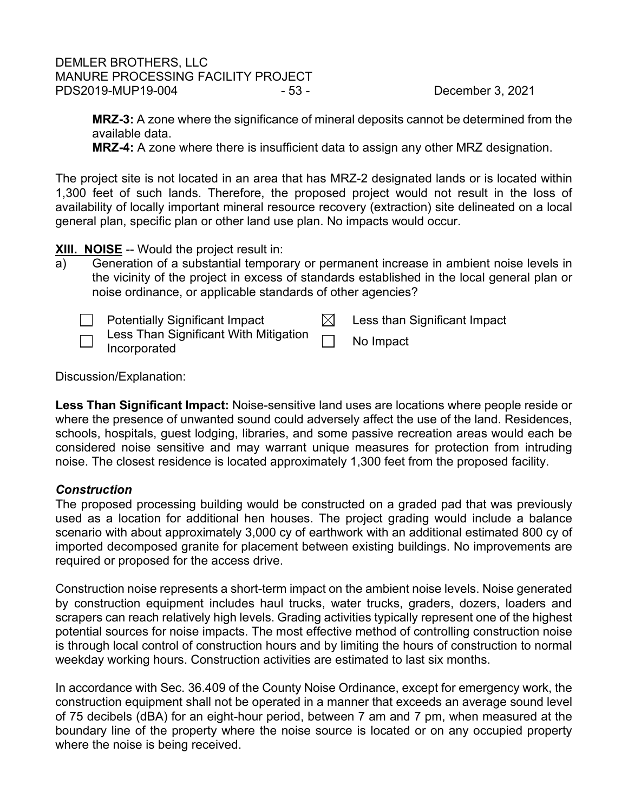# DEMLER BROTHERS, LLC MANURE PROCESSING FACILITY PROJECT PDS2019-MUP19-004 - 53 - December 3, 2021

**MRZ-3:** A zone where the significance of mineral deposits cannot be determined from the available data.

**MRZ-4:** A zone where there is insufficient data to assign any other MRZ designation.

The project site is not located in an area that has MRZ-2 designated lands or is located within 1,300 feet of such lands. Therefore, the proposed project would not result in the loss of availability of locally important mineral resource recovery (extraction) site delineated on a local general plan, specific plan or other land use plan. No impacts would occur.

# **XIII. NOISE** -- Would the project result in:

a) Generation of a substantial temporary or permanent increase in ambient noise levels in the vicinity of the project in excess of standards established in the local general plan or noise ordinance, or applicable standards of other agencies?

|                          | <b>Potentially Significant Impact</b>                 | Less than Significant Impact |
|--------------------------|-------------------------------------------------------|------------------------------|
| $\overline{\phantom{0}}$ | Less Than Significant With Mitigation<br>Incorporated | No Impact                    |

Discussion/Explanation:

**Less Than Significant Impact:** Noise-sensitive land uses are locations where people reside or where the presence of unwanted sound could adversely affect the use of the land. Residences, schools, hospitals, guest lodging, libraries, and some passive recreation areas would each be considered noise sensitive and may warrant unique measures for protection from intruding noise. The closest residence is located approximately 1,300 feet from the proposed facility.

# *Construction*

The proposed processing building would be constructed on a graded pad that was previously used as a location for additional hen houses. The project grading would include a balance scenario with about approximately 3,000 cy of earthwork with an additional estimated 800 cy of imported decomposed granite for placement between existing buildings. No improvements are required or proposed for the access drive.

Construction noise represents a short-term impact on the ambient noise levels. Noise generated by construction equipment includes haul trucks, water trucks, graders, dozers, loaders and scrapers can reach relatively high levels. Grading activities typically represent one of the highest potential sources for noise impacts. The most effective method of controlling construction noise is through local control of construction hours and by limiting the hours of construction to normal weekday working hours. Construction activities are estimated to last six months.

In accordance with Sec. 36.409 of the County Noise Ordinance, except for emergency work, the construction equipment shall not be operated in a manner that exceeds an average sound level of 75 decibels (dBA) for an eight-hour period, between 7 am and 7 pm, when measured at the boundary line of the property where the noise source is located or on any occupied property where the noise is being received.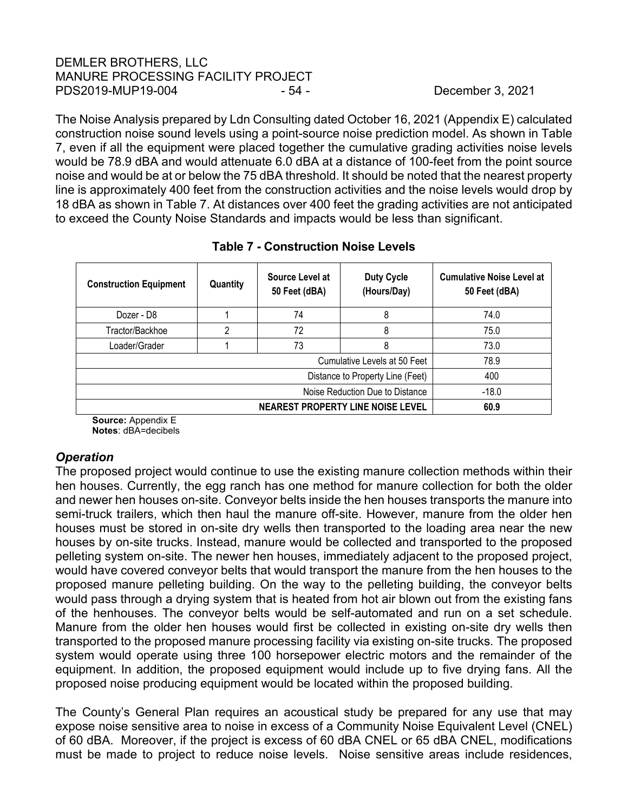# DEMLER BROTHERS, LLC MANURE PROCESSING FACILITY PROJECT PDS2019-MUP19-004 - 54 - December 3, 2021

The Noise Analysis prepared by Ldn Consulting dated October 16, 2021 (Appendix E) calculated construction noise sound levels using a point-source noise prediction model. As shown in Table 7, even if all the equipment were placed together the cumulative grading activities noise levels would be 78.9 dBA and would attenuate 6.0 dBA at a distance of 100-feet from the point source noise and would be at or below the 75 dBA threshold. It should be noted that the nearest property line is approximately 400 feet from the construction activities and the noise levels would drop by 18 dBA as shown in Table 7. At distances over 400 feet the grading activities are not anticipated to exceed the County Noise Standards and impacts would be less than significant.

| <b>Construction Equipment</b>    | Quantity | Source Level at<br>50 Feet (dBA) | <b>Duty Cycle</b><br>(Hours/Day)         | <b>Cumulative Noise Level at</b><br>50 Feet (dBA) |
|----------------------------------|----------|----------------------------------|------------------------------------------|---------------------------------------------------|
| Dozer - D8                       |          | 74                               | 8                                        | 74.0                                              |
| Tractor/Backhoe                  | റ        | 72                               | 8                                        | 75.0                                              |
| Loader/Grader                    |          | 73                               | 8                                        | 73.0                                              |
|                                  |          |                                  | Cumulative Levels at 50 Feet             | 78.9                                              |
| Distance to Property Line (Feet) |          |                                  |                                          | 400                                               |
| Noise Reduction Due to Distance  |          |                                  |                                          | $-18.0$                                           |
|                                  |          |                                  | <b>NEAREST PROPERTY LINE NOISE LEVEL</b> | 60.9                                              |

# **Table 7 - Construction Noise Levels**

**Source:** Appendix E **Notes**: dBA=decibels

# *Operation*

The proposed project would continue to use the existing manure collection methods within their hen houses. Currently, the egg ranch has one method for manure collection for both the older and newer hen houses on-site. Conveyor belts inside the hen houses transports the manure into semi-truck trailers, which then haul the manure off-site. However, manure from the older hen houses must be stored in on-site dry wells then transported to the loading area near the new houses by on-site trucks. Instead, manure would be collected and transported to the proposed pelleting system on-site. The newer hen houses, immediately adjacent to the proposed project, would have covered conveyor belts that would transport the manure from the hen houses to the proposed manure pelleting building. On the way to the pelleting building, the conveyor belts would pass through a drying system that is heated from hot air blown out from the existing fans of the henhouses. The conveyor belts would be self-automated and run on a set schedule. Manure from the older hen houses would first be collected in existing on-site dry wells then transported to the proposed manure processing facility via existing on-site trucks. The proposed system would operate using three 100 horsepower electric motors and the remainder of the equipment. In addition, the proposed equipment would include up to five drying fans. All the proposed noise producing equipment would be located within the proposed building.

The County's General Plan requires an acoustical study be prepared for any use that may expose noise sensitive area to noise in excess of a Community Noise Equivalent Level (CNEL) of 60 dBA. Moreover, if the project is excess of 60 dBA CNEL or 65 dBA CNEL, modifications must be made to project to reduce noise levels. Noise sensitive areas include residences,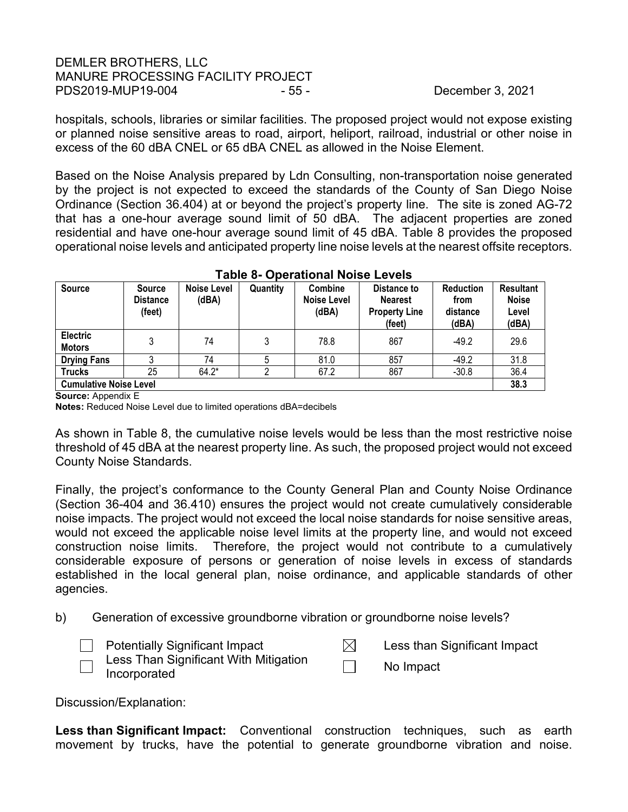# DEMLER BROTHERS, LLC MANURE PROCESSING FACILITY PROJECT PDS2019-MUP19-004 - 55 - December 3, 2021

hospitals, schools, libraries or similar facilities. The proposed project would not expose existing or planned noise sensitive areas to road, airport, heliport, railroad, industrial or other noise in excess of the 60 dBA CNEL or 65 dBA CNEL as allowed in the Noise Element.

Based on the Noise Analysis prepared by Ldn Consulting, non-transportation noise generated by the project is not expected to exceed the standards of the County of San Diego Noise Ordinance (Section 36.404) at or beyond the project's property line. The site is zoned AG-72 that has a one-hour average sound limit of 50 dBA. The adjacent properties are zoned residential and have one-hour average sound limit of 45 dBA. Table 8 provides the proposed operational noise levels and anticipated property line noise levels at the nearest offsite receptors.

| <b>Source</b>                    | <b>Source</b><br><b>Distance</b><br>(feet) | <b>Noise Level</b><br>(dBA) | Quantity | Combine<br><b>Noise Level</b><br>(dBA) | Distance to<br><b>Nearest</b><br><b>Property Line</b><br>(feet) | <b>Reduction</b><br>from<br>distance<br>(dBA) | <b>Resultant</b><br><b>Noise</b><br>Level<br>(dBA) |
|----------------------------------|--------------------------------------------|-----------------------------|----------|----------------------------------------|-----------------------------------------------------------------|-----------------------------------------------|----------------------------------------------------|
| <b>Electric</b><br><b>Motors</b> | 3                                          | 74                          | 3        | 78.8                                   | 867                                                             | $-49.2$                                       | 29.6                                               |
| <b>Drying Fans</b>               |                                            | 74                          |          | 81.0                                   | 857                                                             | $-49.2$                                       | 31.8                                               |
| <b>Trucks</b>                    | 25                                         | $64.2*$                     |          | 67.2                                   | 867                                                             | $-30.8$                                       | 36.4                                               |
| <b>Cumulative Noise Level</b>    |                                            |                             |          |                                        |                                                                 |                                               | 38.3                                               |

|  | <b>Table 8- Operational Noise Levels</b> |  |
|--|------------------------------------------|--|
|--|------------------------------------------|--|

**Source:** Appendix E

**Notes:** Reduced Noise Level due to limited operations dBA=decibels

As shown in Table 8, the cumulative noise levels would be less than the most restrictive noise threshold of 45 dBA at the nearest property line. As such, the proposed project would not exceed County Noise Standards.

Finally, the project's conformance to the County General Plan and County Noise Ordinance (Section 36-404 and 36.410) ensures the project would not create cumulatively considerable noise impacts. The project would not exceed the local noise standards for noise sensitive areas, would not exceed the applicable noise level limits at the property line, and would not exceed construction noise limits. Therefore, the project would not contribute to a cumulatively considerable exposure of persons or generation of noise levels in excess of standards established in the local general plan, noise ordinance, and applicable standards of other agencies.

- b) Generation of excessive groundborne vibration or groundborne noise levels?
	- Potentially Significant Impact  $\boxtimes$  Less than Significant Impact Less Than Significant With Mitigation

Less Than Significant With Mitigation<br>Incorporated

Discussion/Explanation:

**Less than Significant Impact:** Conventional construction techniques, such as earth movement by trucks, have the potential to generate groundborne vibration and noise.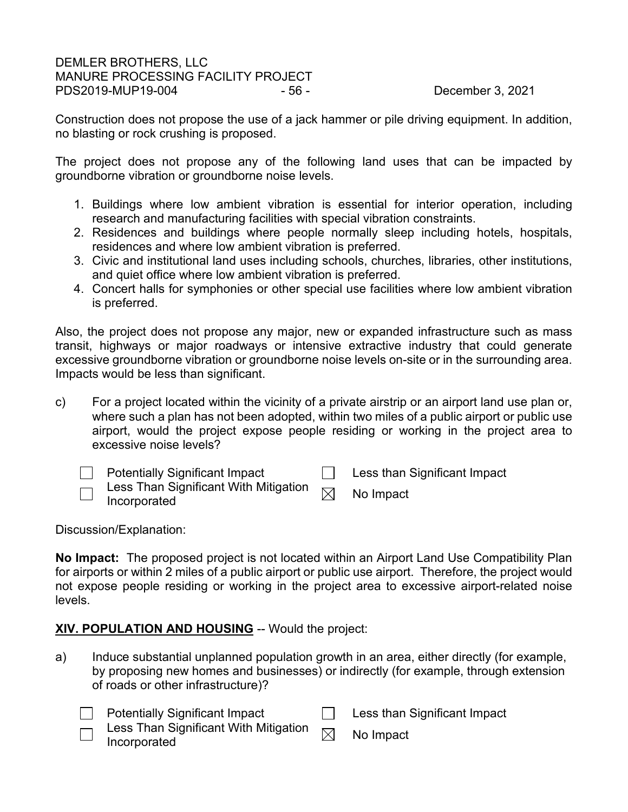## DEMLER BROTHERS, LLC MANURE PROCESSING FACILITY PROJECT PDS2019-MUP19-004 - 56 - December 3, 2021

Construction does not propose the use of a jack hammer or pile driving equipment. In addition, no blasting or rock crushing is proposed.

The project does not propose any of the following land uses that can be impacted by groundborne vibration or groundborne noise levels.

- 1. Buildings where low ambient vibration is essential for interior operation, including research and manufacturing facilities with special vibration constraints.
- 2. Residences and buildings where people normally sleep including hotels, hospitals, residences and where low ambient vibration is preferred.
- 3. Civic and institutional land uses including schools, churches, libraries, other institutions, and quiet office where low ambient vibration is preferred.
- 4. Concert halls for symphonies or other special use facilities where low ambient vibration is preferred.

Also, the project does not propose any major, new or expanded infrastructure such as mass transit, highways or major roadways or intensive extractive industry that could generate excessive groundborne vibration or groundborne noise levels on-site or in the surrounding area. Impacts would be less than significant.

c) For a project located within the vicinity of a private airstrip or an airport land use plan or, where such a plan has not been adopted, within two miles of a public airport or public use airport, would the project expose people residing or working in the project area to excessive noise levels?

| <b>Potentially Significant Impact</b>                                                                          | Less than Significant Impact |
|----------------------------------------------------------------------------------------------------------------|------------------------------|
| $\overline{\phantom{a}}$ Less Than Significant With Mitigation $\overline{\phantom{a}}$<br>$\Box$ Incorporated | No Impact                    |

Discussion/Explanation:

**No Impact:** The proposed project is not located within an Airport Land Use Compatibility Plan for airports or within 2 miles of a public airport or public use airport. Therefore, the project would not expose people residing or working in the project area to excessive airport-related noise levels.

# **XIV. POPULATION AND HOUSING** -- Would the project:

a) Induce substantial unplanned population growth in an area, either directly (for example, by proposing new homes and businesses) or indirectly (for example, through extension of roads or other infrastructure)?

| <b>Potentially Significant Impact</b> | Less than Significant Impact |
|---------------------------------------|------------------------------|
| Loss Than Significant With Mitigation |                              |

Less Than Significant With Mitigation  $\quad \Join \quad$  No Impact<br>Incorporated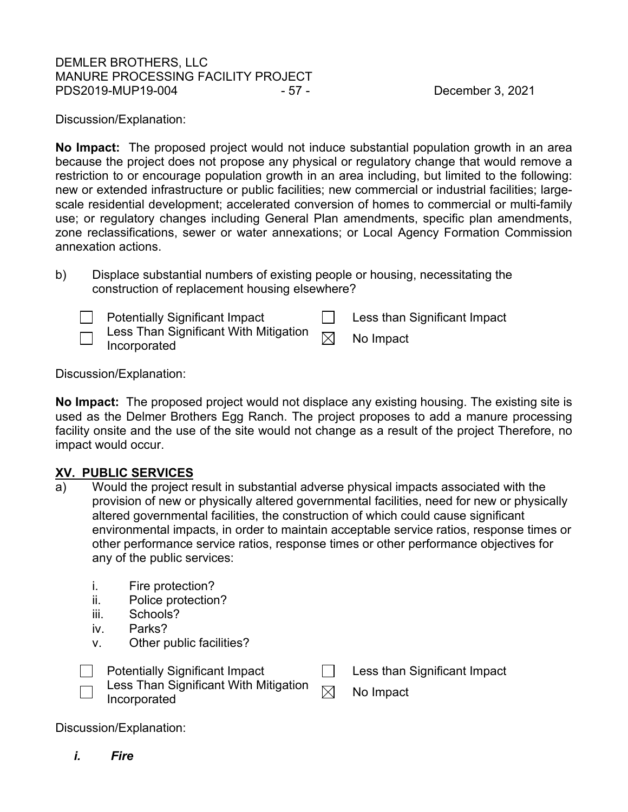# DEMLER BROTHERS, LLC MANURE PROCESSING FACILITY PROJECT PDS2019-MUP19-004 - 57 - December 3, 2021

Discussion/Explanation:

**No Impact:** The proposed project would not induce substantial population growth in an area because the project does not propose any physical or regulatory change that would remove a restriction to or encourage population growth in an area including, but limited to the following: new or extended infrastructure or public facilities; new commercial or industrial facilities; largescale residential development; accelerated conversion of homes to commercial or multi-family use; or regulatory changes including General Plan amendments, specific plan amendments, zone reclassifications, sewer or water annexations; or Local Agency Formation Commission annexation actions.

| b) | Displace substantial numbers of existing people or housing, necessitating the |
|----|-------------------------------------------------------------------------------|
|    | construction of replacement housing elsewhere?                                |

| <b>Potentially Significant Impact</b>                                                                                                | Less than Significant Impact |
|--------------------------------------------------------------------------------------------------------------------------------------|------------------------------|
| $\bar{\overline{\phantom{a}}\phantom{a}}$ Less Than Significant With Mitigation $\bar{\phantom{a}}_\boxtimes$<br>$\Box$ Incorporated | No Impact                    |

Discussion/Explanation:

**No Impact:** The proposed project would not displace any existing housing. The existing site is used as the Delmer Brothers Egg Ranch. The project proposes to add a manure processing facility onsite and the use of the site would not change as a result of the project Therefore, no impact would occur.

# **XV. PUBLIC SERVICES**

- a) Would the project result in substantial adverse physical impacts associated with the provision of new or physically altered governmental facilities, need for new or physically altered governmental facilities, the construction of which could cause significant environmental impacts, in order to maintain acceptable service ratios, response times or other performance service ratios, response times or other performance objectives for any of the public services:
	- i. Fire protection?
	- ii. Police protection?
	- iii. Schools?
	- iv. Parks?
	- v. Other public facilities?



Discussion/Explanation:

*i. Fire*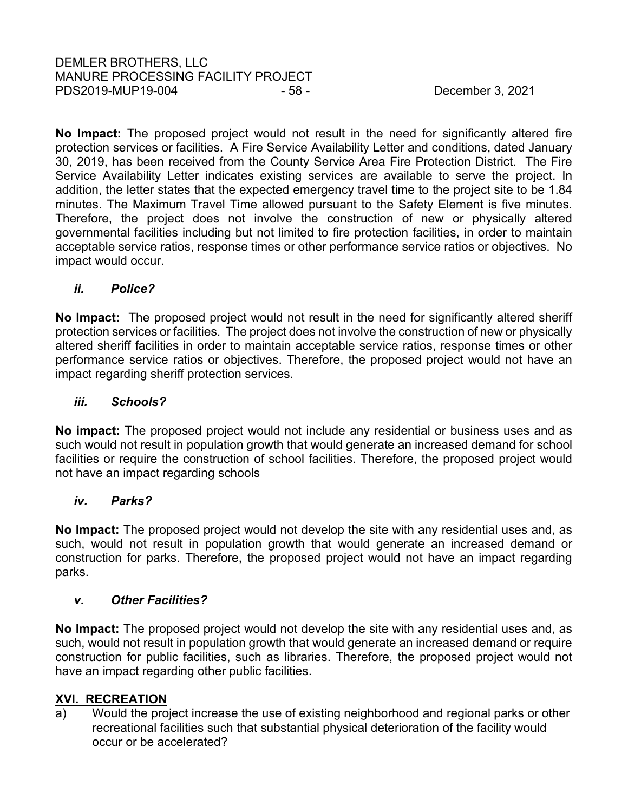**No Impact:** The proposed project would not result in the need for significantly altered fire protection services or facilities. A Fire Service Availability Letter and conditions, dated January 30, 2019, has been received from the County Service Area Fire Protection District. The Fire Service Availability Letter indicates existing services are available to serve the project. In addition, the letter states that the expected emergency travel time to the project site to be 1.84 minutes. The Maximum Travel Time allowed pursuant to the Safety Element is five minutes. Therefore, the project does not involve the construction of new or physically altered governmental facilities including but not limited to fire protection facilities, in order to maintain acceptable service ratios, response times or other performance service ratios or objectives. No impact would occur.

# *ii. Police?*

**No Impact:** The proposed project would not result in the need for significantly altered sheriff protection services or facilities. The project does not involve the construction of new or physically altered sheriff facilities in order to maintain acceptable service ratios, response times or other performance service ratios or objectives. Therefore, the proposed project would not have an impact regarding sheriff protection services.

# *iii. Schools?*

**No impact:** The proposed project would not include any residential or business uses and as such would not result in population growth that would generate an increased demand for school facilities or require the construction of school facilities. Therefore, the proposed project would not have an impact regarding schools

# *iv. Parks?*

**No Impact:** The proposed project would not develop the site with any residential uses and, as such, would not result in population growth that would generate an increased demand or construction for parks. Therefore, the proposed project would not have an impact regarding parks.

# *v. Other Facilities?*

**No Impact:** The proposed project would not develop the site with any residential uses and, as such, would not result in population growth that would generate an increased demand or require construction for public facilities, such as libraries. Therefore, the proposed project would not have an impact regarding other public facilities.

# **XVI. RECREATION**

a) Would the project increase the use of existing neighborhood and regional parks or other recreational facilities such that substantial physical deterioration of the facility would occur or be accelerated?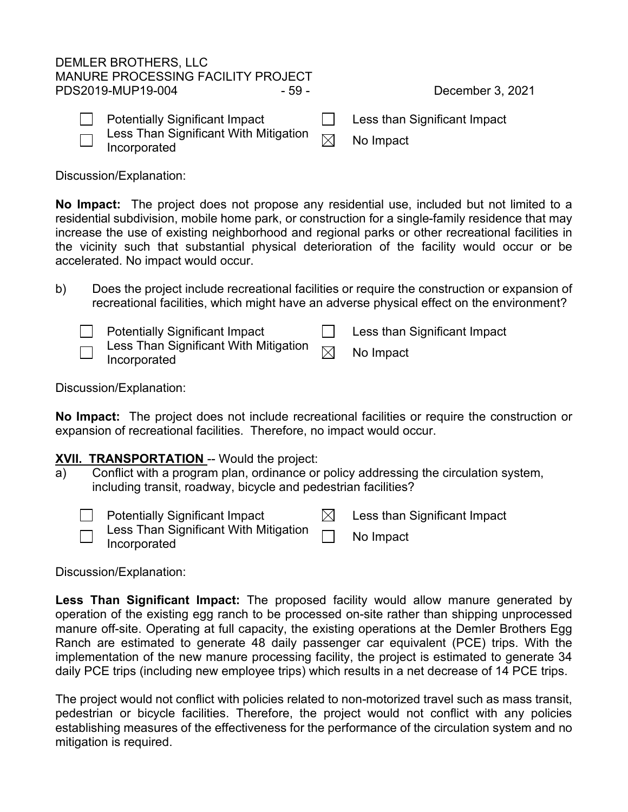# DEMLER BROTHERS, LLC MANURE PROCESSING FACILITY PROJECT PDS2019-MUP19-004 - 59 - - - - December 3, 2021

| <b>Potentially Significant Impact</b> | Less than Significant Impact |
|---------------------------------------|------------------------------|
| $\Box$ Incorporated                   | No Impact                    |

Discussion/Explanation:

**No Impact:** The project does not propose any residential use, included but not limited to a residential subdivision, mobile home park, or construction for a single-family residence that may increase the use of existing neighborhood and regional parks or other recreational facilities in the vicinity such that substantial physical deterioration of the facility would occur or be accelerated. No impact would occur.

b) Does the project include recreational facilities or require the construction or expansion of recreational facilities, which might have an adverse physical effect on the environment?

|       | Potentially Significant Impact                                                       | Less than Significant Impact |
|-------|--------------------------------------------------------------------------------------|------------------------------|
| لـــا | $\bar{\neg}$ Less Than Significant With Mitigation $\bar{\boxtimes}$<br>Incorporated | No Impact                    |

Discussion/Explanation:

**No Impact:** The project does not include recreational facilities or require the construction or expansion of recreational facilities. Therefore, no impact would occur.

# **XVII. TRANSPORTATION** -- Would the project:

a) Conflict with a program plan, ordinance or policy addressing the circulation system, including transit, roadway, bicycle and pedestrian facilities?

- Potentially Significant Impact  $\boxtimes$  Less than Significant Impact Less Than Significant With Mitigation
- Less Than Significant With Mitigation **Information** No Impact

Discussion/Explanation:

**Less Than Significant Impact:** The proposed facility would allow manure generated by operation of the existing egg ranch to be processed on-site rather than shipping unprocessed manure off-site. Operating at full capacity, the existing operations at the Demler Brothers Egg Ranch are estimated to generate 48 daily passenger car equivalent (PCE) trips. With the implementation of the new manure processing facility, the project is estimated to generate 34 daily PCE trips (including new employee trips) which results in a net decrease of 14 PCE trips.

The project would not conflict with policies related to non-motorized travel such as mass transit, pedestrian or bicycle facilities. Therefore, the project would not conflict with any policies establishing measures of the effectiveness for the performance of the circulation system and no mitigation is required.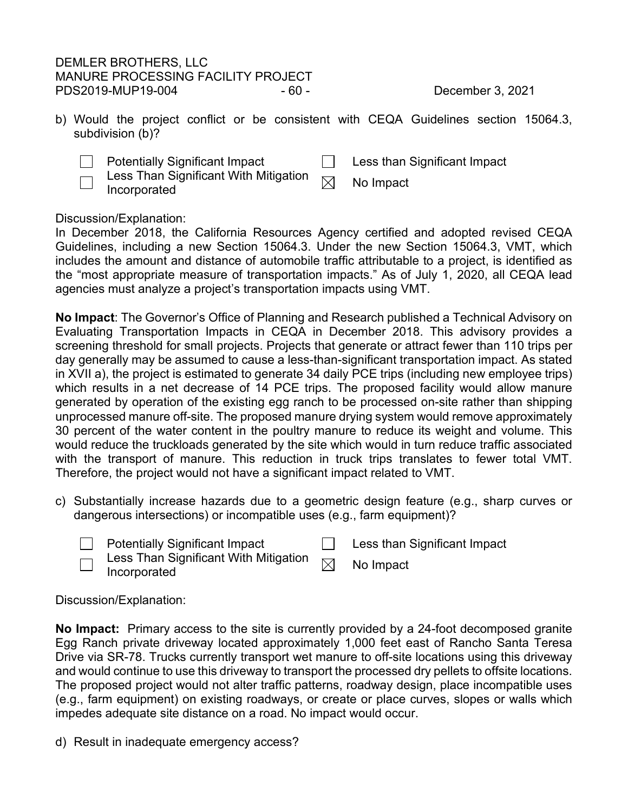# DEMLER BROTHERS, LLC MANURE PROCESSING FACILITY PROJECT PDS2019-MUP19-004 - 60 - - 60 - December 3, 2021

- b) Would the project conflict or be consistent with CEQA Guidelines section 15064.3, subdivision (b)?
	- $\Box$ Potentially Significant Impact **Less than Significant Impact**



Less Than Significant With Mitigation  $\textsf{Less}$  Trian Significant with Mitigation  $\boxtimes$  No Impact Incorporated

Discussion/Explanation:

In December 2018, the California Resources Agency certified and adopted revised CEQA Guidelines, including a new Section 15064.3. Under the new Section 15064.3, VMT, which includes the amount and distance of automobile traffic attributable to a project, is identified as the "most appropriate measure of transportation impacts." As of July 1, 2020, all CEQA lead agencies must analyze a project's transportation impacts using VMT.

**No Impact**: The Governor's Office of Planning and Research published a Technical Advisory on Evaluating Transportation Impacts in CEQA in December 2018. This advisory provides a screening threshold for small projects. Projects that generate or attract fewer than 110 trips per day generally may be assumed to cause a less-than-significant transportation impact. As stated in XVII a), the project is estimated to generate 34 daily PCE trips (including new employee trips) which results in a net decrease of 14 PCE trips. The proposed facility would allow manure generated by operation of the existing egg ranch to be processed on-site rather than shipping unprocessed manure off-site. The proposed manure drying system would remove approximately 30 percent of the water content in the poultry manure to reduce its weight and volume. This would reduce the truckloads generated by the site which would in turn reduce traffic associated with the transport of manure. This reduction in truck trips translates to fewer total VMT. Therefore, the project would not have a significant impact related to VMT.

- c) Substantially increase hazards due to a geometric design feature (e.g., sharp curves or dangerous intersections) or incompatible uses (e.g., farm equipment)?
	-

Potentially Significant Impact **Less** than Significant Impact

Less Than Significant With Mitigation  $\quad \Join \quad$  No Impact<br>Incorporated

# Discussion/Explanation:

**No Impact:** Primary access to the site is currently provided by a 24-foot decomposed granite Egg Ranch private driveway located approximately 1,000 feet east of Rancho Santa Teresa Drive via SR-78. Trucks currently transport wet manure to off-site locations using this driveway and would continue to use this driveway to transport the processed dry pellets to offsite locations. The proposed project would not alter traffic patterns, roadway design, place incompatible uses (e.g., farm equipment) on existing roadways, or create or place curves, slopes or walls which impedes adequate site distance on a road. No impact would occur.

d) Result in inadequate emergency access?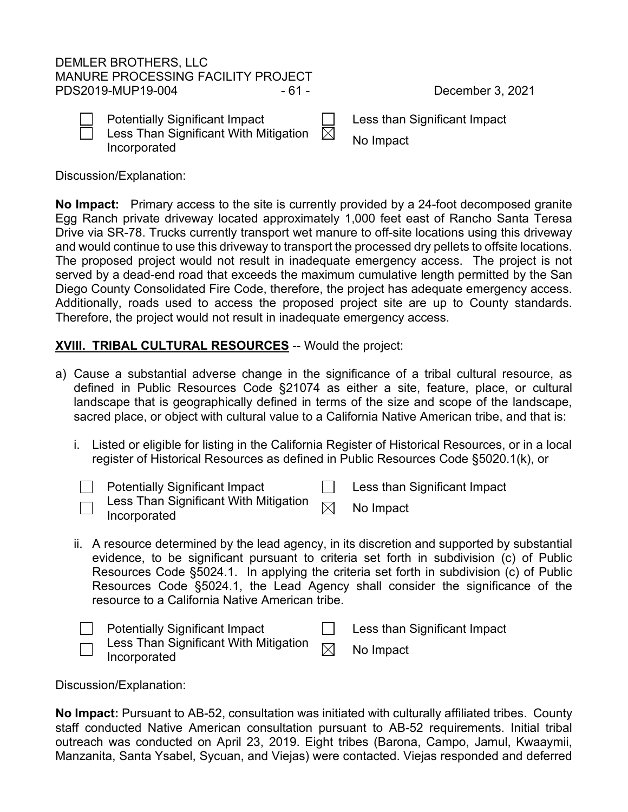# DEMLER BROTHERS, LLC MANURE PROCESSING FACILITY PROJECT PDS2019-MUP19-004 - 61 - 91 - 61 - December 3, 2021

| Potentia |
|----------|
| Less Th  |

ıan Significant With Mitigation Less Than Significant With Mitigation  $\boxtimes$  No Impact<br>Incorporated

ally Significant Impact  $\Box$  Less than Significant Impact

Discussion/Explanation:

**No Impact:** Primary access to the site is currently provided by a 24-foot decomposed granite Egg Ranch private driveway located approximately 1,000 feet east of Rancho Santa Teresa Drive via SR-78. Trucks currently transport wet manure to off-site locations using this driveway and would continue to use this driveway to transport the processed dry pellets to offsite locations. The proposed project would not result in inadequate emergency access. The project is not served by a dead-end road that exceeds the maximum cumulative length permitted by the San Diego County Consolidated Fire Code, therefore, the project has adequate emergency access. Additionally, roads used to access the proposed project site are up to County standards. Therefore, the project would not result in inadequate emergency access.

# **XVIII. TRIBAL CULTURAL RESOURCES** -- Would the project:

- a) Cause a substantial adverse change in the significance of a tribal cultural resource, as defined in Public Resources Code §21074 as either a site, feature, place, or cultural landscape that is geographically defined in terms of the size and scope of the landscape, sacred place, or object with cultural value to a California Native American tribe, and that is:
	- i. Listed or eligible for listing in the California Register of Historical Resources, or in a local register of Historical Resources as defined in Public Resources Code §5020.1(k), or



 $\Box$  Potentially Significant Impact  $\Box$  Less than Significant Impact

| Less Than Significant With Mitigation $\hskip 2cm \big\uparrow\hskip -3.8mm \big\uparrow$ | No Impact |
|-------------------------------------------------------------------------------------------|-----------|
| Incorporated                                                                              |           |

ii. A resource determined by the lead agency, in its discretion and supported by substantial evidence, to be significant pursuant to criteria set forth in subdivision (c) of Public Resources Code §5024.1. In applying the criteria set forth in subdivision (c) of Public Resources Code §5024.1, the Lead Agency shall consider the significance of the resource to a California Native American tribe.

|                          | <b>Potentially Significant Impact</b>                         | Less than Significant Impact |
|--------------------------|---------------------------------------------------------------|------------------------------|
| $\overline{\phantom{0}}$ | $\lnot$ Less Than Significant With Mitigation<br>Incorporated | No Impact                    |

Discussion/Explanation:

**No Impact:** Pursuant to AB-52, consultation was initiated with culturally affiliated tribes. County staff conducted Native American consultation pursuant to AB-52 requirements. Initial tribal outreach was conducted on April 23, 2019. Eight tribes (Barona, Campo, Jamul, Kwaaymii, Manzanita, Santa Ysabel, Sycuan, and Viejas) were contacted. Viejas responded and deferred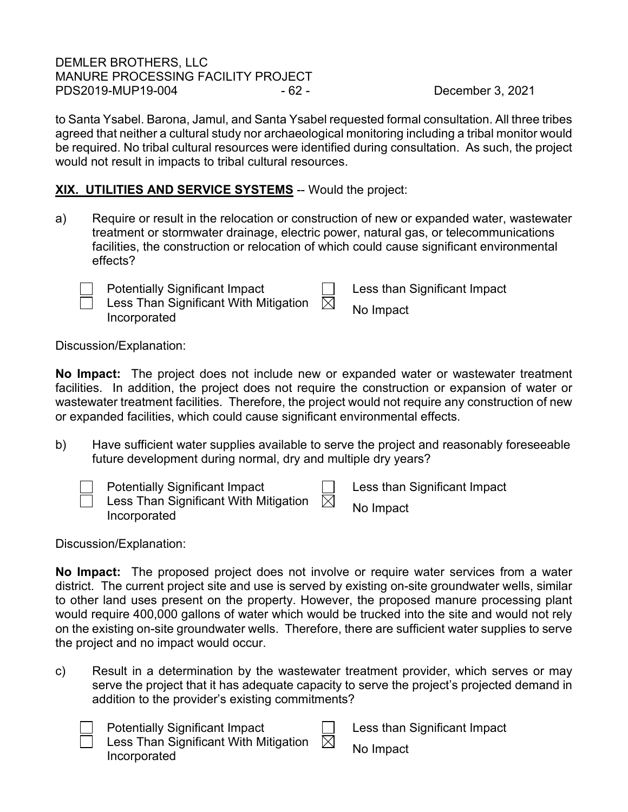DEMLER BROTHERS, LLC MANURE PROCESSING FACILITY PROJECT PDS2019-MUP19-004 - 62 - - - - - December 3, 2021

to Santa Ysabel. Barona, Jamul, and Santa Ysabel requested formal consultation. All three tribes agreed that neither a cultural study nor archaeological monitoring including a tribal monitor would be required. No tribal cultural resources were identified during consultation. As such, the project would not result in impacts to tribal cultural resources.

# **XIX. UTILITIES AND SERVICE SYSTEMS** -- Would the project:

a) Require or result in the relocation or construction of new or expanded water, wastewater treatment or stormwater drainage, electric power, natural gas, or telecommunications facilities, the construction or relocation of which could cause significant environmental effects?

Less Than Significant With Mitigation Less Than Significant With Mitigation  $\boxtimes$  No Impact<br>Incorporated

Potentially Significant Impact  $\Box$  Less than Significant Impact

Discussion/Explanation:

**No Impact:** The project does not include new or expanded water or wastewater treatment facilities. In addition, the project does not require the construction or expansion of water or wastewater treatment facilities. Therefore, the project would not require any construction of new or expanded facilities, which could cause significant environmental effects.

b) Have sufficient water supplies available to serve the project and reasonably foreseeable future development during normal, dry and multiple dry years?



Discussion/Explanation:

**No Impact:** The proposed project does not involve or require water services from a water district. The current project site and use is served by existing on-site groundwater wells, similar to other land uses present on the property. However, the proposed manure processing plant would require 400,000 gallons of water which would be trucked into the site and would not rely on the existing on-site groundwater wells. Therefore, there are sufficient water supplies to serve the project and no impact would occur.

c) Result in a determination by the wastewater treatment provider, which serves or may serve the project that it has adequate capacity to serve the project's projected demand in addition to the provider's existing commitments?

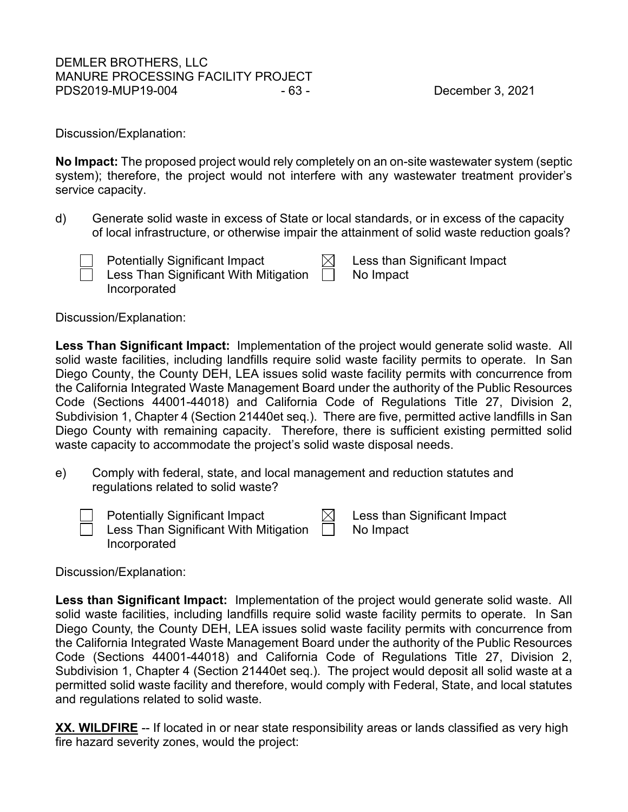# DEMLER BROTHERS, LLC MANURE PROCESSING FACILITY PROJECT PDS2019-MUP19-004 - 63 - - 63 - December 3, 2021

Discussion/Explanation:

**No Impact:** The proposed project would rely completely on an on-site wastewater system (septic system); therefore, the project would not interfere with any wastewater treatment provider's service capacity.

d) Generate solid waste in excess of State or local standards, or in excess of the capacity of local infrastructure, or otherwise impair the attainment of solid waste reduction goals?



Less Than Significant With Mitigation

Potentially Significant Impact  $\boxtimes$  Less than Significant Impact No Impact

Discussion/Explanation:

Incorporated

**Less Than Significant Impact:** Implementation of the project would generate solid waste. All solid waste facilities, including landfills require solid waste facility permits to operate. In San Diego County, the County DEH, LEA issues solid waste facility permits with concurrence from the California Integrated Waste Management Board under the authority of the Public Resources Code (Sections 44001-44018) and California Code of Regulations Title 27, Division 2, Subdivision 1, Chapter 4 (Section 21440et seq.). There are five, permitted active landfills in San Diego County with remaining capacity. Therefore, there is sufficient existing permitted solid waste capacity to accommodate the project's solid waste disposal needs.

e) Comply with federal, state, and local management and reduction statutes and regulations related to solid waste?



Potentially Significant Impact  $\boxtimes$  Less than Significant Impact

Less Than Significant With Mitigation

No Impact

Discussion/Explanation:

Incorporated

**Less than Significant Impact:** Implementation of the project would generate solid waste. All solid waste facilities, including landfills require solid waste facility permits to operate. In San Diego County, the County DEH, LEA issues solid waste facility permits with concurrence from the California Integrated Waste Management Board under the authority of the Public Resources Code (Sections 44001-44018) and California Code of Regulations Title 27, Division 2, Subdivision 1, Chapter 4 (Section 21440et seq.). The project would deposit all solid waste at a permitted solid waste facility and therefore, would comply with Federal, State, and local statutes and regulations related to solid waste.

**XX. WILDFIRE** -- If located in or near state responsibility areas or lands classified as very high fire hazard severity zones, would the project: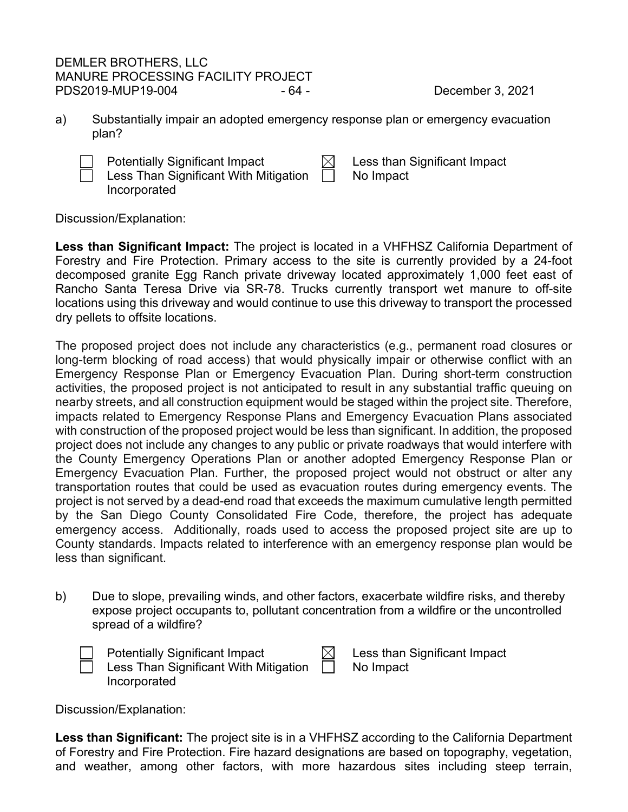# DEMLER BROTHERS, LLC MANURE PROCESSING FACILITY PROJECT PDS2019-MUP19-004 - 64 - - - - December 3, 2021

a) Substantially impair an adopted emergency response plan or emergency evacuation plan?

Potentially Significant Impact  $\boxtimes$  Less than Significant Impact Less Than Significant With Mitigation  $\Box$ Incorporated

No Impact

Discussion/Explanation:

**Less than Significant Impact:** The project is located in a VHFHSZ California Department of Forestry and Fire Protection. Primary access to the site is currently provided by a 24-foot decomposed granite Egg Ranch private driveway located approximately 1,000 feet east of Rancho Santa Teresa Drive via SR-78. Trucks currently transport wet manure to off-site locations using this driveway and would continue to use this driveway to transport the processed dry pellets to offsite locations.

The proposed project does not include any characteristics (e.g., permanent road closures or long-term blocking of road access) that would physically impair or otherwise conflict with an Emergency Response Plan or Emergency Evacuation Plan. During short-term construction activities, the proposed project is not anticipated to result in any substantial traffic queuing on nearby streets, and all construction equipment would be staged within the project site. Therefore, impacts related to Emergency Response Plans and Emergency Evacuation Plans associated with construction of the proposed project would be less than significant. In addition, the proposed project does not include any changes to any public or private roadways that would interfere with the County Emergency Operations Plan or another adopted Emergency Response Plan or Emergency Evacuation Plan. Further, the proposed project would not obstruct or alter any transportation routes that could be used as evacuation routes during emergency events. The project is not served by a dead-end road that exceeds the maximum cumulative length permitted by the San Diego County Consolidated Fire Code, therefore, the project has adequate emergency access. Additionally, roads used to access the proposed project site are up to County standards. Impacts related to interference with an emergency response plan would be less than significant.

b) Due to slope, prevailing winds, and other factors, exacerbate wildfire risks, and thereby expose project occupants to, pollutant concentration from a wildfire or the uncontrolled spread of a wildfire?

| <b>Potentially Significant Impact</b> |         | Les: |
|---------------------------------------|---------|------|
| Less Than Significant With Mitigation | $\perp$ | No l |
| Incorporated                          |         |      |

s than Significant Impact Impact

Discussion/Explanation:

**Less than Significant:** The project site is in a VHFHSZ according to the California Department of Forestry and Fire Protection. Fire hazard designations are based on topography, vegetation, and weather, among other factors, with more hazardous sites including steep terrain,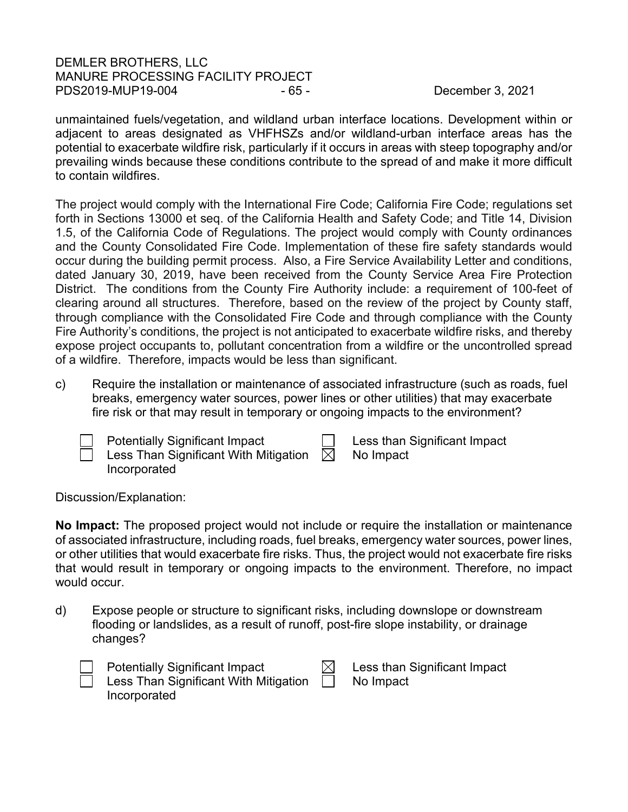# DEMLER BROTHERS, LLC MANURE PROCESSING FACILITY PROJECT PDS2019-MUP19-004 - 65 - - - - - December 3, 2021

unmaintained fuels/vegetation, and wildland urban interface locations. Development within or adjacent to areas designated as VHFHSZs and/or wildland-urban interface areas has the potential to exacerbate wildfire risk, particularly if it occurs in areas with steep topography and/or prevailing winds because these conditions contribute to the spread of and make it more difficult to contain wildfires.

The project would comply with the International Fire Code; California Fire Code; regulations set forth in Sections 13000 et seq. of the California Health and Safety Code; and Title 14, Division 1.5, of the California Code of Regulations. The project would comply with County ordinances and the County Consolidated Fire Code. Implementation of these fire safety standards would occur during the building permit process. Also, a Fire Service Availability Letter and conditions, dated January 30, 2019, have been received from the County Service Area Fire Protection District. The conditions from the County Fire Authority include: a requirement of 100-feet of clearing around all structures. Therefore, based on the review of the project by County staff, through compliance with the Consolidated Fire Code and through compliance with the County Fire Authority's conditions, the project is not anticipated to exacerbate wildfire risks, and thereby expose project occupants to, pollutant concentration from a wildfire or the uncontrolled spread of a wildfire. Therefore, impacts would be less than significant.

c) Require the installation or maintenance of associated infrastructure (such as roads, fuel breaks, emergency water sources, power lines or other utilities) that may exacerbate fire risk or that may result in temporary or ongoing impacts to the environment?

| <b>Potentially Significant Impact</b><br>Less Than Significant With Mitigation<br>Incorporated | $\bowtie$ | $\Box$ Less than Significant Impact<br>No Impact |
|------------------------------------------------------------------------------------------------|-----------|--------------------------------------------------|
|                                                                                                |           |                                                  |

Discussion/Explanation:

**No Impact:** The proposed project would not include or require the installation or maintenance of associated infrastructure, including roads, fuel breaks, emergency water sources, power lines, or other utilities that would exacerbate fire risks. Thus, the project would not exacerbate fire risks that would result in temporary or ongoing impacts to the environment. Therefore, no impact would occur.

d) Expose people or structure to significant risks, including downslope or downstream flooding or landslides, as a result of runoff, post-fire slope instability, or drainage changes?



Less Than Significant With Mitigation

Incorporated

Potentially Significant Impact  $\boxtimes$  Less than Significant Impact No Impact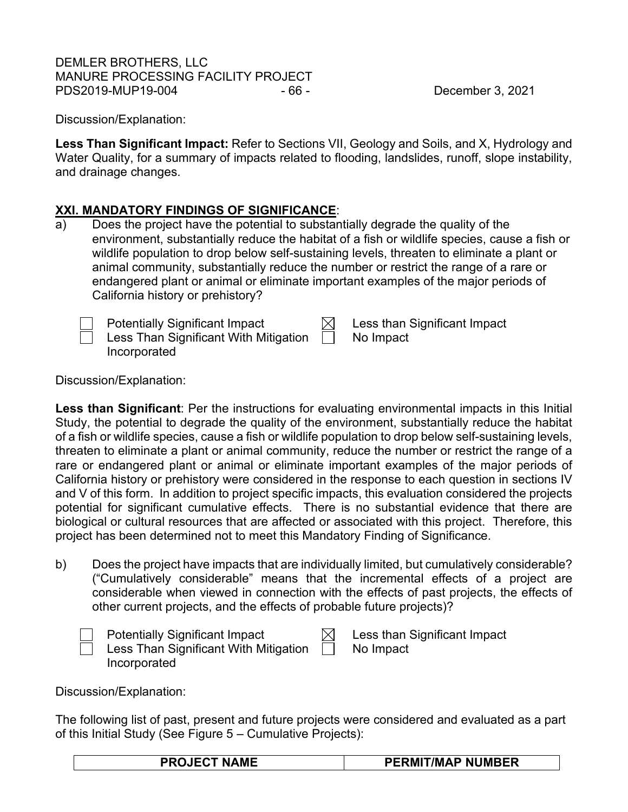# DEMLER BROTHERS, LLC MANURE PROCESSING FACILITY PROJECT PDS2019-MUP19-004 - 66 - December 3, 2021

Discussion/Explanation:

**Less Than Significant Impact:** Refer to Sections VII, Geology and Soils, and X, Hydrology and Water Quality, for a summary of impacts related to flooding, landslides, runoff, slope instability, and drainage changes.

# **XXI. MANDATORY FINDINGS OF SIGNIFICANCE**:

a) Does the project have the potential to substantially degrade the quality of the environment, substantially reduce the habitat of a fish or wildlife species, cause a fish or wildlife population to drop below self-sustaining levels, threaten to eliminate a plant or animal community, substantially reduce the number or restrict the range of a rare or endangered plant or animal or eliminate important examples of the major periods of California history or prehistory?

| <b>Potentially Significant Impact</b> |  |
|---------------------------------------|--|
| Less Than Significant With Mitigation |  |

| ۱ı<br> |
|--------|

ss than Significant Impact No Impact

Discussion/Explanation:

Incorporated

**Less than Significant**: Per the instructions for evaluating environmental impacts in this Initial Study, the potential to degrade the quality of the environment, substantially reduce the habitat of a fish or wildlife species, cause a fish or wildlife population to drop below self-sustaining levels, threaten to eliminate a plant or animal community, reduce the number or restrict the range of a rare or endangered plant or animal or eliminate important examples of the major periods of California history or prehistory were considered in the response to each question in sections IV and V of this form. In addition to project specific impacts, this evaluation considered the projects potential for significant cumulative effects. There is no substantial evidence that there are biological or cultural resources that are affected or associated with this project. Therefore, this project has been determined not to meet this Mandatory Finding of Significance.

b) Does the project have impacts that are individually limited, but cumulatively considerable? ("Cumulatively considerable" means that the incremental effects of a project are considerable when viewed in connection with the effects of past projects, the effects of other current projects, and the effects of probable future projects)?

| <b>Potentially Significant Impact</b> |                  | Less than Significant Impact |
|---------------------------------------|------------------|------------------------------|
| Less Than Significant With Mitigation | and the contract | No Impact                    |
| Incorporated                          |                  |                              |

| Less than Significant Impa |  |
|----------------------------|--|
| No Impact                  |  |

Discussion/Explanation:

The following list of past, present and future projects were considered and evaluated as a part of this Initial Study (See Figure 5 – Cumulative Projects):

|--|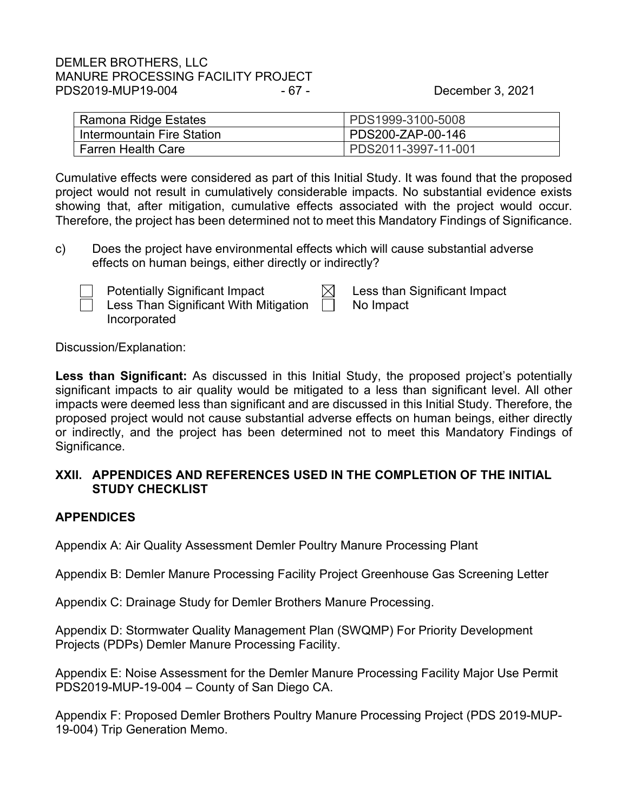# DEMLER BROTHERS, LLC MANURE PROCESSING FACILITY PROJECT PDS2019-MUP19-004 - 67 - - 67 - December 3, 2021

| Ramona Ridge Estates       | PDS1999-3100-5008   |
|----------------------------|---------------------|
| Intermountain Fire Station | PDS200-ZAP-00-146   |
| <b>Farren Health Care</b>  | PDS2011-3997-11-001 |

Cumulative effects were considered as part of this Initial Study. It was found that the proposed project would not result in cumulatively considerable impacts. No substantial evidence exists showing that, after mitigation, cumulative effects associated with the project would occur. Therefore, the project has been determined not to meet this Mandatory Findings of Significance.

c) Does the project have environmental effects which will cause substantial adverse effects on human beings, either directly or indirectly?



Potentially Significant Impact  $\Box$  Less than Significant Impact Less Than Significant With Mitigation  $\Box$ Incorporated

No Impact

Discussion/Explanation:

**Less than Significant:** As discussed in this Initial Study, the proposed project's potentially significant impacts to air quality would be mitigated to a less than significant level. All other impacts were deemed less than significant and are discussed in this Initial Study. Therefore, the proposed project would not cause substantial adverse effects on human beings, either directly or indirectly, and the project has been determined not to meet this Mandatory Findings of Significance.

# **XXII. APPENDICES AND REFERENCES USED IN THE COMPLETION OF THE INITIAL STUDY CHECKLIST**

# **APPENDICES**

Appendix A: Air Quality Assessment Demler Poultry Manure Processing Plant

Appendix B: Demler Manure Processing Facility Project Greenhouse Gas Screening Letter

Appendix C: Drainage Study for Demler Brothers Manure Processing.

Appendix D: Stormwater Quality Management Plan (SWQMP) For Priority Development Projects (PDPs) Demler Manure Processing Facility.

Appendix E: Noise Assessment for the Demler Manure Processing Facility Major Use Permit PDS2019-MUP-19-004 – County of San Diego CA.

Appendix F: Proposed Demler Brothers Poultry Manure Processing Project (PDS 2019-MUP-19-004) Trip Generation Memo.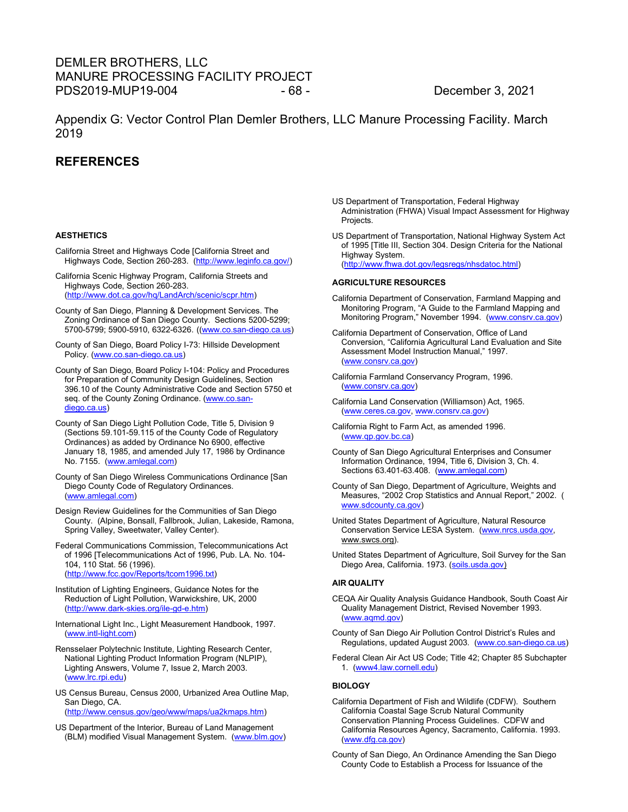## DEMLER BROTHERS, LLC MANURE PROCESSING FACILITY PROJECT PDS2019-MUP19-004 - 68 - December 3, 2021

Appendix G: Vector Control Plan Demler Brothers, LLC Manure Processing Facility. March 2019

### **REFERENCES**

### **AESTHETICS**

- California Street and Highways Code [California Street and Highways Code, Section 260-283. [\(http://www.leginfo.ca.gov/\)](http://www.leginfo.ca.gov/)
- California Scenic Highway Program, California Streets and Highways Code, Section 260-283. [\(http://www.dot.ca.gov/hq/LandArch/scenic/scpr.htm\)](http://www.dot.ca.gov/hq/LandArch/scenic/scpr.htm)
- County of San Diego, Planning & Development Services. The Zoning Ordinance of San Diego County. Sections 5200-5299; 5700-5799; 5900-5910, 6322-6326. [\(\(www.co.san-diego.ca.us\)](http://www.co.san-diego.ca.us/)
- County of San Diego, Board Policy I-73: Hillside Development Policy. [\(www.co.san-diego.ca.us\)](http://www.co.san-diego.ca.us/cnty/cntydepts/general/cob/policy/I-104.html)
- County of San Diego, Board Policy I-104: Policy and Procedures for Preparation of Community Design Guidelines, Section 396.10 of the County Administrative Code and Section 5750 et seq. of the County Zoning Ordinance[. \(www.co.san](http://www.co.san-diego.ca.us/cnty/cntydepts/general/cob/policy/I-104.html)[diego.ca.us\)](http://www.co.san-diego.ca.us/cnty/cntydepts/general/cob/policy/I-104.html)
- County of San Diego Light Pollution Code, Title 5, Division 9 (Sections 59.101-59.115 of the County Code of Regulatory Ordinances) as added by Ordinance No 6900, effective January 18, 1985, and amended July 17, 1986 by Ordinance No. 7155. [\(www.amlegal.com\)](http://www.amlegal.com/)
- County of San Diego Wireless Communications Ordinance [San Diego County Code of Regulatory Ordinances. [\(www.amlegal.com\)](http://www.amlegal.com/sandiego_county_ca)
- Design Review Guidelines for the Communities of San Diego County. (Alpine, Bonsall, Fallbrook, Julian, Lakeside, Ramona, Spring Valley, Sweetwater, Valley Center).
- Federal Communications Commission, Telecommunications Act of 1996 [Telecommunications Act of 1996, Pub. LA. No. 104- 104, 110 Stat. 56 (1996). [\(http://www.fcc.gov/Reports/tcom1996.txt\)](http://www.fcc.gov/Reports/tcom1996.txt)
- Institution of Lighting Engineers, Guidance Notes for the Reduction of Light Pollution, Warwickshire, UK, 2000 [\(http://www.dark-skies.org/ile-gd-e.htm\)](http://www.dark-skies.org/ile-gd-e.htm)
- International Light Inc., Light Measurement Handbook, 1997. [\(www.intl-light.com\)](http://www.intl-light.com/)
- Rensselaer Polytechnic Institute, Lighting Research Center, National Lighting Product Information Program (NLPIP), Lighting Answers, Volume 7, Issue 2, March 2003. [\(www.lrc.rpi.edu\)](http://www.lrc.rpi.edu/)
- US Census Bureau, Census 2000, Urbanized Area Outline Map, San Diego, CA.

[\(http://www.census.gov/geo/www/maps/ua2kmaps.htm\)](http://www.census.gov/geo/www/maps/ua2kmaps.htm)

US Department of the Interior, Bureau of Land Management (BLM) modified Visual Management System. [\(www.blm.gov\)](http://www.blm.gov/)

- US Department of Transportation, Federal Highway Administration (FHWA) Visual Impact Assessment for Highway Projects.
- US Department of Transportation, National Highway System Act of 1995 [Title III, Section 304. Design Criteria for the National Highway System. [\(http://www.fhwa.dot.gov/legsregs/nhsdatoc.html\)](http://www.fhwa.dot.gov/legsregs/nhsdatoc.html)

### **AGRICULTURE RESOURCES**

- California Department of Conservation, Farmland Mapping and Monitoring Program, "A Guide to the Farmland Mapping and Monitoring Program," November 1994. [\(www.consrv.ca.gov\)](http://www.consrv.ca.gov/)
- California Department of Conservation, Office of Land Conversion, "California Agricultural Land Evaluation and Site Assessment Model Instruction Manual," 1997. [\(www.consrv.ca.gov\)](http://www.consrv.ca.gov/)
- California Farmland Conservancy Program, 1996. [\(www.consrv.ca.gov\)](http://www.consrv.ca.gov/)
- California Land Conservation (Williamson) Act, 1965. [\(www.ceres.ca.gov,](http://www.ceres.ca.gov/) [www.consrv.ca.gov\)](http://www.consrv.ca.gov/)
- California Right to Farm Act, as amended 1996. [\(www.qp.gov.bc.ca\)](http://www.qp.gov.bc.ca/)
- County of San Diego Agricultural Enterprises and Consumer Information Ordinance, 1994, Title 6, Division 3, Ch. 4. Sections 63.401-63.408. [\(www.amlegal.com\)](http://www.amlegal.com/)
- County of San Diego, Department of Agriculture, Weights and Measures, "2002 Crop Statistics and Annual Report," 2002. ( [www.sdcounty.ca.gov\)](http://www.sdcounty.ca.gov/)
- United States Department of Agriculture, Natural Resource Conservation Service LESA System. (www.nrcs.usda.gov, www.swcs.org).
- United States Department of Agriculture, Soil Survey for the San Diego Area, California. 1973. [\(soils.usda.gov\)](http://soils.usda.gov/)

### **AIR QUALITY**

- CEQA Air Quality Analysis Guidance Handbook, South Coast Air Quality Management District, Revised November 1993. [\(www.aqmd.gov\)](http://www.aqmd.gov/)
- County of San Diego Air Pollution Control District's Rules and Regulations, updated August 2003. [\(www.co.san-diego.ca.us\)](http://www.co.san-diego.ca.us/)
- Federal Clean Air Act US Code; Title 42; Chapter 85 Subchapter 1. [\(www4.law.cornell.edu\)](http://www4.law.cornell.edu/)

### **BIOLOGY**

- California Department of Fish and Wildlife (CDFW). Southern California Coastal Sage Scrub Natural Community Conservation Planning Process Guidelines. CDFW and California Resources Agency, Sacramento, California. 1993. [\(www.dfg.ca.gov\)](http://www.dfg.ca.gov/)
- County of San Diego, An Ordinance Amending the San Diego County Code to Establish a Process for Issuance of the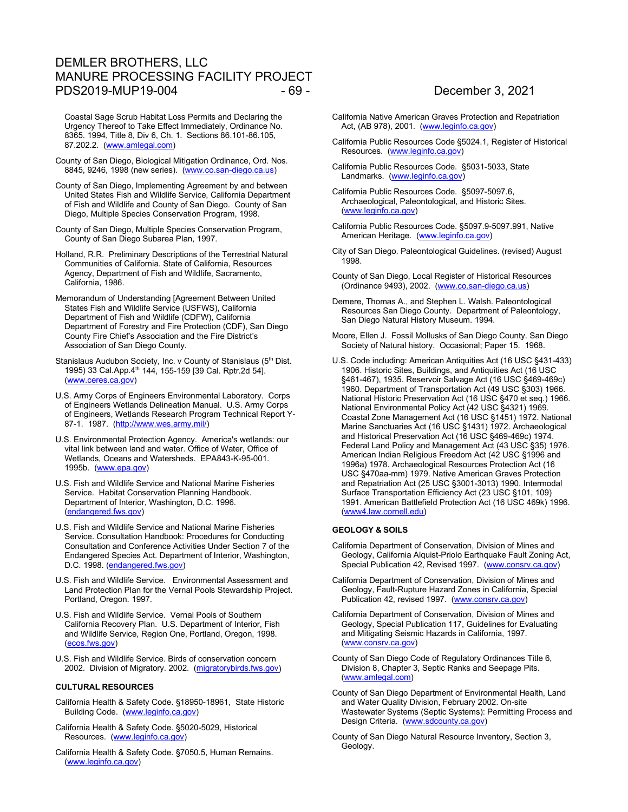# DEMLER BROTHERS, LLC MANURE PROCESSING FACILITY PROJECT PDS2019-MUP19-004 - 69 - - 09 - December 3, 2021

Coastal Sage Scrub Habitat Loss Permits and Declaring the Urgency Thereof to Take Effect Immediately, Ordinance No. 8365. 1994, Title 8, Div 6, Ch. 1. Sections 86.101-86.105, 87.202.2. [\(www.amlegal.com\)](http://www.amlegal.com/)

- County of San Diego, Biological Mitigation Ordinance, Ord. Nos. 8845, 9246, 1998 (new series). [\(www.co.san-diego.ca.us\)](http://www.amlegal.com/)
- County of San Diego, Implementing Agreement by and between United States Fish and Wildlife Service, California Department of Fish and Wildlife and County of San Diego. County of San Diego, Multiple Species Conservation Program, 1998.
- County of San Diego, Multiple Species Conservation Program, County of San Diego Subarea Plan, 1997.
- Holland, R.R. Preliminary Descriptions of the Terrestrial Natural Communities of California. State of California, Resources Agency, Department of Fish and Wildlife, Sacramento, California, 1986.
- Memorandum of Understanding [Agreement Between United States Fish and Wildlife Service (USFWS), California Department of Fish and Wildlife (CDFW), California Department of Forestry and Fire Protection (CDF), San Diego County Fire Chief's Association and the Fire District's Association of San Diego County.
- Stanislaus Audubon Society, Inc. v County of Stanislaus (5<sup>th</sup> Dist. 1995) 33 Cal.App.4th 144, 155-159 [39 Cal. Rptr.2d 54]. [\(www.ceres.ca.gov\)](http://www.ceres.ca.gov/)
- U.S. Army Corps of Engineers Environmental Laboratory. Corps of Engineers Wetlands Delineation Manual. U.S. Army Corps of Engineers, Wetlands Research Program Technical Report Y-87-1. 1987. [\(http://www.wes.army.mil/\)](http://www.wes.army.mil/)
- U.S. Environmental Protection Agency. America's wetlands: our vital link between land and water. Office of Water, Office of Wetlands, Oceans and Watersheds. EPA843-K-95-001. 1995b. [\(www.epa.gov\)](http://www.epa.gov/)
- U.S. Fish and Wildlife Service and National Marine Fisheries Service. Habitat Conservation Planning Handbook. Department of Interior, Washington, D.C. 1996. [\(endangered.fws.gov\)](http://endangered.fws.gov/)
- U.S. Fish and Wildlife Service and National Marine Fisheries Service. Consultation Handbook: Procedures for Conducting Consultation and Conference Activities Under Section 7 of the Endangered Species Act. Department of Interior, Washington, D.C. 1998. [\(endangered.fws.gov\)](http://endangered.fws.gov/)
- U.S. Fish and Wildlife Service. Environmental Assessment and Land Protection Plan for the Vernal Pools Stewardship Project. Portland, Oregon. 1997.
- U.S. Fish and Wildlife Service. Vernal Pools of Southern California Recovery Plan. U.S. Department of Interior, Fish and Wildlife Service, Region One, Portland, Oregon, 1998. (ecos.fws.gov)
- U.S. Fish and Wildlife Service. Birds of conservation concern 2002. Division of Migratory. 2002. (migratorybirds.fws.gov)

#### **CULTURAL RESOURCES**

- California Health & Safety Code. §18950-18961, State Historic Building Code. [\(www.leginfo.ca.gov\)](http://www.leginfo.ca.gov/)
- California Health & Safety Code. §5020-5029, Historical Resources. [\(www.leginfo.ca.gov\)](http://www.leginfo.ca.gov/)
- California Health & Safety Code. §7050.5, Human Remains. [\(www.leginfo.ca.gov\)](http://www.leginfo.ca.gov/)

- California Native American Graves Protection and Repatriation Act, (AB 978), 2001. [\(www.leginfo.ca.gov\)](http://www.leginfo.ca.gov/)
- California Public Resources Code §5024.1, Register of Historical Resources. [\(www.leginfo.ca.gov\)](http://www.leginfo.ca.gov/)
- California Public Resources Code. §5031-5033, State Landmarks. [\(www.leginfo.ca.gov\)](http://www.leginfo.ca.gov/)
- California Public Resources Code. §5097-5097.6, Archaeological, Paleontological, and Historic Sites. [\(www.leginfo.ca.gov\)](http://www.leginfo.ca.gov/)
- California Public Resources Code. §5097.9-5097.991, Native American Heritage. [\(www.leginfo.ca.gov\)](http://www.leginfo.ca.gov/)
- City of San Diego. Paleontological Guidelines. (revised) August 1998.
- County of San Diego, Local Register of Historical Resources (Ordinance 9493), 2002. [\(www.co.san-diego.ca.us\)](http://www.co.san-diego.ca.us/)
- Demere, Thomas A., and Stephen L. Walsh. Paleontological Resources San Diego County. Department of Paleontology, San Diego Natural History Museum. 1994.
- Moore, Ellen J. Fossil Mollusks of San Diego County. San Diego Society of Natural history. Occasional; Paper 15. 1968.
- U.S. Code including: American Antiquities Act (16 USC §431-433) 1906. Historic Sites, Buildings, and Antiquities Act (16 USC §461-467), 1935. Reservoir Salvage Act (16 USC §469-469c) 1960. Department of Transportation Act (49 USC §303) 1966. National Historic Preservation Act (16 USC §470 et seq.) 1966. National Environmental Policy Act (42 USC §4321) 1969. Coastal Zone Management Act (16 USC §1451) 1972. National Marine Sanctuaries Act (16 USC §1431) 1972. Archaeological and Historical Preservation Act (16 USC §469-469c) 1974. Federal Land Policy and Management Act (43 USC §35) 1976. American Indian Religious Freedom Act (42 USC §1996 and 1996a) 1978. Archaeological Resources Protection Act (16 USC §470aa-mm) 1979. Native American Graves Protection and Repatriation Act (25 USC §3001-3013) 1990. Intermodal Surface Transportation Efficiency Act (23 USC §101, 109) 1991. American Battlefield Protection Act (16 USC 469k) 1996. [\(www4.law.cornell.edu\)](http://www4.law.cornell.edu/)

#### **GEOLOGY & SOILS**

- California Department of Conservation, Division of Mines and Geology, California Alquist-Priolo Earthquake Fault Zoning Act, Special Publication 42, Revised 1997. [\(www.consrv.ca.gov\)](http://www.consrv.ca.gov/)
- California Department of Conservation, Division of Mines and Geology, Fault-Rupture Hazard Zones in California, Special Publication 42, revised 1997. [\(www.consrv.ca.gov\)](http://www.consrv.ca.gov/)
- California Department of Conservation, Division of Mines and Geology, Special Publication 117, Guidelines for Evaluating and Mitigating Seismic Hazards in California, 1997. [\(www.consrv.ca.gov\)](http://www.consrv.ca.gov/)
- County of San Diego Code of Regulatory Ordinances Title 6, Division 8, Chapter 3, Septic Ranks and Seepage Pits. [\(www.amlegal.com\)](http://www.amlegal.com/)
- County of San Diego Department of Environmental Health, Land and Water Quality Division, February 2002. On-site Wastewater Systems (Septic Systems): Permitting Process and Design Criteria. [\(www.sdcounty.ca.gov\)](http://www.sdcounty.ca.gov/)
- County of San Diego Natural Resource Inventory, Section 3, Geology.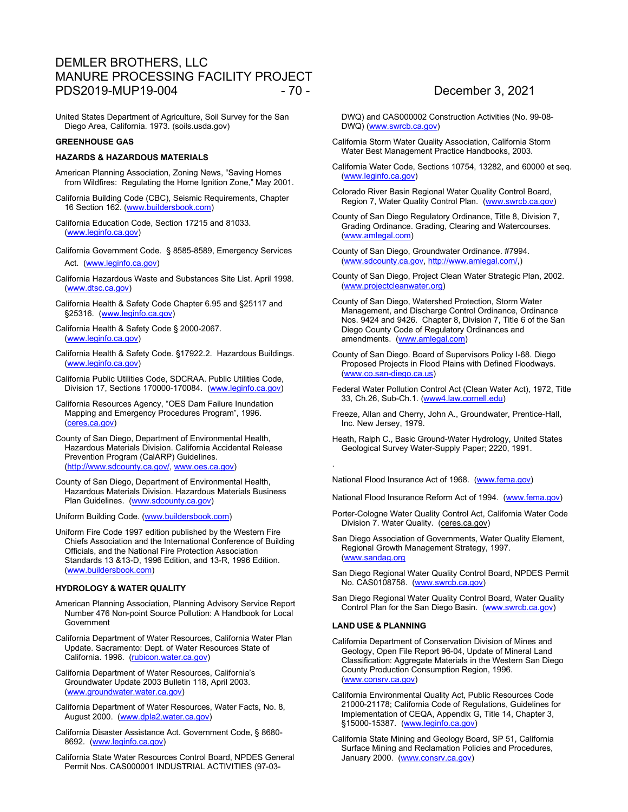## DEMLER BROTHERS, LLC MANURE PROCESSING FACILITY PROJECT PDS2019-MUP19-004 - 70 - 70 - December 3, 2021

United States Department of Agriculture, Soil Survey for the San Diego Area, California. 1973. (soils.usda.gov)

### **GREENHOUSE GAS**

### **HAZARDS & HAZARDOUS MATERIALS**

American Planning Association, Zoning News, "Saving Homes from Wildfires: Regulating the Home Ignition Zone," May 2001.

California Building Code (CBC), Seismic Requirements, Chapter 16 Section 162. [\(www.buildersbook.com\)](http://www.buildersbook.com/)

California Education Code, Section 17215 and 81033. [\(www.leginfo.ca.gov\)](http://www.leginfo.ca.gov/)

California Government Code. § 8585-8589, Emergency Services Act. [\(www.leginfo.ca.gov\)](http://www.leginfo.ca.gov/)

California Hazardous Waste and Substances Site List. April 1998. [\(www.dtsc.ca.gov\)](http://www.dtsc.ca.gov/)

California Health & Safety Code Chapter 6.95 and §25117 and §25316. [\(www.leginfo.ca.gov\)](http://www.leginfo.ca.gov/)

California Health & Safety Code § 2000-2067. [\(www.leginfo.ca.gov\)](http://www.leginfo.ca.gov/)

California Health & Safety Code. §17922.2. Hazardous Buildings. [\(www.leginfo.ca.gov\)](http://www.leginfo.ca.gov/)

California Public Utilities Code, SDCRAA. Public Utilities Code, Division 17, Sections 170000-170084. [\(www.leginfo.ca.gov\)](http://www.leginfo.ca.gov/)

California Resources Agency, "OES Dam Failure Inundation Mapping and Emergency Procedures Program", 1996. (ceres.ca.gov)

County of San Diego, Department of Environmental Health, Hazardous Materials Division. California Accidental Release Prevention Program (CalARP) Guidelines. [\(http://www.sdcounty.ca.gov/,](http://www.sdcounty.ca.gov/) [www.oes.ca.gov\)](http://www.oes.ca.gov/)

County of San Diego, Department of Environmental Health, Hazardous Materials Division. Hazardous Materials Business Plan Guidelines. [\(www.sdcounty.ca.gov\)](http://www.sdcounty.ca.gov/)

Uniform Building Code. [\(www.buildersbook.com\)](http://www.buildersbook.com/)

Uniform Fire Code 1997 edition published by the Western Fire Chiefs Association and the International Conference of Building Officials, and the National Fire Protection Association Standards 13 &13-D, 1996 Edition, and 13-R, 1996 Edition. [\(www.buildersbook.com\)](http://www.buildersbook.com/)

### **HYDROLOGY & WATER QUALITY**

American Planning Association, Planning Advisory Service Report Number 476 Non-point Source Pollution: A Handbook for Local Government

California Department of Water Resources, California Water Plan Update. Sacramento: Dept. of Water Resources State of California. 1998. [\(rubicon.water.ca.gov\)](http://rubicon.water.ca.gov/)

California Department of Water Resources, California's Groundwater Update 2003 Bulletin 118, April 2003. [\(www.groundwater.water.ca.gov\)](http://www.groundwater.water.ca.gov/)

California Department of Water Resources, Water Facts, No. 8, August 2000. [\(www.dpla2.water.ca.gov\)](http://www.dpla2.water.ca.gov/)

California Disaster Assistance Act. Government Code, § 8680- 8692. [\(www.leginfo.ca.gov\)](http://www.leginfo.ca.gov/)

California State Water Resources Control Board, NPDES General Permit Nos. CAS000001 INDUSTRIAL ACTIVITIES (97-03-

DWQ) and CAS000002 Construction Activities (No. 99-08- DWQ) [\(www.swrcb.ca.gov\)](http://www.swrcb.ca.gov/)

California Storm Water Quality Association, California Storm Water Best Management Practice Handbooks, 2003.

California Water Code, Sections 10754, 13282, and 60000 et seq. [\(www.leginfo.ca.gov\)](http://www.leginfo.ca.gov/)

Colorado River Basin Regional Water Quality Control Board, Region 7, Water Quality Control Plan. [\(www.swrcb.ca.gov\)](http://www.swrcb.ca.gov/)

County of San Diego Regulatory Ordinance, Title 8, Division 7, Grading Ordinance. Grading, Clearing and Watercourses. [\(www.amlegal.com\)](http://www.amlegal.com/)

County of San Diego, Groundwater Ordinance. #7994. [\(www.sdcounty.ca.gov,](http://www.sdcounty.ca.gov/) [http://www.amlegal.com/,](http://www.amlegal.com/))

County of San Diego, Project Clean Water Strategic Plan, 2002. [\(www.projectcleanwater.org\)](http://www.projectcleanwater.org/)

County of San Diego, Watershed Protection, Storm Water Management, and Discharge Control Ordinance, Ordinance Nos. 9424 and 9426. Chapter 8, Division 7, Title 6 of the San Diego County Code of Regulatory Ordinances and amendments. [\(www.amlegal.com\)](http://www.amlegal.com/)

County of San Diego. Board of Supervisors Policy I-68. Diego Proposed Projects in Flood Plains with Defined Floodways. [\(www.co.san-diego.ca.us\)](http://www.co.san-diego.ca.us/)

- Federal Water Pollution Control Act (Clean Water Act), 1972, Title 33, Ch.26, Sub-Ch.1. [\(www4.law.cornell.edu\)](http://www4.law.cornell.edu/)
- Freeze, Allan and Cherry, John A., Groundwater, Prentice-Hall, Inc. New Jersey, 1979.
- Heath, Ralph C., Basic Ground-Water Hydrology, United States Geological Survey Water-Supply Paper; 2220, 1991.

National Flood Insurance Act of 1968. [\(www.fema.gov\)](http://www.fema.gov/)

National Flood Insurance Reform Act of 1994. [\(www.fema.gov\)](http://www.fema.gov/)

Porter-Cologne Water Quality Control Act, California Water Code Division 7. Water Quality. (ceres.ca.gov)

San Diego Association of Governments, Water Quality Element, Regional Growth Management Strategy, 1997. [\(www.sandag.org](http://www.sandag.org/)

San Diego Regional Water Quality Control Board, NPDES Permit No. CAS0108758. [\(www.swrcb.ca.gov\)](http://www.swrcb.ca.gov/)

San Diego Regional Water Quality Control Board, Water Quality Control Plan for the San Diego Basin. [\(www.swrcb.ca.gov\)](http://www.swrcb.ca.gov/)

### **LAND USE & PLANNING**

.

California Department of Conservation Division of Mines and Geology, Open File Report 96-04, Update of Mineral Land Classification: Aggregate Materials in the Western San Diego County Production Consumption Region, 1996. [\(www.consrv.ca.gov\)](http://www.consrv.ca.gov/)

California Environmental Quality Act, Public Resources Code 21000-21178; California Code of Regulations, Guidelines for Implementation of CEQA, Appendix G, Title 14, Chapter 3, §15000-15387. [\(www.leginfo.ca.gov\)](http://www.leginfo.ca.gov/)

California State Mining and Geology Board, SP 51, California Surface Mining and Reclamation Policies and Procedures, January 2000. [\(www.consrv.ca.gov\)](http://www.consrv.ca.gov/)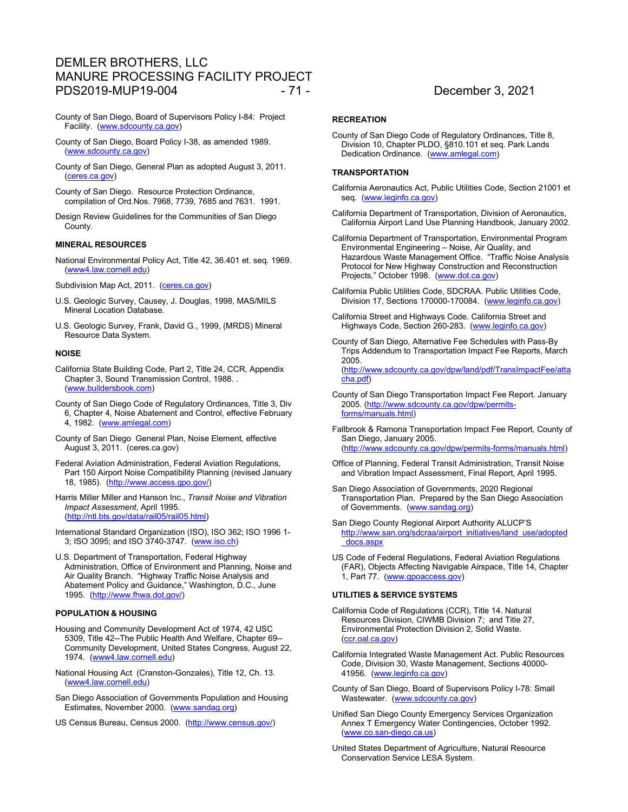## DEMLER BROTHERS, LLC MANURE PROCESSING FACILITY PROJECT PDS2019-MUP19-004 - 71 - 2021 - 71 - December 3, 2021

- County of San Diego, Board of Supervisors Policy I-84: Project Facility. [\(www.sdcounty.ca.gov\)](http://www.sdcounty.ca.gov/)
- County of San Diego, Board Policy I-38, as amended 1989. [\(www.sdcounty.ca.gov\)](http://www.sdcounty.ca.gov/)
- County of San Diego, General Plan as adopted August 3, 2011. [\(ceres.ca.gov\)](http://ceres.ca.gov/)

County of San Diego. Resource Protection Ordinance, compilation of Ord.Nos. 7968, 7739, 7685 and 7631. 1991.

Design Review Guidelines for the Communities of San Diego County.

#### **MINERAL RESOURCES**

National Environmental Policy Act, Title 42, 36.401 et. seq. 1969. [\(www4.law.cornell.edu\)](http://www4.law.cornell.edu/)

Subdivision Map Act, 2011. [\(ceres.ca.gov\)](http://ceres.ca.gov/)

- U.S. Geologic Survey, Causey, J. Douglas, 1998, MAS/MILS Mineral Location Database.
- U.S. Geologic Survey, Frank, David G., 1999, (MRDS) Mineral Resource Data System.

#### **NOISE**

- California State Building Code, Part 2, Title 24, CCR, Appendix Chapter 3, Sound Transmission Control, 1988. . [\(www.buildersbook.com\)](http://www.buildersbook.com/)
- County of San Diego Code of Regulatory Ordinances, Title 3, Div 6, Chapter 4, Noise Abatement and Control, effective February 4, 1982. [\(www.amlegal.com\)](http://www.amlegal.com/)
- County of San Diego General Plan, Noise Element, effective August 3, 2011. (ceres.ca.gov)
- Federal Aviation Administration, Federal Aviation Regulations, Part 150 Airport Noise Compatibility Planning (revised January 18, 1985). [\(http://www.access.gpo.gov/\)](http://www.access.gpo.gov/)
- Harris Miller Miller and Hanson Inc., *Transit Noise and Vibration Impact Assessment*, April 1995. [\(http://ntl.bts.gov/data/rail05/rail05.html\)](http://ntl.bts.gov/data/rail05/rail05.html)
- International Standard Organization (ISO), ISO 362; ISO 1996 1- 3; ISO 3095; and ISO 3740-3747. [\(www.iso.ch\)](http://www.iso.ch/)
- U.S. Department of Transportation, Federal Highway Administration, Office of Environment and Planning, Noise and Air Quality Branch. "Highway Traffic Noise Analysis and Abatement Policy and Guidance," Washington, D.C., June 1995. [\(http://www.fhwa.dot.gov/\)](http://www.fhwa.dot.gov/)

### **POPULATION & HOUSING**

- Housing and Community Development Act of 1974, 42 USC 5309, Title 42--The Public Health And Welfare, Chapter 69-- Community Development, United States Congress, August 22, 1974. [\(www4.law.cornell.edu\)](http://www4.law.cornell.edu/)
- National Housing Act (Cranston-Gonzales), Title 12, Ch. 13. [\(www4.law.cornell.edu\)](http://www4.law.cornell.edu/)
- San Diego Association of Governments Population and Housing Estimates, November 2000. [\(www.sandag.org\)](http://www.sandag.org/)
- US Census Bureau, Census 2000. [\(http://www.census.gov/\)](http://www.census.gov/)

### **RECREATION**

County of San Diego Code of Regulatory Ordinances, Title 8, Division 10, Chapter PLDO, §810.101 et seq. Park Lands Dedication Ordinance. [\(www.amlegal.com\)](http://www.amlegal.com/)

#### **TRANSPORTATION**

- California Aeronautics Act, Public Utilities Code, Section 21001 et seq. [\(www.leginfo.ca.gov\)](http://www.leginfo.ca.gov/)
- California Department of Transportation, Division of Aeronautics, California Airport Land Use Planning Handbook, January 2002.
- California Department of Transportation, Environmental Program Environmental Engineering – Noise, Air Quality, and Hazardous Waste Management Office. "Traffic Noise Analysis Protocol for New Highway Construction and Reconstruction Projects," October 1998. [\(www.dot.ca.gov\)](http://www.dot.ca.gov/)
- California Public Utilities Code, SDCRAA. Public Utilities Code, Division 17, Sections 170000-170084. [\(www.leginfo.ca.gov\)](http://www.leginfo.ca.gov/)
- California Street and Highways Code. California Street and Highways Code, Section 260-283. [\(www.leginfo.ca.gov\)](http://www.leginfo.ca.gov/)
- County of San Diego, Alternative Fee Schedules with Pass-By Trips Addendum to Transportation Impact Fee Reports, March 2005.

[\(http://www.sdcounty.ca.gov/dpw/land/pdf/TransImpactFee/atta](http://www.sdcounty.ca.gov/dpw/land/pdf/TransImpactFee/attacha.pdf) [cha.pdf\)](http://www.sdcounty.ca.gov/dpw/land/pdf/TransImpactFee/attacha.pdf)

- County of San Diego Transportation Impact Fee Report. January 2005. [\(http://www.sdcounty.ca.gov/dpw/permits](http://www.sdcounty.ca.gov/dpw/permits-forms/manuals.html)[forms/manuals.html\)](http://www.sdcounty.ca.gov/dpw/permits-forms/manuals.html)
- Fallbrook & Ramona Transportation Impact Fee Report, County of San Diego, January 2005. [\(http://www.sdcounty.ca.gov/dpw/permits-forms/manuals.html\)](http://www.sdcounty.ca.gov/dpw/permits-forms/manuals.html)
- Office of Planning, Federal Transit Administration, Transit Noise and Vibration Impact Assessment, Final Report, April 1995.
- San Diego Association of Governments, 2020 Regional Transportation Plan. Prepared by the San Diego Association of Governments. [\(www.sandag.org\)](http://www.sandag.org/)
- San Diego County Regional Airport Authority ALUCP'S [http://www.san.org/sdcraa/airport\\_initiatives/land\\_use/adopted](http://www.san.org/sdcraa/airport_initiatives/land_use/adopted_docs.aspx) [\\_docs.aspx](http://www.san.org/sdcraa/airport_initiatives/land_use/adopted_docs.aspx)
- US Code of Federal Regulations, Federal Aviation Regulations (FAR), Objects Affecting Navigable Airspace, Title 14, Chapter 1, Part 77. [\(www.gpoaccess.gov\)](http://www.gpoaccess.gov/)

#### **UTILITIES & SERVICE SYSTEMS**

- California Code of Regulations (CCR), Title 14. Natural Resources Division, CIWMB Division 7; and Title 27, Environmental Protection Division 2, Solid Waste. [\(ccr.oal.ca.gov\)](http://www.ccr.oal.ca.gov/)
- California Integrated Waste Management Act. Public Resources Code, Division 30, Waste Management, Sections 40000- 41956. [\(www.leginfo.ca.gov\)](http://www.leginfo.ca.gov/)
- County of San Diego, Board of Supervisors Policy I-78: Small Wastewater. [\(www.sdcounty.ca.gov\)](http://www.sdcounty.ca.gov/)
- Unified San Diego County Emergency Services Organization Annex T Emergency Water Contingencies, October 1992. [\(www.co.san-diego.ca.us\)](http://www.co.san-diego.ca.us/)
- United States Department of Agriculture, Natural Resource Conservation Service LESA System.